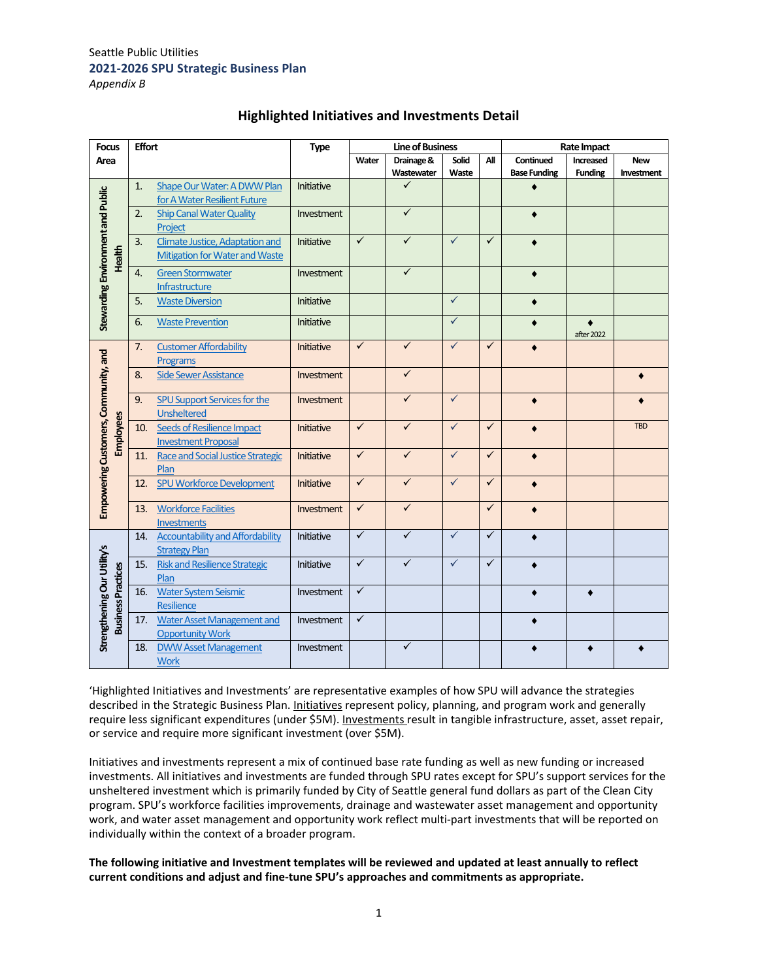| <b>Focus</b>                         |                           | <b>Effort</b> |                                          | <b>Type</b>       |              | <b>Line of Business</b> |              |              | Rate Impact         |                |            |
|--------------------------------------|---------------------------|---------------|------------------------------------------|-------------------|--------------|-------------------------|--------------|--------------|---------------------|----------------|------------|
| Area                                 |                           |               |                                          |                   | Water        | Drainage &              | Solid        | Αll          | Continued           | Increased      | <b>New</b> |
|                                      |                           |               |                                          |                   |              | Wastewater              | Waste        |              | <b>Base Funding</b> | <b>Funding</b> | Investment |
| Stewarding Environment and Public    |                           | 1.            | Shape Our Water: A DWW Plan              | Initiative        |              | ✓                       |              |              |                     |                |            |
|                                      |                           |               | for A Water Resilient Future             |                   |              |                         |              |              |                     |                |            |
|                                      |                           | 2.            | <b>Ship Canal Water Quality</b>          | Investment        |              | $\checkmark$            |              |              | ٠                   |                |            |
|                                      |                           |               | Project                                  |                   |              |                         |              |              |                     |                |            |
|                                      |                           | 3.            | <b>Climate Justice, Adaptation and</b>   | Initiative        | $\checkmark$ | $\checkmark$            | $\checkmark$ | $\checkmark$ | ٠                   |                |            |
|                                      | Health                    |               | <b>Mitigation for Water and Waste</b>    |                   |              |                         |              |              |                     |                |            |
|                                      |                           | 4.            | <b>Green Stormwater</b>                  | Investment        |              | $\checkmark$            |              |              |                     |                |            |
|                                      |                           |               | Infrastructure                           |                   |              |                         |              |              |                     |                |            |
|                                      |                           | 5.            | <b>Waste Diversion</b>                   | <b>Initiative</b> |              |                         | $\checkmark$ |              | $\bullet$           |                |            |
|                                      |                           |               |                                          |                   |              |                         |              |              |                     |                |            |
|                                      |                           | 6.            | <b>Waste Prevention</b>                  | Initiative        |              |                         | $\checkmark$ |              |                     | $\bullet$      |            |
|                                      |                           |               |                                          |                   | $\checkmark$ | $\checkmark$            | $\checkmark$ | $\checkmark$ |                     | after 2022     |            |
|                                      |                           | 7.            | <b>Customer Affordability</b>            | Initiative        |              |                         |              |              |                     |                |            |
|                                      |                           |               | <b>Programs</b>                          |                   |              | $\checkmark$            |              |              |                     |                |            |
| Empowering Customers, Community, and |                           | 8.            | <b>Side Sewer Assistance</b>             | Investment        |              |                         |              |              |                     |                |            |
|                                      |                           | 9.            | <b>SPU Support Services for the</b>      | Investment        |              | $\checkmark$            | $\checkmark$ |              |                     |                |            |
|                                      |                           |               | <b>Unsheltered</b>                       |                   |              |                         |              |              |                     |                |            |
|                                      | Employees                 | 10.           | Seeds of Resilience Impact               | Initiative        | $\checkmark$ | $\checkmark$            | $\checkmark$ | $\checkmark$ | $\bullet$           |                | <b>TBD</b> |
|                                      |                           |               | <b>Investment Proposal</b>               |                   |              |                         |              |              |                     |                |            |
|                                      |                           | 11.           | <b>Race and Social Justice Strategic</b> | <b>Initiative</b> | $\checkmark$ | $\checkmark$            | $\checkmark$ | $\checkmark$ | ۰                   |                |            |
|                                      |                           |               | Plan                                     |                   |              |                         |              |              |                     |                |            |
|                                      |                           | 12.           | <b>SPU Workforce Development</b>         | <b>Initiative</b> | $\checkmark$ | $\checkmark$            | $\checkmark$ | $\checkmark$ | $\bullet$           |                |            |
|                                      |                           |               |                                          |                   |              |                         |              |              |                     |                |            |
|                                      |                           | 13.           | <b>Workforce Facilities</b>              | Investment        | $\checkmark$ | $\checkmark$            |              | ✓            |                     |                |            |
|                                      |                           |               | Investments                              |                   |              |                         |              |              |                     |                |            |
|                                      |                           | 14.           | <b>Accountability and Affordability</b>  | Initiative        | $\checkmark$ | $\checkmark$            | $\checkmark$ | $\checkmark$ |                     |                |            |
|                                      |                           |               | <b>Strategy Plan</b>                     |                   |              |                         |              |              |                     |                |            |
|                                      |                           | 15.           | <b>Risk and Resilience Strategic</b>     | Initiative        | $\checkmark$ | $\checkmark$            | $\checkmark$ | $\checkmark$ |                     |                |            |
| Strengthening Our Utility's          |                           |               | Plan                                     |                   |              |                         |              |              |                     |                |            |
|                                      |                           | 16.           | <b>Water System Seismic</b>              | Investment        | $\checkmark$ |                         |              |              |                     |                |            |
|                                      |                           |               | Resilience                               |                   |              |                         |              |              |                     |                |            |
|                                      | <b>Business Practices</b> | 17.           | <b>Water Asset Management and</b>        | Investment        | $\checkmark$ |                         |              |              |                     |                |            |
|                                      |                           |               | <b>Opportunity Work</b>                  |                   |              |                         |              |              |                     |                |            |
|                                      |                           | 18.           | <b>DWW Asset Management</b>              | Investment        |              | $\checkmark$            |              |              | ٠                   |                |            |
|                                      |                           |               | <b>Work</b>                              |                   |              |                         |              |              |                     |                |            |

# **Highlighted Initiatives and Investments Detail**

'Highlighted Initiatives and Investments' are representative examples of how SPU will advance the strategies described in the Strategic Business Plan. Initiatives represent policy, planning, and program work and generally require less significant expenditures (under \$5M). Investments result in tangible infrastructure, asset, asset repair, or service and require more significant investment (over \$5M).

Initiatives and investments represent a mix of continued base rate funding as well as new funding or increased investments. All initiatives and investments are funded through SPU rates except for SPU's support services for the unsheltered investment which is primarily funded by City of Seattle general fund dollars as part of the Clean City program. SPU's workforce facilities improvements, drainage and wastewater asset management and opportunity work, and water asset management and opportunity work reflect multi-part investments that will be reported on individually within the context of a broader program.

**The following initiative and Investment templates will be reviewed and updated at least annually to reflect current conditions and adjust and fine‐tune SPU's approaches and commitments as appropriate.**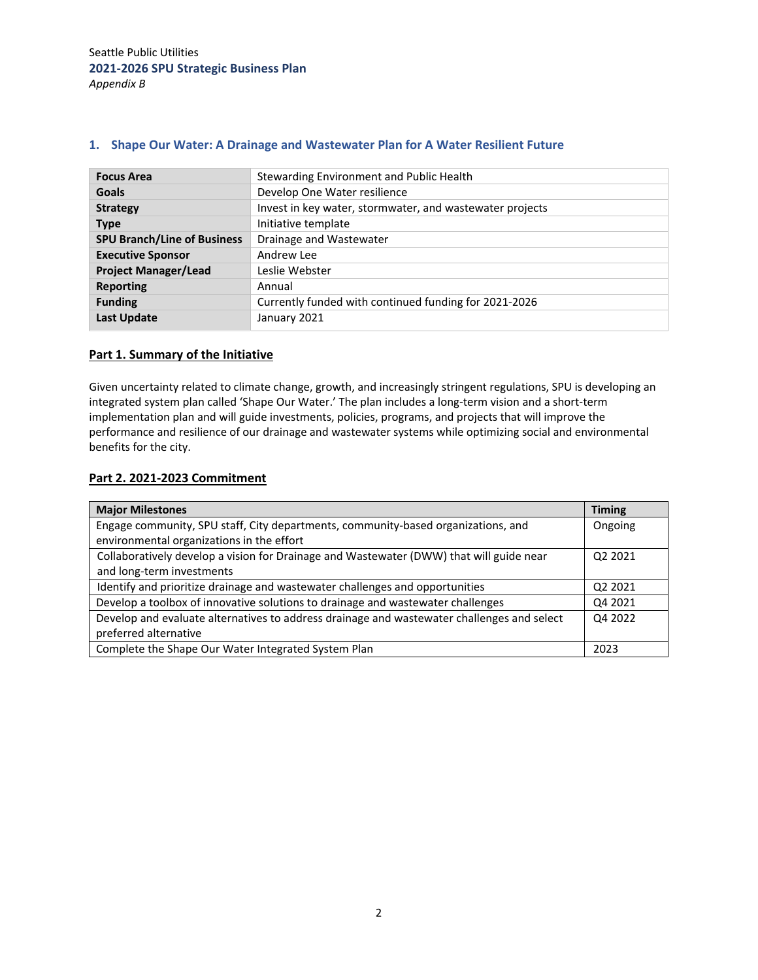| <b>Focus Area</b>                  | Stewarding Environment and Public Health                 |
|------------------------------------|----------------------------------------------------------|
| <b>Goals</b>                       | Develop One Water resilience                             |
| <b>Strategy</b>                    | Invest in key water, stormwater, and wastewater projects |
| <b>Type</b>                        | Initiative template                                      |
| <b>SPU Branch/Line of Business</b> | Drainage and Wastewater                                  |
| <b>Executive Sponsor</b>           | Andrew Lee                                               |
| <b>Project Manager/Lead</b>        | Leslie Webster                                           |
| <b>Reporting</b>                   | Annual                                                   |
| <b>Funding</b>                     | Currently funded with continued funding for 2021-2026    |
| <b>Last Update</b>                 | January 2021                                             |

## **1. Shape Our Water: A Drainage and Wastewater Plan for A Water Resilient Future**

# **Part 1. Summary of the Initiative**

Given uncertainty related to climate change, growth, and increasingly stringent regulations, SPU is developing an integrated system plan called 'Shape Our Water.' The plan includes a long-term vision and a short-term implementation plan and will guide investments, policies, programs, and projects that will improve the performance and resilience of our drainage and wastewater systems while optimizing social and environmental benefits for the city.

### **Part 2. 2021‐2023 Commitment**

| <b>Major Milestones</b>                                                                    | <b>Timing</b> |  |  |  |  |
|--------------------------------------------------------------------------------------------|---------------|--|--|--|--|
| Engage community, SPU staff, City departments, community-based organizations, and          |               |  |  |  |  |
| environmental organizations in the effort                                                  |               |  |  |  |  |
| Collaboratively develop a vision for Drainage and Wastewater (DWW) that will guide near    | Q2 2021       |  |  |  |  |
| and long-term investments                                                                  |               |  |  |  |  |
| Identify and prioritize drainage and wastewater challenges and opportunities               | Q2 2021       |  |  |  |  |
| Develop a toolbox of innovative solutions to drainage and wastewater challenges            | Q4 2021       |  |  |  |  |
| Develop and evaluate alternatives to address drainage and wastewater challenges and select |               |  |  |  |  |
| preferred alternative                                                                      |               |  |  |  |  |
| Complete the Shape Our Water Integrated System Plan                                        | 2023          |  |  |  |  |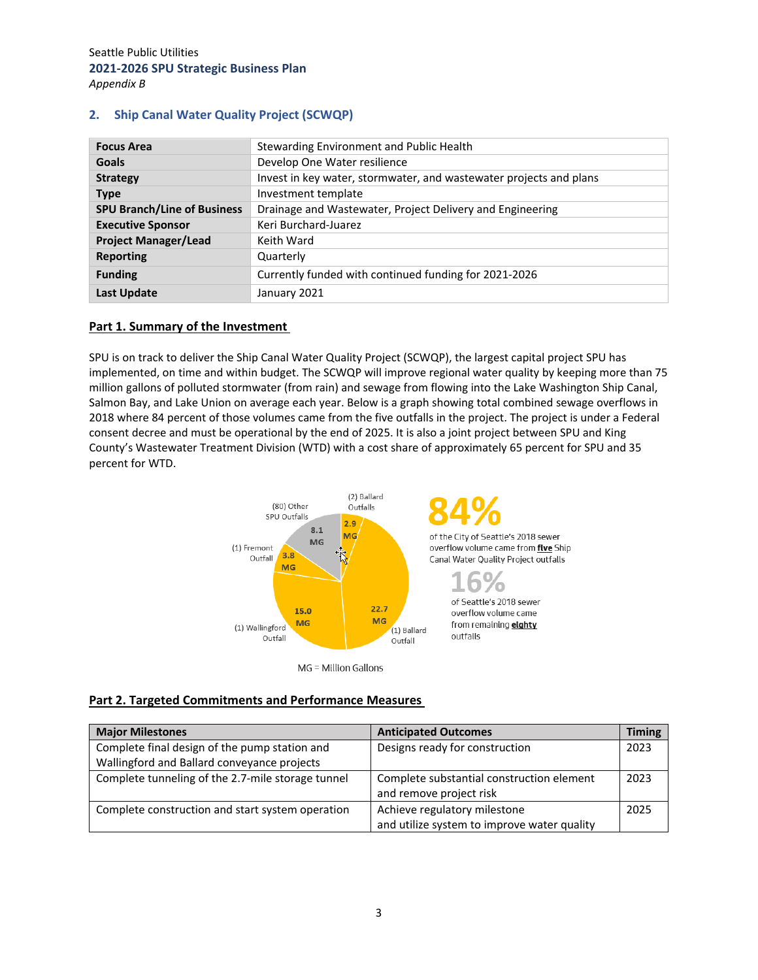| <b>Focus Area</b>                  | Stewarding Environment and Public Health                           |
|------------------------------------|--------------------------------------------------------------------|
| <b>Goals</b>                       | Develop One Water resilience                                       |
| <b>Strategy</b>                    | Invest in key water, stormwater, and wastewater projects and plans |
| <b>Type</b>                        | Investment template                                                |
| <b>SPU Branch/Line of Business</b> | Drainage and Wastewater, Project Delivery and Engineering          |
| <b>Executive Sponsor</b>           | Keri Burchard-Juarez                                               |
| <b>Project Manager/Lead</b>        | Keith Ward                                                         |
| <b>Reporting</b>                   | Quarterly                                                          |
| <b>Funding</b>                     | Currently funded with continued funding for 2021-2026              |
| <b>Last Update</b>                 | January 2021                                                       |

# **2. Ship Canal Water Quality Project (SCWQP)**

## **Part 1. Summary of the Investment**

SPU is on track to deliver the Ship Canal Water Quality Project (SCWQP), the largest capital project SPU has implemented, on time and within budget. The SCWQP will improve regional water quality by keeping more than 75 million gallons of polluted stormwater (from rain) and sewage from flowing into the Lake Washington Ship Canal, Salmon Bay, and Lake Union on average each year. Below is a graph showing total combined sewage overflows in 2018 where 84 percent of those volumes came from the five outfalls in the project. The project is under a Federal consent decree and must be operational by the end of 2025. It is also a joint project between SPU and King County's Wastewater Treatment Division (WTD) with a cost share of approximately 65 percent for SPU and 35 percent for WTD.



MG = Million Gallons

### **Part 2. Targeted Commitments and Performance Measures**

| <b>Major Milestones</b>                           | <b>Anticipated Outcomes</b>                 | <b>Timing</b> |
|---------------------------------------------------|---------------------------------------------|---------------|
| Complete final design of the pump station and     | Designs ready for construction              | 2023          |
| Wallingford and Ballard conveyance projects       |                                             |               |
| Complete tunneling of the 2.7-mile storage tunnel | Complete substantial construction element   | 2023          |
|                                                   | and remove project risk                     |               |
| Complete construction and start system operation  | Achieve regulatory milestone                | 2025          |
|                                                   | and utilize system to improve water quality |               |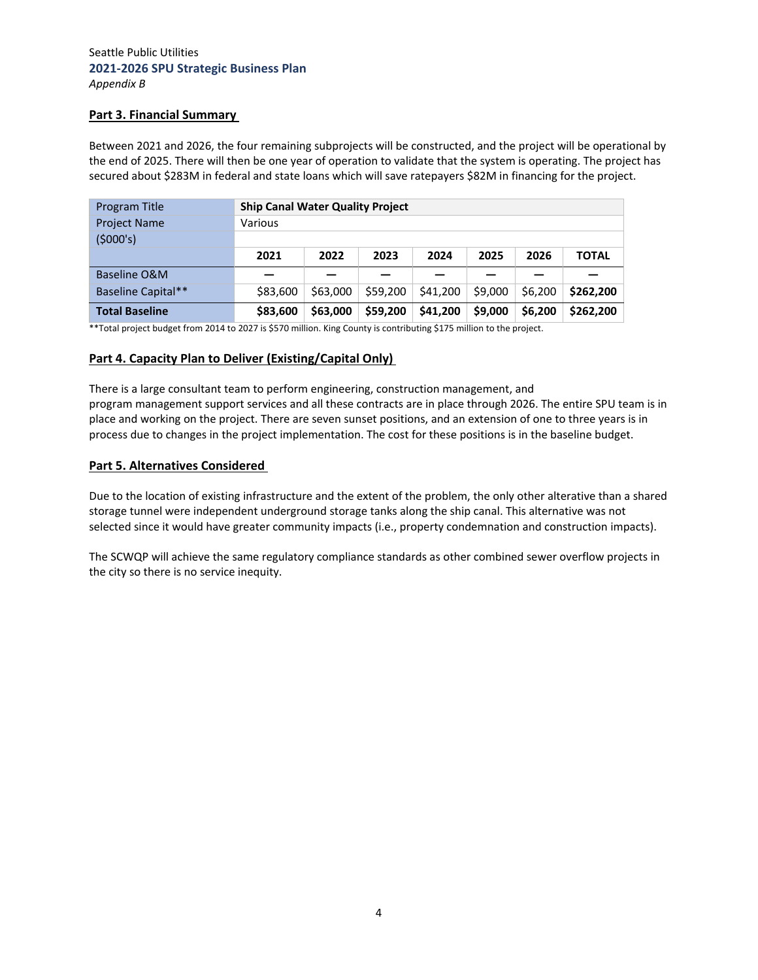#### **Part 3. Financial Summary**

Between 2021 and 2026, the four remaining subprojects will be constructed, and the project will be operational by the end of 2025. There will then be one year of operation to validate that the system is operating. The project has secured about \$283M in federal and state loans which will save ratepayers \$82M in financing for the project.

| Program Title         | <b>Ship Canal Water Quality Project</b> |          |          |          |         |         |              |
|-----------------------|-----------------------------------------|----------|----------|----------|---------|---------|--------------|
| <b>Project Name</b>   | Various                                 |          |          |          |         |         |              |
| (5000's)              |                                         |          |          |          |         |         |              |
|                       | 2021                                    | 2022     | 2023     | 2024     | 2025    | 2026    | <b>TOTAL</b> |
| Baseline O&M          |                                         |          |          |          |         |         |              |
| Baseline Capital**    | \$83,600                                | \$63,000 | \$59,200 | \$41,200 | \$9,000 | \$6,200 | \$262.200    |
| <b>Total Baseline</b> | \$83,600                                | \$63,000 | \$59,200 | \$41,200 | \$9,000 | \$6,200 | \$262.200    |

\*\*Total project budget from 2014 to 2027 is \$570 million. King County is contributing \$175 million to the project.

#### **Part 4. Capacity Plan to Deliver (Existing/Capital Only)**

There is a large consultant team to perform engineering, construction management, and program management support services and all these contracts are in place through 2026. The entire SPU team is in place and working on the project. There are seven sunset positions, and an extension of one to three years is in process due to changes in the project implementation. The cost for these positions is in the baseline budget.

#### **Part 5. Alternatives Considered**

Due to the location of existing infrastructure and the extent of the problem, the only other alterative than a shared storage tunnel were independent underground storage tanks along the ship canal. This alternative was not selected since it would have greater community impacts (i.e., property condemnation and construction impacts).

The SCWQP will achieve the same regulatory compliance standards as other combined sewer overflow projects in the city so there is no service inequity.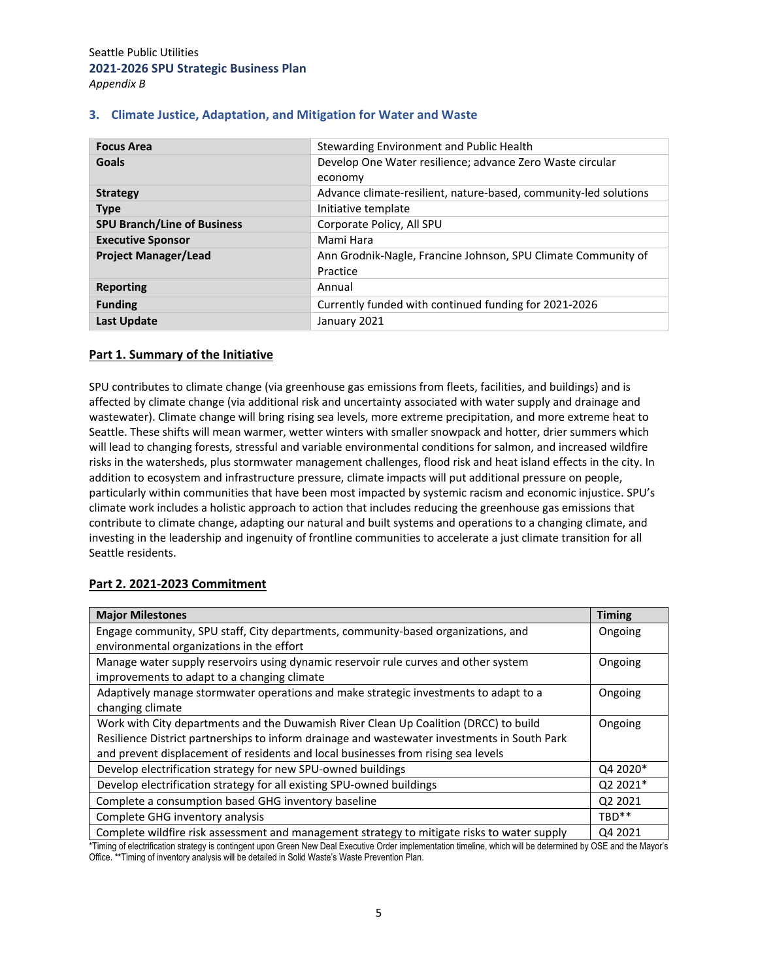| <b>Focus Area</b>                  | Stewarding Environment and Public Health                         |  |  |  |
|------------------------------------|------------------------------------------------------------------|--|--|--|
| Goals                              | Develop One Water resilience; advance Zero Waste circular        |  |  |  |
|                                    | economy                                                          |  |  |  |
| <b>Strategy</b>                    | Advance climate-resilient, nature-based, community-led solutions |  |  |  |
| <b>Type</b>                        | Initiative template                                              |  |  |  |
| <b>SPU Branch/Line of Business</b> | Corporate Policy, All SPU                                        |  |  |  |
| <b>Executive Sponsor</b>           | Mami Hara                                                        |  |  |  |
| <b>Project Manager/Lead</b>        | Ann Grodnik-Nagle, Francine Johnson, SPU Climate Community of    |  |  |  |
|                                    | Practice                                                         |  |  |  |
| <b>Reporting</b>                   | Annual                                                           |  |  |  |
| <b>Funding</b>                     | Currently funded with continued funding for 2021-2026            |  |  |  |
| <b>Last Update</b>                 | January 2021                                                     |  |  |  |

## **3. Climate Justice, Adaptation, and Mitigation for Water and Waste**

## **Part 1. Summary of the Initiative**

SPU contributes to climate change (via greenhouse gas emissions from fleets, facilities, and buildings) and is affected by climate change (via additional risk and uncertainty associated with water supply and drainage and wastewater). Climate change will bring rising sea levels, more extreme precipitation, and more extreme heat to Seattle. These shifts will mean warmer, wetter winters with smaller snowpack and hotter, drier summers which will lead to changing forests, stressful and variable environmental conditions for salmon, and increased wildfire risks in the watersheds, plus stormwater management challenges, flood risk and heat island effects in the city. In addition to ecosystem and infrastructure pressure, climate impacts will put additional pressure on people, particularly within communities that have been most impacted by systemic racism and economic injustice. SPU's climate work includes a holistic approach to action that includes reducing the greenhouse gas emissions that contribute to climate change, adapting our natural and built systems and operations to a changing climate, and investing in the leadership and ingenuity of frontline communities to accelerate a just climate transition for all Seattle residents.

#### **Part 2. 2021‐2023 Commitment**

| <b>Major Milestones</b>                                                                      | <b>Timing</b> |  |  |  |
|----------------------------------------------------------------------------------------------|---------------|--|--|--|
| Engage community, SPU staff, City departments, community-based organizations, and            | Ongoing       |  |  |  |
| environmental organizations in the effort                                                    |               |  |  |  |
| Manage water supply reservoirs using dynamic reservoir rule curves and other system          | Ongoing       |  |  |  |
| improvements to adapt to a changing climate                                                  |               |  |  |  |
| Adaptively manage stormwater operations and make strategic investments to adapt to a         | Ongoing       |  |  |  |
| changing climate                                                                             |               |  |  |  |
| Work with City departments and the Duwamish River Clean Up Coalition (DRCC) to build         | Ongoing       |  |  |  |
| Resilience District partnerships to inform drainage and wastewater investments in South Park |               |  |  |  |
| and prevent displacement of residents and local businesses from rising sea levels            |               |  |  |  |
| Develop electrification strategy for new SPU-owned buildings                                 | Q4 2020*      |  |  |  |
| Develop electrification strategy for all existing SPU-owned buildings                        | Q2 2021*      |  |  |  |
| Complete a consumption based GHG inventory baseline                                          | Q2 2021       |  |  |  |
| Complete GHG inventory analysis                                                              |               |  |  |  |
| Complete wildfire risk assessment and management strategy to mitigate risks to water supply  | Q4 2021       |  |  |  |

\*Timing of electrification strategy is contingent upon Green New Deal Executive Order implementation timeline, which will be determined by OSE and the Mayor's Office. \*\*Timing of inventory analysis will be detailed in Solid Waste's Waste Prevention Plan.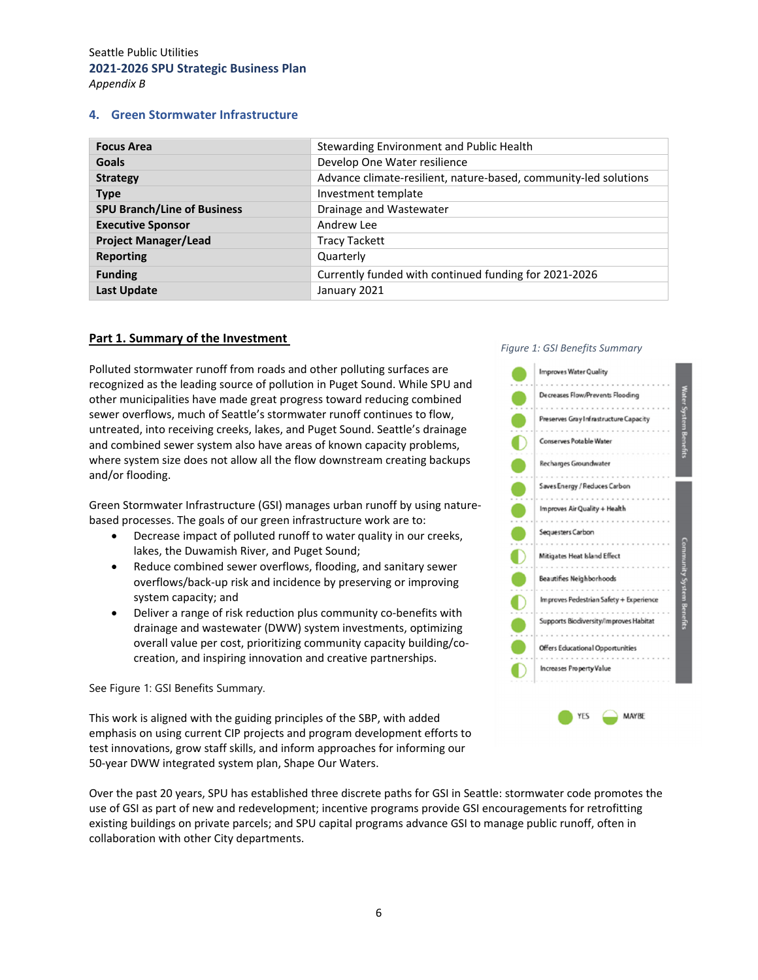#### **4. Green Stormwater Infrastructure**

| <b>Focus Area</b>                  | Stewarding Environment and Public Health                         |
|------------------------------------|------------------------------------------------------------------|
| <b>Goals</b>                       | Develop One Water resilience                                     |
| <b>Strategy</b>                    | Advance climate-resilient, nature-based, community-led solutions |
| <b>Type</b>                        | Investment template                                              |
| <b>SPU Branch/Line of Business</b> | Drainage and Wastewater                                          |
| <b>Executive Sponsor</b>           | Andrew Lee                                                       |
| <b>Project Manager/Lead</b>        | <b>Tracy Tackett</b>                                             |
| <b>Reporting</b>                   | Quarterly                                                        |
| <b>Funding</b>                     | Currently funded with continued funding for 2021-2026            |
| <b>Last Update</b>                 | January 2021                                                     |

#### **Part 1. Summary of the Investment**

Polluted stormwater runoff from roads and other polluting surfaces are recognized as the leading source of pollution in Puget Sound. While SPU and other municipalities have made great progress toward reducing combined sewer overflows, much of Seattle's stormwater runoff continues to flow, untreated, into receiving creeks, lakes, and Puget Sound. Seattle's drainage and combined sewer system also have areas of known capacity problems, where system size does not allow all the flow downstream creating backups and/or flooding.

Green Stormwater Infrastructure (GSI) manages urban runoff by using nature‐ based processes. The goals of our green infrastructure work are to:

- Decrease impact of polluted runoff to water quality in our creeks, lakes, the Duwamish River, and Puget Sound;
- Reduce combined sewer overflows, flooding, and sanitary sewer overflows/back‐up risk and incidence by preserving or improving system capacity; and
- Deliver a range of risk reduction plus community co-benefits with drainage and wastewater (DWW) system investments, optimizing overall value per cost, prioritizing community capacity building/co‐ creation, and inspiring innovation and creative partnerships.

See Figure 1: GSI Benefits Summary.

This work is aligned with the guiding principles of the SBP, with added emphasis on using current CIP projects and program development efforts to test innovations, grow staff skills, and inform approaches for informing our 50‐year DWW integrated system plan, Shape Our Waters.

Over the past 20 years, SPU has established three discrete paths for GSI in Seattle: stormwater code promotes the use of GSI as part of new and redevelopment; incentive programs provide GSI encouragements for retrofitting existing buildings on private parcels; and SPU capital programs advance GSI to manage public runoff, often in collaboration with other City departments.

#### *Figure 1: GSI Benefits Summary*

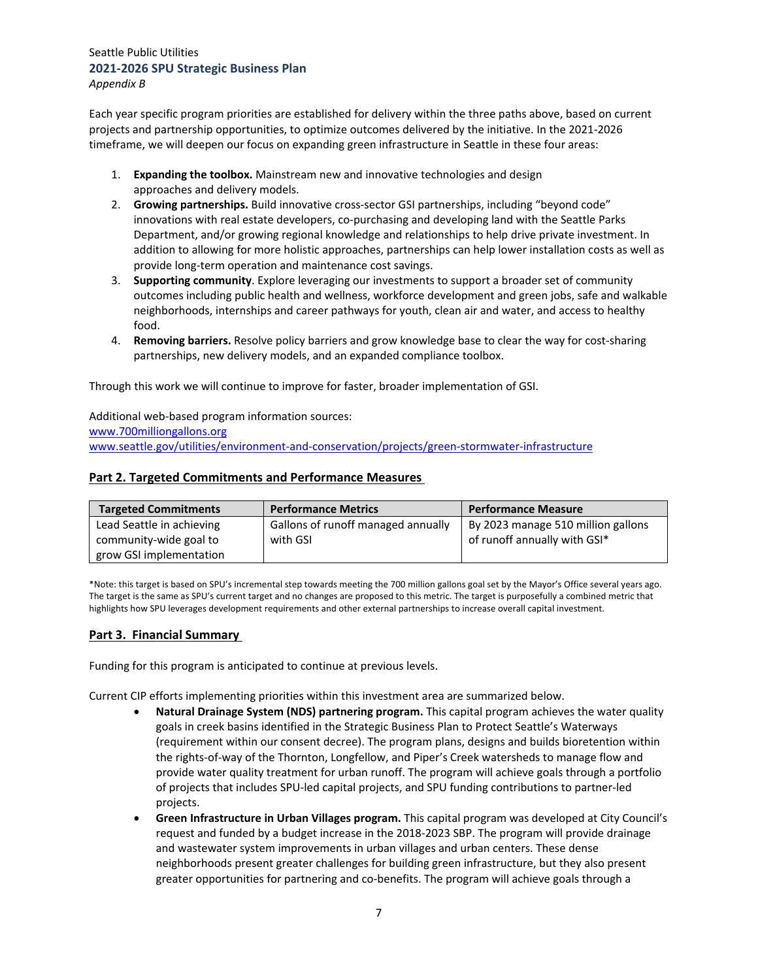Each year specific program priorities are established for delivery within the three paths above, based on current projects and partnership opportunities, to optimize outcomes delivered by the initiative. In the 2021‐2026 timeframe, we will deepen our focus on expanding green infrastructure in Seattle in these four areas:

- 1. **Expanding the toolbox.** Mainstream new and innovative technologies and design approaches and delivery models.
- 2. **Growing partnerships.** Build innovative cross‐sector GSI partnerships, including "beyond code" innovations with real estate developers, co-purchasing and developing land with the Seattle Parks Department, and/or growing regional knowledge and relationships to help drive private investment. In addition to allowing for more holistic approaches, partnerships can help lower installation costs as well as provide long‐term operation and maintenance cost savings.
- 3. **Supporting community**. Explore leveraging our investments to support a broader set of community outcomes including public health and wellness, workforce development and green jobs, safe and walkable neighborhoods, internships and career pathways for youth, clean air and water, and access to healthy food.
- 4. **Removing barriers.** Resolve policy barriers and grow knowledge base to clear the way for cost‐sharing partnerships, new delivery models, and an expanded compliance toolbox.

Through this work we will continue to improve for faster, broader implementation of GSI.

## Additional web‐based program information sources:

www.700milliongallons.org www.seattle.gov/utilities/environment‐and‐conservation/projects/green‐stormwater‐infrastructure

#### **Part 2. Targeted Commitments and Performance Measures**

| <b>Targeted Commitments</b> | <b>Performance Metrics</b>         | <b>Performance Measure</b>         |
|-----------------------------|------------------------------------|------------------------------------|
| Lead Seattle in achieving   | Gallons of runoff managed annually | By 2023 manage 510 million gallons |
| community-wide goal to      | with GSI                           | of runoff annually with GSI*       |
| grow GSI implementation     |                                    |                                    |

\*Note: this target is based on SPU's incremental step towards meeting the 700 million gallons goal set by the Mayor's Office several years ago. The target is the same as SPU's current target and no changes are proposed to this metric. The target is purposefully a combined metric that highlights how SPU leverages development requirements and other external partnerships to increase overall capital investment.

#### **Part 3.  Financial Summary**

Funding for this program is anticipated to continue at previous levels.

Current CIP efforts implementing priorities within this investment area are summarized below.

- **Natural Drainage System (NDS) partnering program.** This capital program achieves the water quality goals in creek basins identified in the Strategic Business Plan to Protect Seattle's Waterways (requirement within our consent decree). The program plans, designs and builds bioretention within the rights‐of‐way of the Thornton, Longfellow, and Piper's Creek watersheds to manage flow and provide water quality treatment for urban runoff. The program will achieve goals through a portfolio of projects that includes SPU‐led capital projects, and SPU funding contributions to partner‐led projects.
- **Green Infrastructure in Urban Villages program.** This capital program was developed at City Council's request and funded by a budget increase in the 2018‐2023 SBP. The program will provide drainage and wastewater system improvements in urban villages and urban centers. These dense neighborhoods present greater challenges for building green infrastructure, but they also present greater opportunities for partnering and co-benefits. The program will achieve goals through a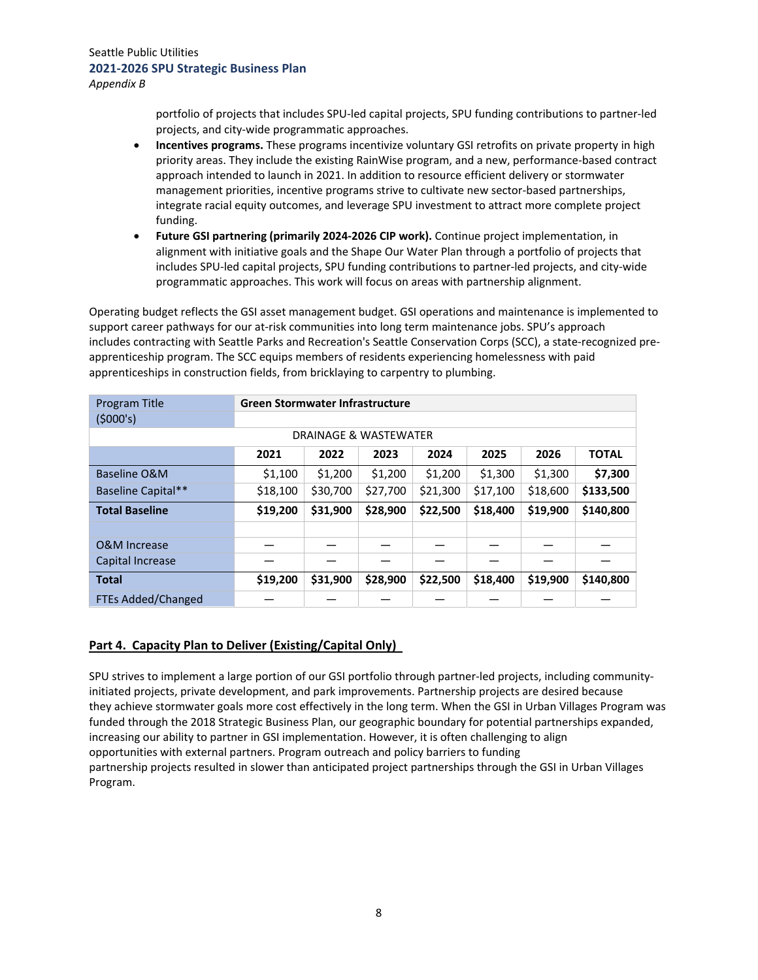portfolio of projects that includes SPU‐led capital projects, SPU funding contributions to partner‐led projects, and city‐wide programmatic approaches.

- **Incentives programs.** These programs incentivize voluntary GSI retrofits on private property in high priority areas. They include the existing RainWise program, and a new, performance‐based contract approach intended to launch in 2021. In addition to resource efficient delivery or stormwater management priorities, incentive programs strive to cultivate new sector-based partnerships, integrate racial equity outcomes, and leverage SPU investment to attract more complete project funding.
- **Future GSI partnering (primarily 2024‐2026 CIP work).** Continue project implementation, in alignment with initiative goals and the Shape Our Water Plan through a portfolio of projects that includes SPU‐led capital projects, SPU funding contributions to partner‐led projects, and city‐wide programmatic approaches. This work will focus on areas with partnership alignment.

Operating budget reflects the GSI asset management budget. GSI operations and maintenance is implemented to support career pathways for our at-risk communities into long term maintenance jobs. SPU's approach includes contracting with Seattle Parks and Recreation's Seattle Conservation Corps (SCC), a state‐recognized pre‐ apprenticeship program. The SCC equips members of residents experiencing homelessness with paid apprenticeships in construction fields, from bricklaying to carpentry to plumbing.

| Program Title             | <b>Green Stormwater Infrastructure</b> |          |          |          |          |          |              |
|---------------------------|----------------------------------------|----------|----------|----------|----------|----------|--------------|
| (5000's)                  |                                        |          |          |          |          |          |              |
|                           | DRAINAGE & WASTEWATER                  |          |          |          |          |          |              |
|                           | 2021                                   | 2022     | 2023     | 2024     | 2025     | 2026     | <b>TOTAL</b> |
| Baseline O&M              | \$1,100                                | \$1,200  | \$1,200  | \$1,200  | \$1,300  | \$1,300  | \$7,300      |
| Baseline Capital**        | \$18,100                               | \$30,700 | \$27,700 | \$21,300 | \$17,100 | \$18,600 | \$133,500    |
| <b>Total Baseline</b>     | \$19,200                               | \$31,900 | \$28,900 | \$22,500 | \$18,400 | \$19,900 | \$140,800    |
|                           |                                        |          |          |          |          |          |              |
| O&M Increase              |                                        |          |          |          |          |          |              |
| Capital Increase          |                                        |          |          |          |          |          |              |
| <b>Total</b>              | \$19,200                               | \$31,900 | \$28,900 | \$22,500 | \$18,400 | \$19,900 | \$140,800    |
| <b>FTEs Added/Changed</b> |                                        |          |          |          |          |          |              |

# **Part 4.  Capacity Plan to Deliver (Existing/Capital Only)**

SPU strives to implement a large portion of our GSI portfolio through partner-led projects, including communityinitiated projects, private development, and park improvements. Partnership projects are desired because they achieve stormwater goals more cost effectively in the long term. When the GSI in Urban Villages Program was funded through the 2018 Strategic Business Plan, our geographic boundary for potential partnerships expanded, increasing our ability to partner in GSI implementation. However, it is often challenging to align opportunities with external partners. Program outreach and policy barriers to funding partnership projects resulted in slower than anticipated project partnerships through the GSI in Urban Villages Program.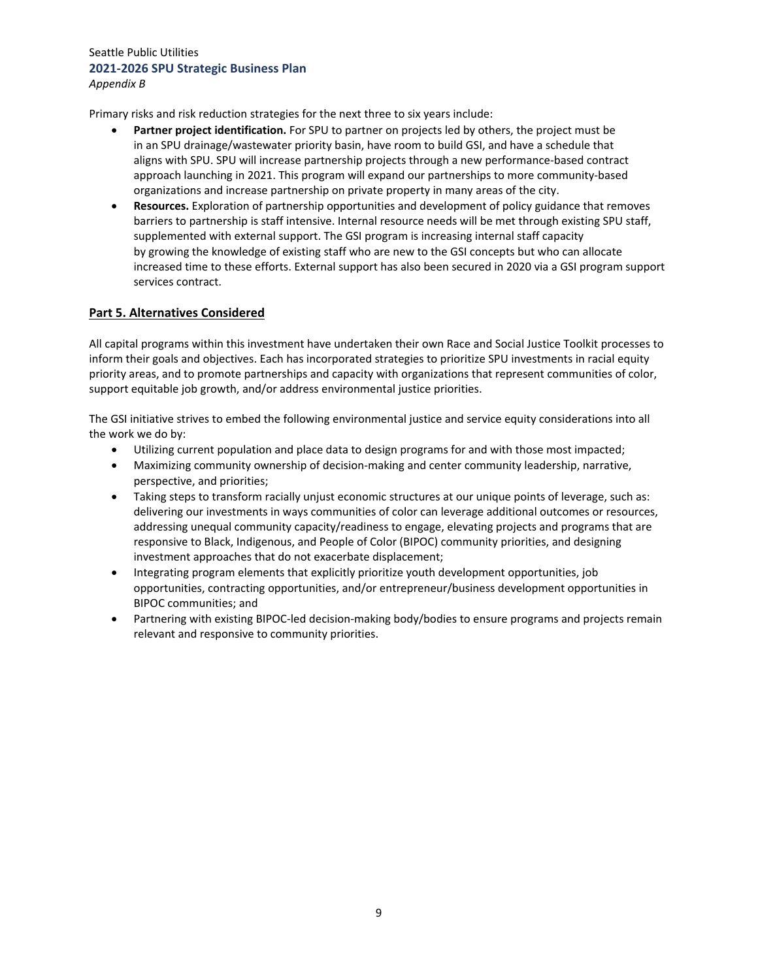*Appendix B*

Primary risks and risk reduction strategies for the next three to six years include:

- **Partner project identification.** For SPU to partner on projects led by others, the project must be in an SPU drainage/wastewater priority basin, have room to build GSI, and have a schedule that aligns with SPU. SPU will increase partnership projects through a new performance‐based contract approach launching in 2021. This program will expand our partnerships to more community-based organizations and increase partnership on private property in many areas of the city.
- **Resources.** Exploration of partnership opportunities and development of policy guidance that removes barriers to partnership is staff intensive. Internal resource needs will be met through existing SPU staff, supplemented with external support. The GSI program is increasing internal staff capacity by growing the knowledge of existing staff who are new to the GSI concepts but who can allocate increased time to these efforts. External support has also been secured in 2020 via a GSI program support services contract.

# **Part 5. Alternatives Considered**

All capital programs within this investment have undertaken their own Race and Social Justice Toolkit processes to inform their goals and objectives. Each has incorporated strategies to prioritize SPU investments in racial equity priority areas, and to promote partnerships and capacity with organizations that represent communities of color, support equitable job growth, and/or address environmental justice priorities.

The GSI initiative strives to embed the following environmental justice and service equity considerations into all the work we do by:

- Utilizing current population and place data to design programs for and with those most impacted;
- Maximizing community ownership of decision‐making and center community leadership, narrative, perspective, and priorities;
- Taking steps to transform racially unjust economic structures at our unique points of leverage, such as: delivering our investments in ways communities of color can leverage additional outcomes or resources, addressing unequal community capacity/readiness to engage, elevating projects and programs that are responsive to Black, Indigenous, and People of Color (BIPOC) community priorities, and designing investment approaches that do not exacerbate displacement;
- Integrating program elements that explicitly prioritize youth development opportunities, job opportunities, contracting opportunities, and/or entrepreneur/business development opportunities in BIPOC communities; and
- Partnering with existing BIPOC-led decision-making body/bodies to ensure programs and projects remain relevant and responsive to community priorities.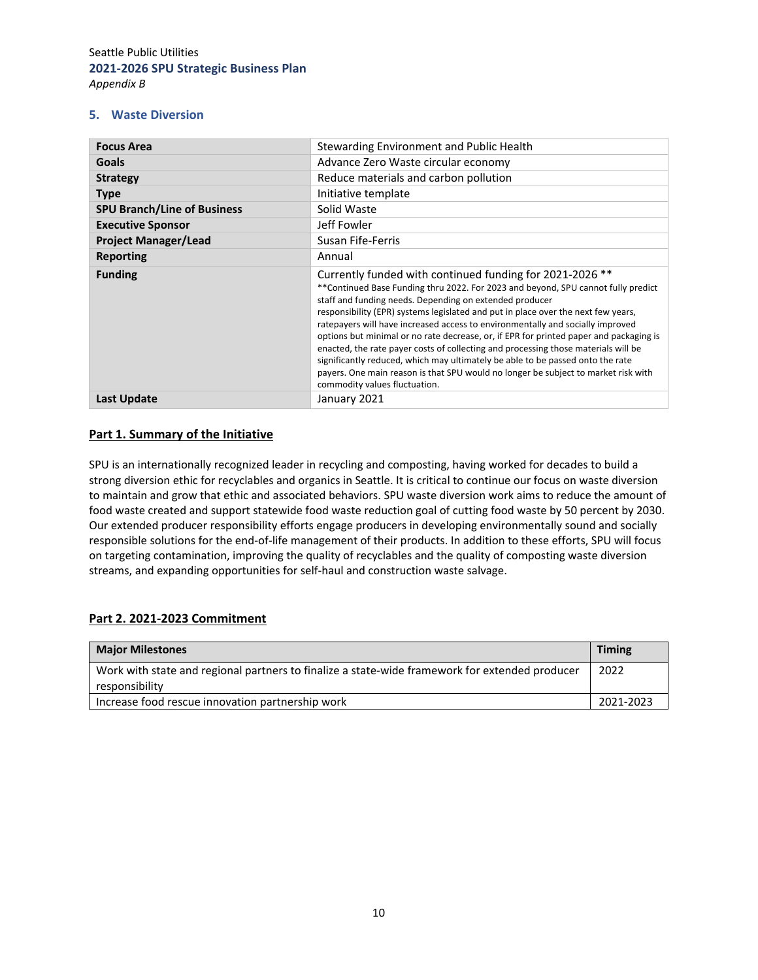#### **5. Waste Diversion**

| <b>Focus Area</b>                  | Stewarding Environment and Public Health                                                                                                                                                                                                                                                                                                                                                                                                                                                                                                                                                                                                                                                                                                                                  |
|------------------------------------|---------------------------------------------------------------------------------------------------------------------------------------------------------------------------------------------------------------------------------------------------------------------------------------------------------------------------------------------------------------------------------------------------------------------------------------------------------------------------------------------------------------------------------------------------------------------------------------------------------------------------------------------------------------------------------------------------------------------------------------------------------------------------|
| <b>Goals</b>                       | Advance Zero Waste circular economy                                                                                                                                                                                                                                                                                                                                                                                                                                                                                                                                                                                                                                                                                                                                       |
| <b>Strategy</b>                    | Reduce materials and carbon pollution                                                                                                                                                                                                                                                                                                                                                                                                                                                                                                                                                                                                                                                                                                                                     |
| <b>Type</b>                        | Initiative template                                                                                                                                                                                                                                                                                                                                                                                                                                                                                                                                                                                                                                                                                                                                                       |
| <b>SPU Branch/Line of Business</b> | Solid Waste                                                                                                                                                                                                                                                                                                                                                                                                                                                                                                                                                                                                                                                                                                                                                               |
| <b>Executive Sponsor</b>           | Jeff Fowler                                                                                                                                                                                                                                                                                                                                                                                                                                                                                                                                                                                                                                                                                                                                                               |
| <b>Project Manager/Lead</b>        | Susan Fife-Ferris                                                                                                                                                                                                                                                                                                                                                                                                                                                                                                                                                                                                                                                                                                                                                         |
| Reporting                          | Annual                                                                                                                                                                                                                                                                                                                                                                                                                                                                                                                                                                                                                                                                                                                                                                    |
| <b>Funding</b>                     | Currently funded with continued funding for 2021-2026 **<br>** Continued Base Funding thru 2022. For 2023 and beyond, SPU cannot fully predict<br>staff and funding needs. Depending on extended producer<br>responsibility (EPR) systems legislated and put in place over the next few years,<br>ratepayers will have increased access to environmentally and socially improved<br>options but minimal or no rate decrease, or, if EPR for printed paper and packaging is<br>enacted, the rate payer costs of collecting and processing those materials will be<br>significantly reduced, which may ultimately be able to be passed onto the rate<br>payers. One main reason is that SPU would no longer be subject to market risk with<br>commodity values fluctuation. |
| Last Update                        | January 2021                                                                                                                                                                                                                                                                                                                                                                                                                                                                                                                                                                                                                                                                                                                                                              |

#### **Part 1. Summary of the Initiative**

SPU is an internationally recognized leader in recycling and composting, having worked for decades to build a strong diversion ethic for recyclables and organics in Seattle. It is critical to continue our focus on waste diversion to maintain and grow that ethic and associated behaviors. SPU waste diversion work aims to reduce the amount of food waste created and support statewide food waste reduction goal of cutting food waste by 50 percent by 2030. Our extended producer responsibility efforts engage producers in developing environmentally sound and socially responsible solutions for the end-of-life management of their products. In addition to these efforts, SPU will focus on targeting contamination, improving the quality of recyclables and the quality of composting waste diversion streams, and expanding opportunities for self‐haul and construction waste salvage.

#### **Part 2. 2021‐2023 Commitment**

| <b>Major Milestones</b>                                                                                          | <b>Timing</b> |
|------------------------------------------------------------------------------------------------------------------|---------------|
| Work with state and regional partners to finalize a state-wide framework for extended producer<br>responsibility | 2022          |
| Increase food rescue innovation partnership work                                                                 | 2021-2023     |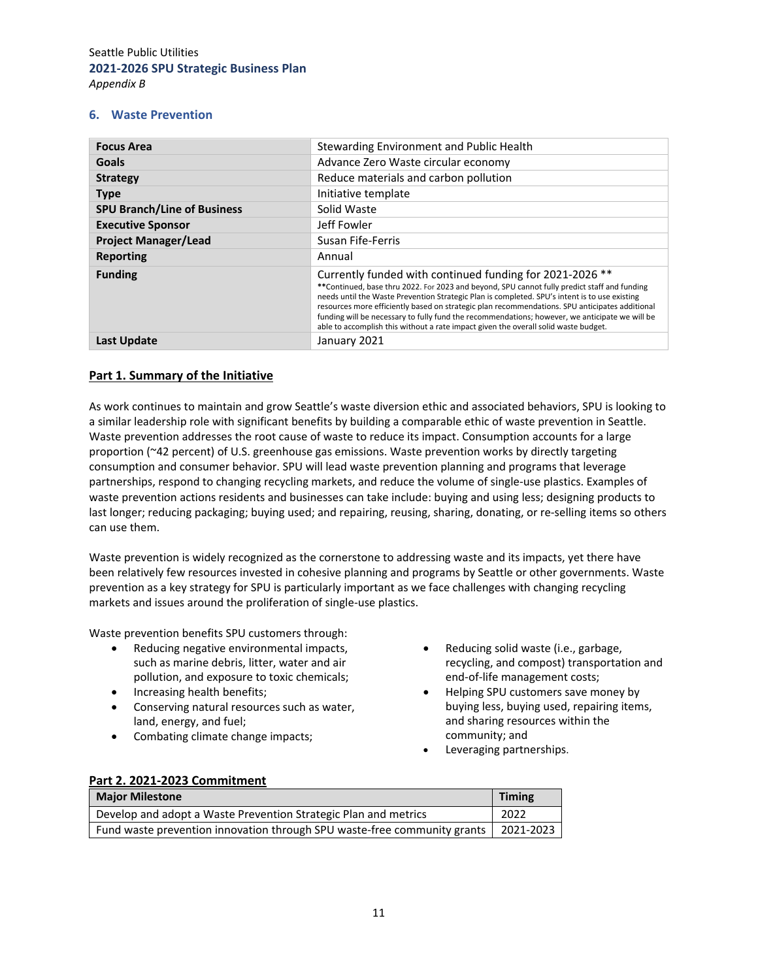#### **6. Waste Prevention**

| <b>Focus Area</b>                  | Stewarding Environment and Public Health                                                                                                                                                                                                                                                                                                                                                                                                                                                                                                             |
|------------------------------------|------------------------------------------------------------------------------------------------------------------------------------------------------------------------------------------------------------------------------------------------------------------------------------------------------------------------------------------------------------------------------------------------------------------------------------------------------------------------------------------------------------------------------------------------------|
| <b>Goals</b>                       | Advance Zero Waste circular economy                                                                                                                                                                                                                                                                                                                                                                                                                                                                                                                  |
| <b>Strategy</b>                    | Reduce materials and carbon pollution                                                                                                                                                                                                                                                                                                                                                                                                                                                                                                                |
| <b>Type</b>                        | Initiative template                                                                                                                                                                                                                                                                                                                                                                                                                                                                                                                                  |
| <b>SPU Branch/Line of Business</b> | Solid Waste                                                                                                                                                                                                                                                                                                                                                                                                                                                                                                                                          |
| <b>Executive Sponsor</b>           | Jeff Fowler                                                                                                                                                                                                                                                                                                                                                                                                                                                                                                                                          |
| <b>Project Manager/Lead</b>        | Susan Fife-Ferris                                                                                                                                                                                                                                                                                                                                                                                                                                                                                                                                    |
| <b>Reporting</b>                   | Annual                                                                                                                                                                                                                                                                                                                                                                                                                                                                                                                                               |
| <b>Funding</b>                     | Currently funded with continued funding for 2021-2026 **<br>**Continued, base thru 2022. For 2023 and beyond, SPU cannot fully predict staff and funding<br>needs until the Waste Prevention Strategic Plan is completed. SPU's intent is to use existing<br>resources more efficiently based on strategic plan recommendations. SPU anticipates additional<br>funding will be necessary to fully fund the recommendations; however, we anticipate we will be<br>able to accomplish this without a rate impact given the overall solid waste budget. |
| <b>Last Update</b>                 | January 2021                                                                                                                                                                                                                                                                                                                                                                                                                                                                                                                                         |

## **Part 1. Summary of the Initiative**

As work continues to maintain and grow Seattle's waste diversion ethic and associated behaviors, SPU is looking to a similar leadership role with significant benefits by building a comparable ethic of waste prevention in Seattle. Waste prevention addresses the root cause of waste to reduce its impact. Consumption accounts for a large proportion (~42 percent) of U.S. greenhouse gas emissions. Waste prevention works by directly targeting consumption and consumer behavior. SPU will lead waste prevention planning and programs that leverage partnerships, respond to changing recycling markets, and reduce the volume of single‐use plastics. Examples of waste prevention actions residents and businesses can take include: buying and using less; designing products to last longer; reducing packaging; buying used; and repairing, reusing, sharing, donating, or re-selling items so others can use them.

Waste prevention is widely recognized as the cornerstone to addressing waste and its impacts, yet there have been relatively few resources invested in cohesive planning and programs by Seattle or other governments. Waste prevention as a key strategy for SPU is particularly important as we face challenges with changing recycling markets and issues around the proliferation of single‐use plastics.

Waste prevention benefits SPU customers through:

- Reducing negative environmental impacts, such as marine debris, litter, water and air pollution, and exposure to toxic chemicals;
- Increasing health benefits;
- Conserving natural resources such as water, land, energy, and fuel;
- Combating climate change impacts;
- Reducing solid waste (i.e., garbage, recycling, and compost) transportation and end‐of‐life management costs;
- Helping SPU customers save money by buying less, buying used, repairing items, and sharing resources within the community; and
- Leveraging partnerships.

|  |  | Part 2. 2021-2023 Commitment |  |
|--|--|------------------------------|--|
|  |  |                              |  |

| <b>Major Milestone</b>                                                   | <b>Timing</b> |
|--------------------------------------------------------------------------|---------------|
| Develop and adopt a Waste Prevention Strategic Plan and metrics          | 2022          |
| Fund waste prevention innovation through SPU waste-free community grants | 2021-2023     |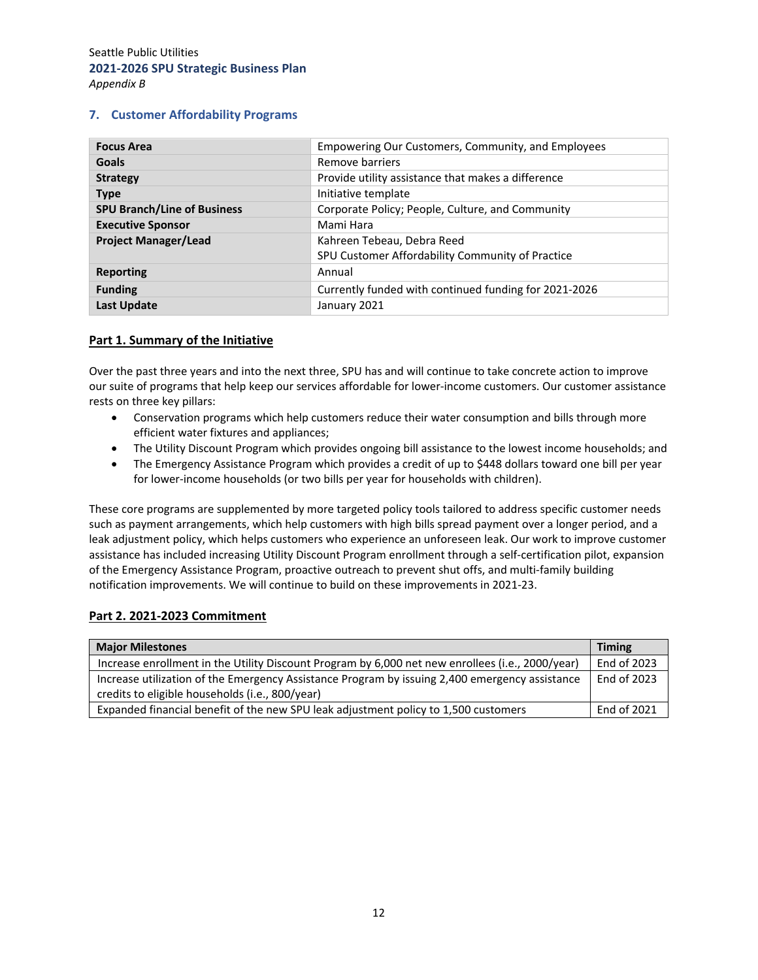#### **7. Customer Affordability Programs**

| <b>Focus Area</b>                  | Empowering Our Customers, Community, and Employees    |
|------------------------------------|-------------------------------------------------------|
| Goals                              | Remove barriers                                       |
| <b>Strategy</b>                    | Provide utility assistance that makes a difference    |
| <b>Type</b>                        | Initiative template                                   |
| <b>SPU Branch/Line of Business</b> | Corporate Policy; People, Culture, and Community      |
| <b>Executive Sponsor</b>           | Mami Hara                                             |
| <b>Project Manager/Lead</b>        | Kahreen Tebeau, Debra Reed                            |
|                                    | SPU Customer Affordability Community of Practice      |
| <b>Reporting</b>                   | Annual                                                |
| <b>Funding</b>                     | Currently funded with continued funding for 2021-2026 |
| <b>Last Update</b>                 | January 2021                                          |

#### **Part 1. Summary of the Initiative**

Over the past three years and into the next three, SPU has and will continue to take concrete action to improve our suite of programs that help keep our services affordable for lower‐income customers. Our customer assistance rests on three key pillars:

- Conservation programs which help customers reduce their water consumption and bills through more efficient water fixtures and appliances;
- The Utility Discount Program which provides ongoing bill assistance to the lowest income households; and
- The Emergency Assistance Program which provides a credit of up to \$448 dollars toward one bill per year for lower-income households (or two bills per year for households with children).

These core programs are supplemented by more targeted policy tools tailored to address specific customer needs such as payment arrangements, which help customers with high bills spread payment over a longer period, and a leak adjustment policy, which helps customers who experience an unforeseen leak. Our work to improve customer assistance has included increasing Utility Discount Program enrollment through a self‐certification pilot, expansion of the Emergency Assistance Program, proactive outreach to prevent shut offs, and multi‐family building notification improvements. We will continue to build on these improvements in 2021‐23.

#### **Part 2. 2021‐2023 Commitment**

| <b>Major Milestones</b>                                                                          | <b>Timing</b> |
|--------------------------------------------------------------------------------------------------|---------------|
| Increase enrollment in the Utility Discount Program by 6,000 net new enrollees (i.e., 2000/year) | End of 2023   |
| Increase utilization of the Emergency Assistance Program by issuing 2,400 emergency assistance   | End of 2023   |
| credits to eligible households (i.e., 800/year)                                                  |               |
| Expanded financial benefit of the new SPU leak adjustment policy to 1,500 customers              | End of 2021   |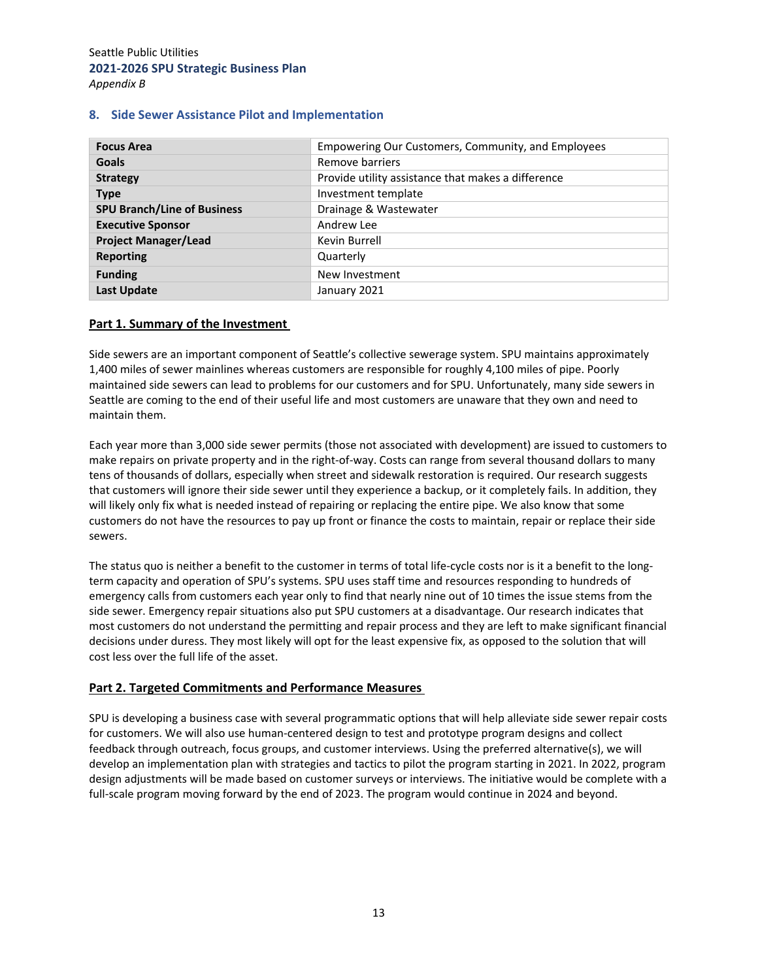#### **8. Side Sewer Assistance Pilot and Implementation**

| <b>Focus Area</b>                  | Empowering Our Customers, Community, and Employees |
|------------------------------------|----------------------------------------------------|
| <b>Goals</b>                       | Remove barriers                                    |
| <b>Strategy</b>                    | Provide utility assistance that makes a difference |
| <b>Type</b>                        | Investment template                                |
| <b>SPU Branch/Line of Business</b> | Drainage & Wastewater                              |
| <b>Executive Sponsor</b>           | Andrew Lee                                         |
| <b>Project Manager/Lead</b>        | Kevin Burrell                                      |
| <b>Reporting</b>                   | Quarterly                                          |
| <b>Funding</b>                     | New Investment                                     |
| <b>Last Update</b>                 | January 2021                                       |

#### **Part 1. Summary of the Investment**

Side sewers are an important component of Seattle's collective sewerage system. SPU maintains approximately 1,400 miles of sewer mainlines whereas customers are responsible for roughly 4,100 miles of pipe. Poorly maintained side sewers can lead to problems for our customers and for SPU. Unfortunately, many side sewers in Seattle are coming to the end of their useful life and most customers are unaware that they own and need to maintain them.

Each year more than 3,000 side sewer permits (those not associated with development) are issued to customers to make repairs on private property and in the right‐of‐way. Costs can range from several thousand dollars to many tens of thousands of dollars, especially when street and sidewalk restoration is required. Our research suggests that customers will ignore their side sewer until they experience a backup, or it completely fails. In addition, they will likely only fix what is needed instead of repairing or replacing the entire pipe. We also know that some customers do not have the resources to pay up front or finance the costs to maintain, repair or replace their side sewers.

The status quo is neither a benefit to the customer in terms of total life-cycle costs nor is it a benefit to the longterm capacity and operation of SPU's systems. SPU uses staff time and resources responding to hundreds of emergency calls from customers each year only to find that nearly nine out of 10 times the issue stems from the side sewer. Emergency repair situations also put SPU customers at a disadvantage. Our research indicates that most customers do not understand the permitting and repair process and they are left to make significant financial decisions under duress. They most likely will opt for the least expensive fix, as opposed to the solution that will cost less over the full life of the asset.

#### **Part 2. Targeted Commitments and Performance Measures**

SPU is developing a business case with several programmatic options that will help alleviate side sewer repair costs for customers. We will also use human‐centered design to test and prototype program designs and collect feedback through outreach, focus groups, and customer interviews. Using the preferred alternative(s), we will develop an implementation plan with strategies and tactics to pilot the program starting in 2021. In 2022, program design adjustments will be made based on customer surveys or interviews. The initiative would be complete with a full-scale program moving forward by the end of 2023. The program would continue in 2024 and beyond.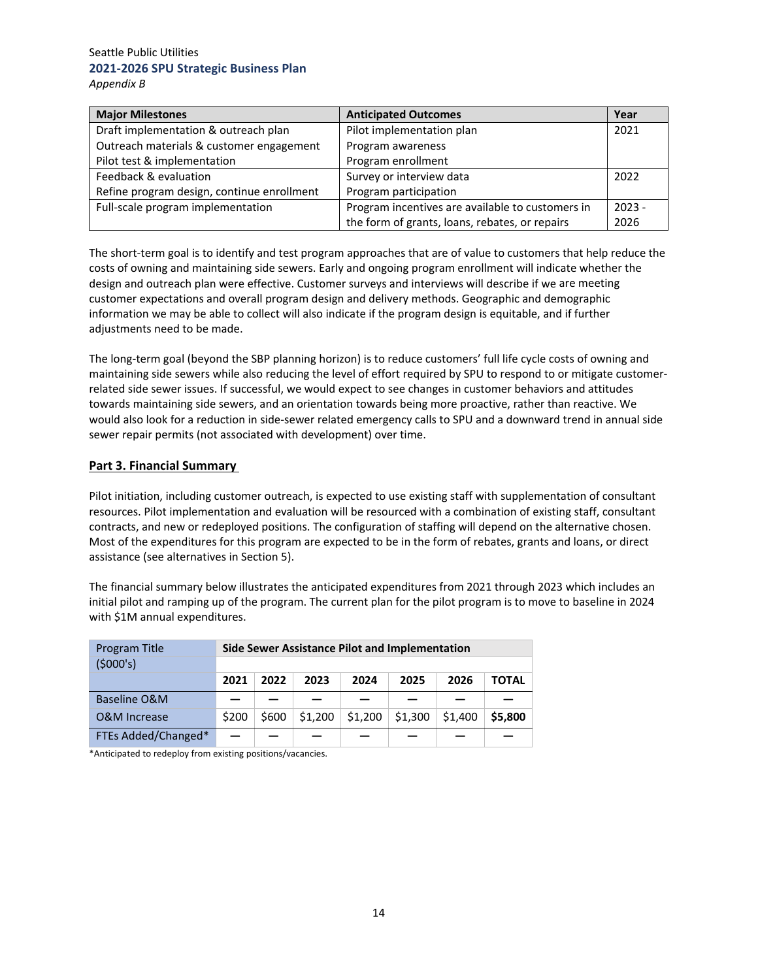| <b>Major Milestones</b>                    | <b>Anticipated Outcomes</b>                      | Year     |
|--------------------------------------------|--------------------------------------------------|----------|
| Draft implementation & outreach plan       | Pilot implementation plan                        | 2021     |
| Outreach materials & customer engagement   | Program awareness                                |          |
| Pilot test & implementation                | Program enrollment                               |          |
| Feedback & evaluation                      | Survey or interview data                         | 2022     |
| Refine program design, continue enrollment | Program participation                            |          |
| Full-scale program implementation          | Program incentives are available to customers in | $2023 -$ |
|                                            | the form of grants, loans, rebates, or repairs   | 2026     |

The short-term goal is to identify and test program approaches that are of value to customers that help reduce the costs of owning and maintaining side sewers. Early and ongoing program enrollment will indicate whether the design and outreach plan were effective. Customer surveys and interviews will describe if we are meeting customer expectations and overall program design and delivery methods. Geographic and demographic information we may be able to collect will also indicate if the program design is equitable, and if further adjustments need to be made.

The long‐term goal (beyond the SBP planning horizon) is to reduce customers' full life cycle costs of owning and maintaining side sewers while also reducing the level of effort required by SPU to respond to or mitigate customer‐ related side sewer issues. If successful, we would expect to see changes in customer behaviors and attitudes towards maintaining side sewers, and an orientation towards being more proactive, rather than reactive. We would also look for a reduction in side-sewer related emergency calls to SPU and a downward trend in annual side sewer repair permits (not associated with development) over time.

#### **Part 3. Financial Summary**

Pilot initiation, including customer outreach, is expected to use existing staff with supplementation of consultant resources. Pilot implementation and evaluation will be resourced with a combination of existing staff, consultant contracts, and new or redeployed positions. The configuration of staffing will depend on the alternative chosen. Most of the expenditures for this program are expected to be in the form of rebates, grants and loans, or direct assistance (see alternatives in Section 5).

The financial summary below illustrates the anticipated expenditures from 2021 through 2023 which includes an initial pilot and ramping up of the program. The current plan for the pilot program is to move to baseline in 2024 with \$1M annual expenditures.

| Program Title           |       | Side Sewer Assistance Pilot and Implementation |         |         |         |         |         |
|-------------------------|-------|------------------------------------------------|---------|---------|---------|---------|---------|
| (\$000's)               |       |                                                |         |         |         |         |         |
|                         | 2021  | 2022                                           | 2023    | 2024    | 2025    | 2026    | TOTAL   |
| Baseline O&M            |       |                                                |         |         |         |         |         |
| <b>O&amp;M Increase</b> | \$200 | \$600                                          | \$1,200 | \$1,200 | \$1,300 | \$1,400 | \$5,800 |
| FTEs Added/Changed*     |       |                                                |         |         |         |         |         |

\*Anticipated to redeploy from existing positions/vacancies.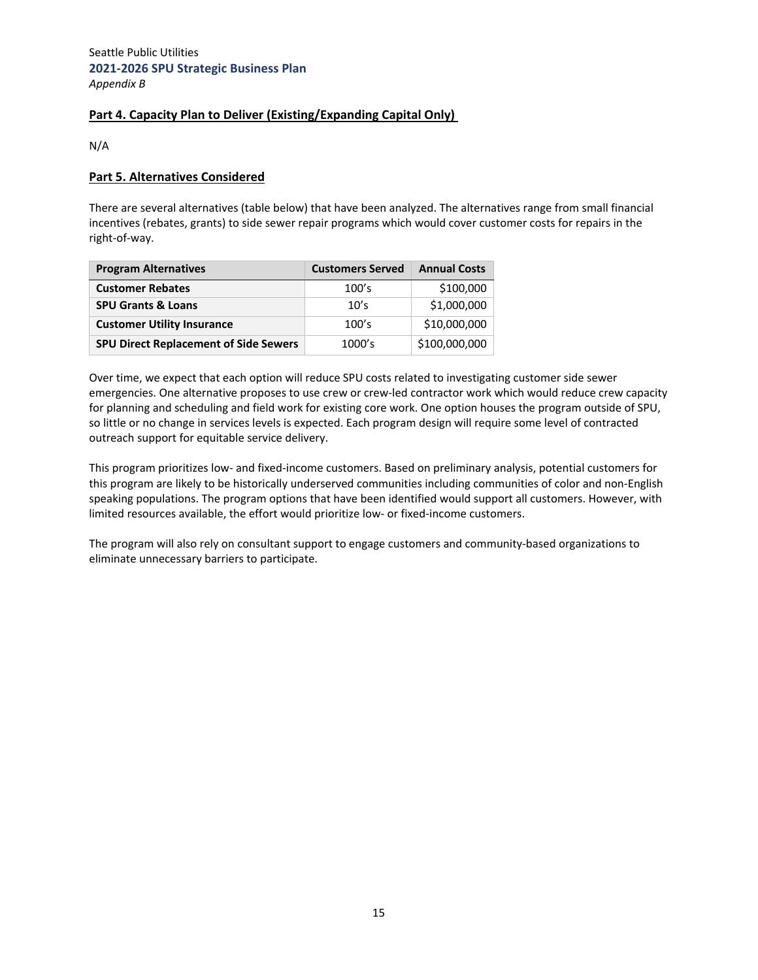# **Part 4. Capacity Plan to Deliver (Existing/Expanding Capital Only)**

N/A

## **Part 5. Alternatives Considered**

There are several alternatives (table below) that have been analyzed. The alternatives range from small financial incentives (rebates, grants) to side sewer repair programs which would cover customer costs for repairs in the right‐of‐way.

| <b>Program Alternatives</b>                  | <b>Customers Served</b> | <b>Annual Costs</b> |
|----------------------------------------------|-------------------------|---------------------|
| <b>Customer Rebates</b>                      | 100's                   | \$100,000           |
| <b>SPU Grants &amp; Loans</b>                | 10's                    | \$1,000,000         |
| <b>Customer Utility Insurance</b>            | 100's                   | \$10,000,000        |
| <b>SPU Direct Replacement of Side Sewers</b> | 1000's                  | \$100,000,000       |

Over time, we expect that each option will reduce SPU costs related to investigating customer side sewer emergencies. One alternative proposes to use crew or crew‐led contractor work which would reduce crew capacity for planning and scheduling and field work for existing core work. One option houses the program outside of SPU, so little or no change in services levels is expected. Each program design will require some level of contracted outreach support for equitable service delivery.

This program prioritizes low‐ and fixed‐income customers. Based on preliminary analysis, potential customers for this program are likely to be historically underserved communities including communities of color and non‐English speaking populations. The program options that have been identified would support all customers. However, with limited resources available, the effort would prioritize low‐ or fixed‐income customers.

The program will also rely on consultant support to engage customers and community‐based organizations to eliminate unnecessary barriers to participate.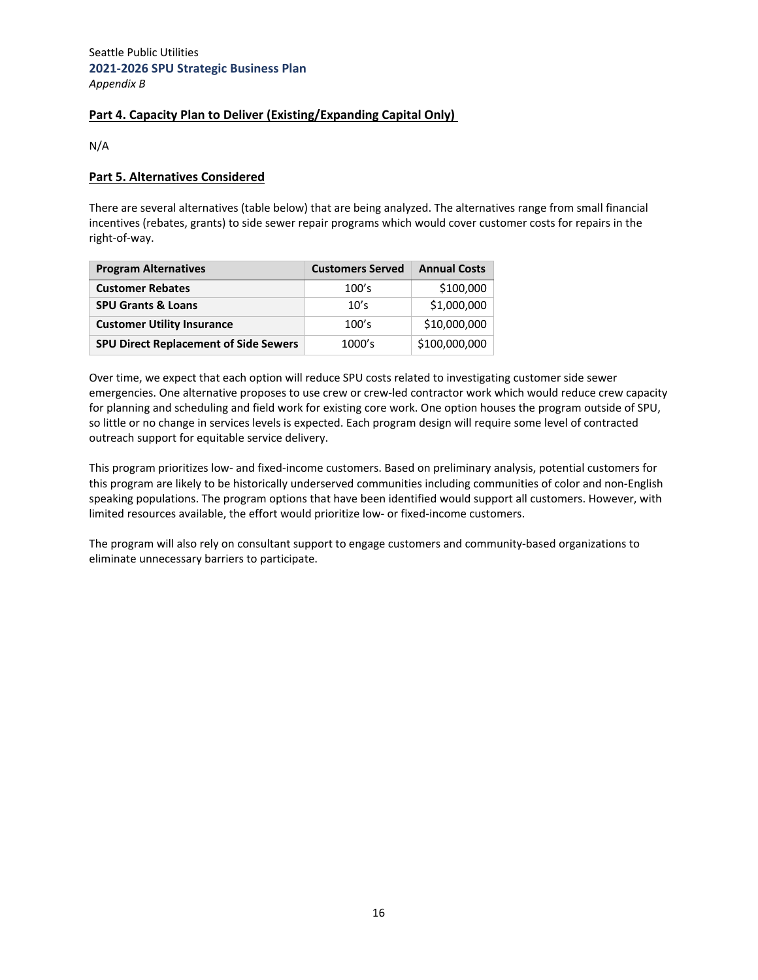# **Part 4. Capacity Plan to Deliver (Existing/Expanding Capital Only)**

N/A

#### **Part 5. Alternatives Considered**

There are several alternatives (table below) that are being analyzed. The alternatives range from small financial incentives (rebates, grants) to side sewer repair programs which would cover customer costs for repairs in the right‐of‐way.

| <b>Program Alternatives</b>                  | <b>Customers Served</b> | <b>Annual Costs</b> |
|----------------------------------------------|-------------------------|---------------------|
| <b>Customer Rebates</b>                      | 100's                   | \$100,000           |
| <b>SPU Grants &amp; Loans</b>                | 10's                    | \$1,000,000         |
| <b>Customer Utility Insurance</b>            | 100's                   | \$10,000,000        |
| <b>SPU Direct Replacement of Side Sewers</b> | 1000's                  | \$100,000,000       |

Over time, we expect that each option will reduce SPU costs related to investigating customer side sewer emergencies. One alternative proposes to use crew or crew‐led contractor work which would reduce crew capacity for planning and scheduling and field work for existing core work. One option houses the program outside of SPU, so little or no change in services levels is expected. Each program design will require some level of contracted outreach support for equitable service delivery.

This program prioritizes low‐ and fixed‐income customers. Based on preliminary analysis, potential customers for this program are likely to be historically underserved communities including communities of color and non‐English speaking populations. The program options that have been identified would support all customers. However, with limited resources available, the effort would prioritize low‐ or fixed‐income customers.

The program will also rely on consultant support to engage customers and community‐based organizations to eliminate unnecessary barriers to participate.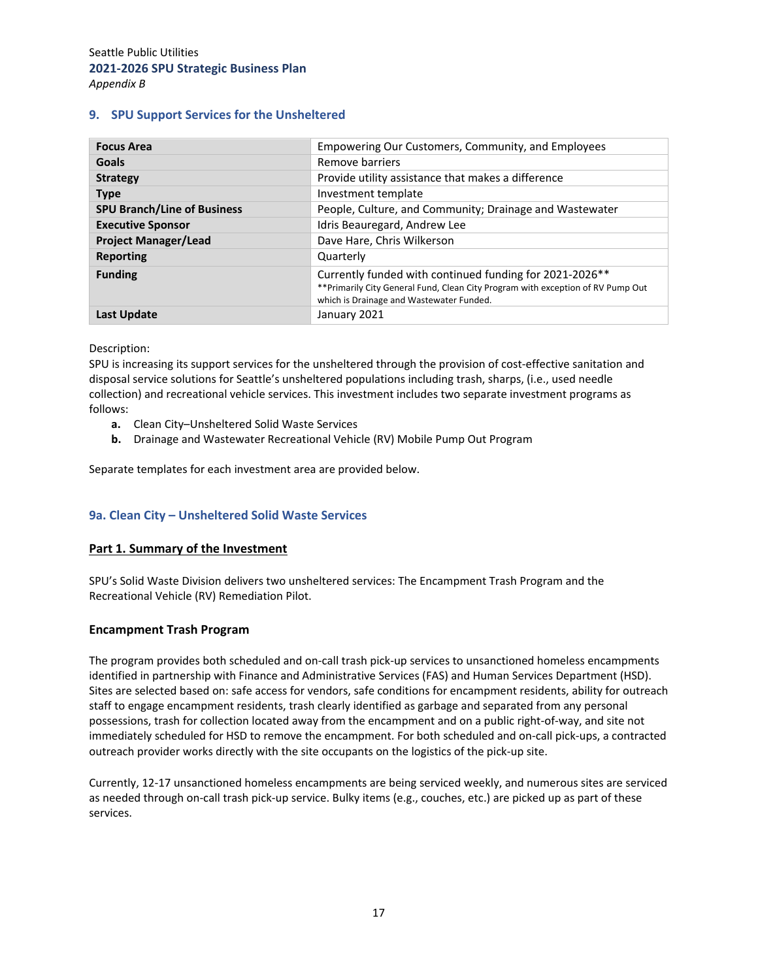## **9. SPU Support Services for the Unsheltered**

| <b>Focus Area</b>                  | Empowering Our Customers, Community, and Employees                                                                                                                                      |
|------------------------------------|-----------------------------------------------------------------------------------------------------------------------------------------------------------------------------------------|
| Goals                              | Remove barriers                                                                                                                                                                         |
| <b>Strategy</b>                    | Provide utility assistance that makes a difference                                                                                                                                      |
| <b>Type</b>                        | Investment template                                                                                                                                                                     |
| <b>SPU Branch/Line of Business</b> | People, Culture, and Community; Drainage and Wastewater                                                                                                                                 |
| <b>Executive Sponsor</b>           | Idris Beauregard, Andrew Lee                                                                                                                                                            |
| <b>Project Manager/Lead</b>        | Dave Hare, Chris Wilkerson                                                                                                                                                              |
| <b>Reporting</b>                   | Quarterly                                                                                                                                                                               |
| <b>Funding</b>                     | Currently funded with continued funding for 2021-2026**<br>** Primarily City General Fund, Clean City Program with exception of RV Pump Out<br>which is Drainage and Wastewater Funded. |
| Last Update                        | January 2021                                                                                                                                                                            |

#### Description:

SPU is increasing its support services for the unsheltered through the provision of cost-effective sanitation and disposal service solutions for Seattle's unsheltered populations including trash, sharps, (i.e., used needle collection) and recreational vehicle services. This investment includes two separate investment programs as follows:

- **a.** Clean City–Unsheltered Solid Waste Services
- **b.** Drainage and Wastewater Recreational Vehicle (RV) Mobile Pump Out Program

Separate templates for each investment area are provided below.

# **9a. Clean City – Unsheltered Solid Waste Services**

#### **Part 1. Summary of the Investment**

SPU's Solid Waste Division delivers two unsheltered services: The Encampment Trash Program and the Recreational Vehicle (RV) Remediation Pilot.

#### **Encampment Trash Program**

The program provides both scheduled and on-call trash pick-up services to unsanctioned homeless encampments identified in partnership with Finance and Administrative Services (FAS) and Human Services Department (HSD). Sites are selected based on: safe access for vendors, safe conditions for encampment residents, ability for outreach staff to engage encampment residents, trash clearly identified as garbage and separated from any personal possessions, trash for collection located away from the encampment and on a public right‐of‐way, and site not immediately scheduled for HSD to remove the encampment. For both scheduled and on‐call pick‐ups, a contracted outreach provider works directly with the site occupants on the logistics of the pick‐up site.

Currently, 12‐17 unsanctioned homeless encampments are being serviced weekly, and numerous sites are serviced as needed through on-call trash pick-up service. Bulky items (e.g., couches, etc.) are picked up as part of these services.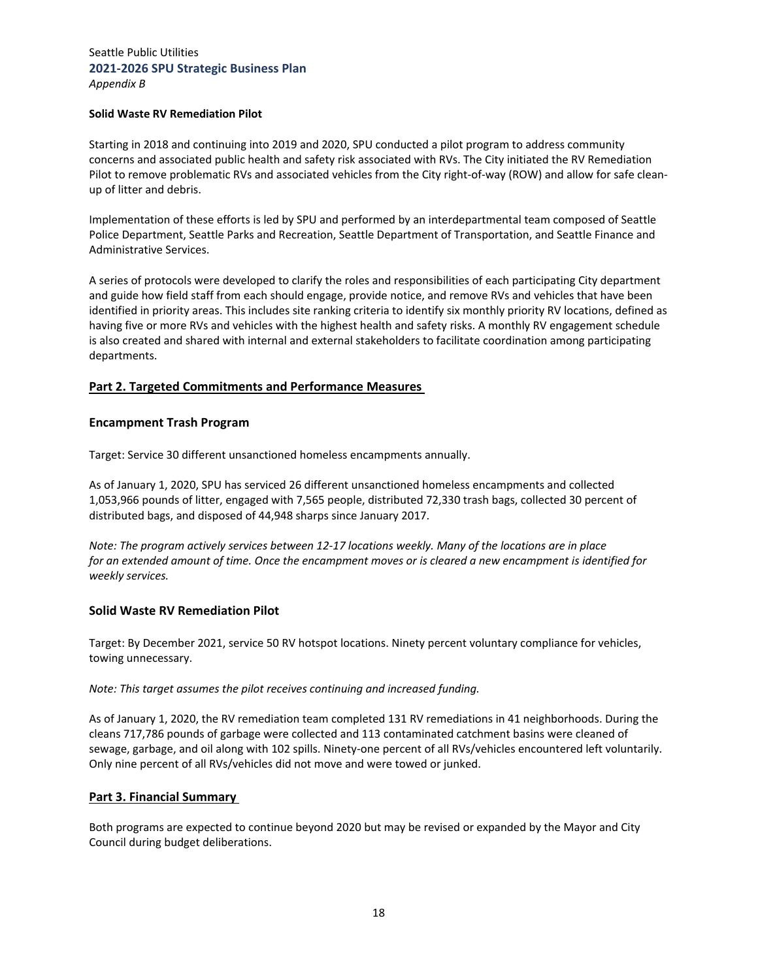#### **Solid Waste RV Remediation Pilot**

Starting in 2018 and continuing into 2019 and 2020, SPU conducted a pilot program to address community concerns and associated public health and safety risk associated with RVs. The City initiated the RV Remediation Pilot to remove problematic RVs and associated vehicles from the City right-of-way (ROW) and allow for safe cleanup of litter and debris.

Implementation of these efforts is led by SPU and performed by an interdepartmental team composed of Seattle Police Department, Seattle Parks and Recreation, Seattle Department of Transportation, and Seattle Finance and Administrative Services.

A series of protocols were developed to clarify the roles and responsibilities of each participating City department and guide how field staff from each should engage, provide notice, and remove RVs and vehicles that have been identified in priority areas. This includes site ranking criteria to identify six monthly priority RV locations, defined as having five or more RVs and vehicles with the highest health and safety risks. A monthly RV engagement schedule is also created and shared with internal and external stakeholders to facilitate coordination among participating departments.

#### **Part 2. Targeted Commitments and Performance Measures**

#### **Encampment Trash Program**

Target: Service 30 different unsanctioned homeless encampments annually.

As of January 1, 2020, SPU has serviced 26 different unsanctioned homeless encampments and collected 1,053,966 pounds of litter, engaged with 7,565 people, distributed 72,330 trash bags, collected 30 percent of distributed bags, and disposed of 44,948 sharps since January 2017.

Note: The program actively services between 12-17 locations weekly. Many of the locations are in place for an extended amount of time. Once the encampment moves or is cleared a new encampment is identified for *weekly services.*

#### **Solid Waste RV Remediation Pilot**

Target: By December 2021, service 50 RV hotspot locations. Ninety percent voluntary compliance for vehicles, towing unnecessary.

*Note: This target assumes the pilot receives continuing and increased funding.*

As of January 1, 2020, the RV remediation team completed 131 RV remediations in 41 neighborhoods. During the cleans 717,786 pounds of garbage were collected and 113 contaminated catchment basins were cleaned of sewage, garbage, and oil along with 102 spills. Ninety-one percent of all RVs/vehicles encountered left voluntarily. Only nine percent of all RVs/vehicles did not move and were towed or junked.

#### **Part 3. Financial Summary**

Both programs are expected to continue beyond 2020 but may be revised or expanded by the Mayor and City Council during budget deliberations.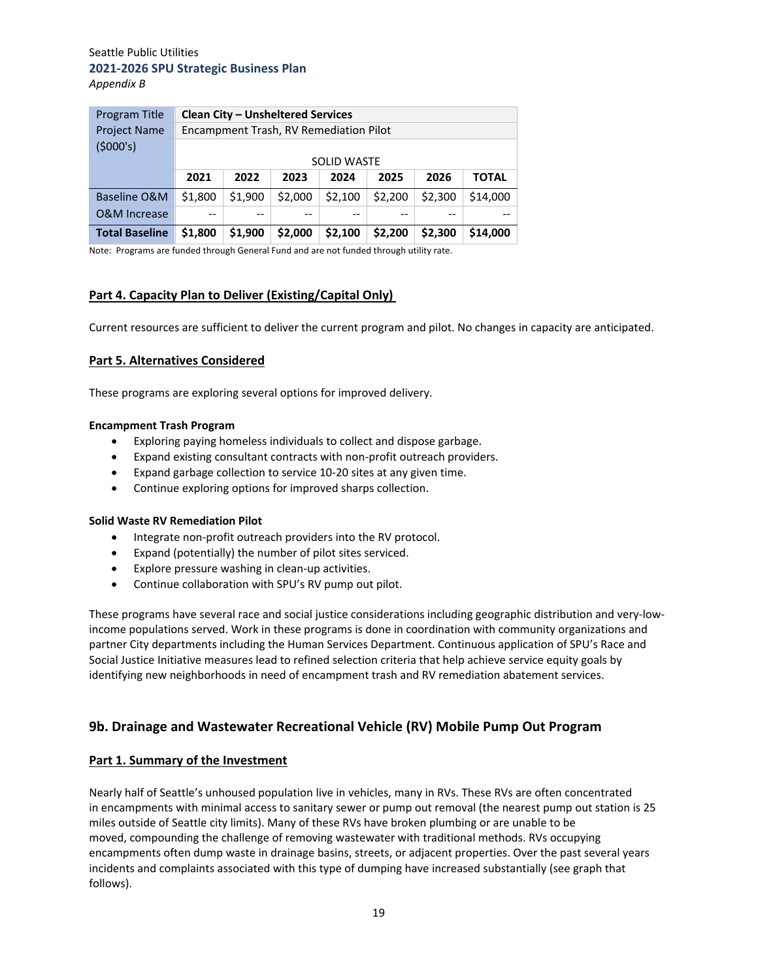| Program Title           |         | <b>Clean City - Unsheltered Services</b> |         |         |         |         |              |  |  |
|-------------------------|---------|------------------------------------------|---------|---------|---------|---------|--------------|--|--|
| <b>Project Name</b>     |         | Encampment Trash, RV Remediation Pilot   |         |         |         |         |              |  |  |
| (\$000's)               |         |                                          |         |         |         |         |              |  |  |
|                         |         | <b>SOLID WASTE</b>                       |         |         |         |         |              |  |  |
|                         | 2021    | 2022                                     | 2023    | 2024    | 2025    | 2026    | <b>TOTAL</b> |  |  |
| Baseline O&M            | \$1,800 | \$1,900                                  | \$2,000 | \$2,100 | \$2,200 | \$2,300 | \$14,000     |  |  |
| <b>O&amp;M Increase</b> |         |                                          | --      |         |         |         |              |  |  |
| <b>Total Baseline</b>   | \$1,800 | \$1.900                                  | \$2,000 | \$2,100 | \$2,200 | \$2,300 | \$14,000     |  |  |

Note: Programs are funded through General Fund and are not funded through utility rate.

## **Part 4. Capacity Plan to Deliver (Existing/Capital Only)**

Current resources are sufficient to deliver the current program and pilot. No changes in capacity are anticipated.

## **Part 5. Alternatives Considered**

These programs are exploring several options for improved delivery.

#### **Encampment Trash Program**

- Exploring paying homeless individuals to collect and dispose garbage.
- Expand existing consultant contracts with non‐profit outreach providers.
- Expand garbage collection to service 10‐20 sites at any given time.
- Continue exploring options for improved sharps collection.

#### **Solid Waste RV Remediation Pilot**

- Integrate non-profit outreach providers into the RV protocol.
- Expand (potentially) the number of pilot sites serviced.
- Explore pressure washing in clean-up activities.
- Continue collaboration with SPU's RV pump out pilot.

These programs have several race and social justice considerations including geographic distribution and very‐low‐ income populations served. Work in these programs is done in coordination with community organizations and partner City departments including the Human Services Department. Continuous application of SPU's Race and Social Justice Initiative measures lead to refined selection criteria that help achieve service equity goals by identifying new neighborhoods in need of encampment trash and RV remediation abatement services.

# **9b. Drainage and Wastewater Recreational Vehicle (RV) Mobile Pump Out Program**

#### **Part 1. Summary of the Investment**

Nearly half of Seattle's unhoused population live in vehicles, many in RVs. These RVs are often concentrated in encampments with minimal access to sanitary sewer or pump out removal (the nearest pump out station is 25 miles outside of Seattle city limits). Many of these RVs have broken plumbing or are unable to be moved, compounding the challenge of removing wastewater with traditional methods. RVs occupying encampments often dump waste in drainage basins, streets, or adjacent properties. Over the past several years incidents and complaints associated with this type of dumping have increased substantially (see graph that follows).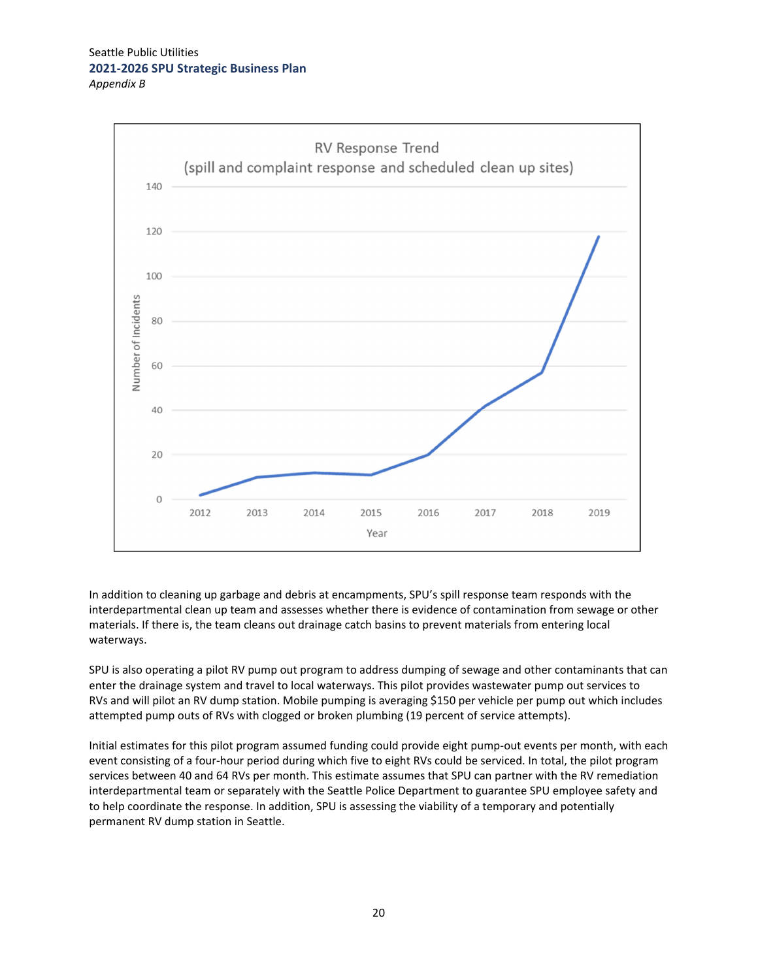

In addition to cleaning up garbage and debris at encampments, SPU's spill response team responds with the interdepartmental clean up team and assesses whether there is evidence of contamination from sewage or other materials. If there is, the team cleans out drainage catch basins to prevent materials from entering local waterways.

SPU is also operating a pilot RV pump out program to address dumping of sewage and other contaminants that can enter the drainage system and travel to local waterways. This pilot provides wastewater pump out services to RVs and will pilot an RV dump station. Mobile pumping is averaging \$150 per vehicle per pump out which includes attempted pump outs of RVs with clogged or broken plumbing (19 percent of service attempts).

Initial estimates for this pilot program assumed funding could provide eight pump‐out events per month, with each event consisting of a four-hour period during which five to eight RVs could be serviced. In total, the pilot program services between 40 and 64 RVs per month. This estimate assumes that SPU can partner with the RV remediation interdepartmental team or separately with the Seattle Police Department to guarantee SPU employee safety and to help coordinate the response. In addition, SPU is assessing the viability of a temporary and potentially permanent RV dump station in Seattle.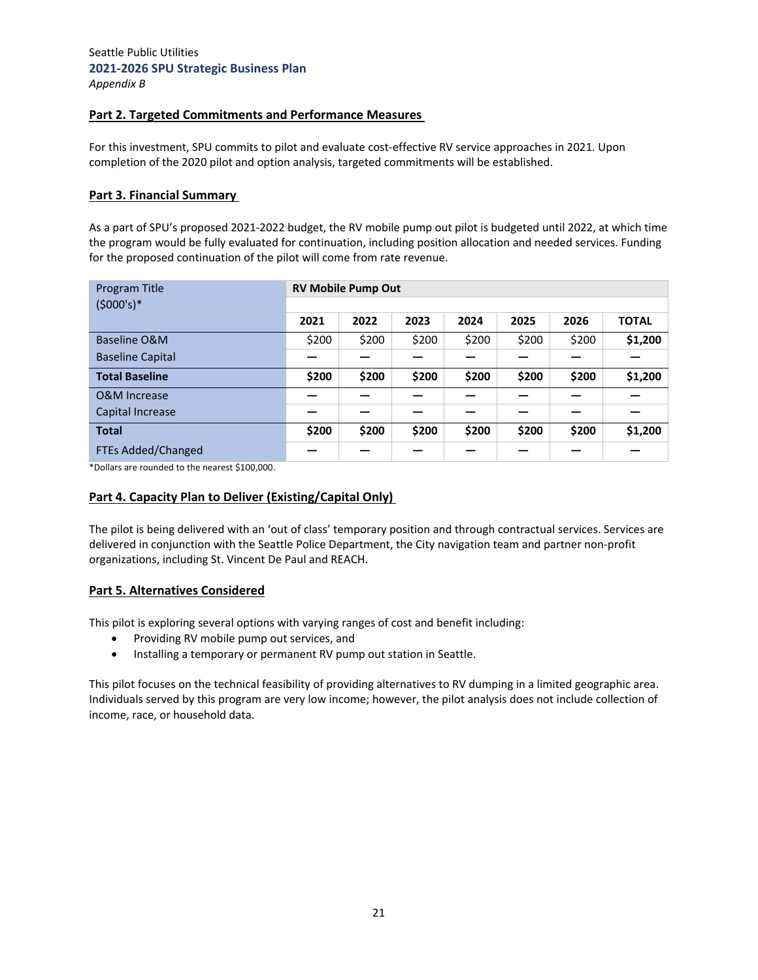## **Part 2. Targeted Commitments and Performance Measures**

For this investment, SPU commits to pilot and evaluate cost-effective RV service approaches in 2021. Upon completion of the 2020 pilot and option analysis, targeted commitments will be established.

#### **Part 3. Financial Summary**

As a part of SPU's proposed 2021‐2022 budget, the RV mobile pump out pilot is budgeted until 2022, at which time the program would be fully evaluated for continuation, including position allocation and needed services. Funding for the proposed continuation of the pilot will come from rate revenue.

| Program Title           |       | <b>RV Mobile Pump Out</b> |       |       |       |       |              |
|-------------------------|-------|---------------------------|-------|-------|-------|-------|--------------|
| $(5000's)*$             |       |                           |       |       |       |       |              |
|                         | 2021  | 2022                      | 2023  | 2024  | 2025  | 2026  | <b>TOTAL</b> |
| Baseline O&M            | \$200 | \$200                     | \$200 | \$200 | \$200 | \$200 | \$1,200      |
| <b>Baseline Capital</b> |       |                           |       |       |       |       |              |
| <b>Total Baseline</b>   | \$200 | \$200                     | \$200 | \$200 | \$200 | \$200 | \$1,200      |
| <b>O&amp;M</b> Increase |       |                           |       |       |       |       |              |
| Capital Increase        |       |                           |       |       |       |       |              |
| <b>Total</b>            | \$200 | \$200                     | \$200 | \$200 | \$200 | \$200 | \$1,200      |
| FTEs Added/Changed      |       |                           |       |       |       |       |              |

\*Dollars are rounded to the nearest \$100,000.

#### **Part 4. Capacity Plan to Deliver (Existing/Capital Only)**

The pilot is being delivered with an 'out of class' temporary position and through contractual services. Services are delivered in conjunction with the Seattle Police Department, the City navigation team and partner non‐profit organizations, including St. Vincent De Paul and REACH.

#### **Part 5. Alternatives Considered**

This pilot is exploring several options with varying ranges of cost and benefit including:

- Providing RV mobile pump out services, and
- Installing a temporary or permanent RV pump out station in Seattle.

This pilot focuses on the technical feasibility of providing alternatives to RV dumping in a limited geographic area. Individuals served by this program are very low income; however, the pilot analysis does not include collection of income, race, or household data.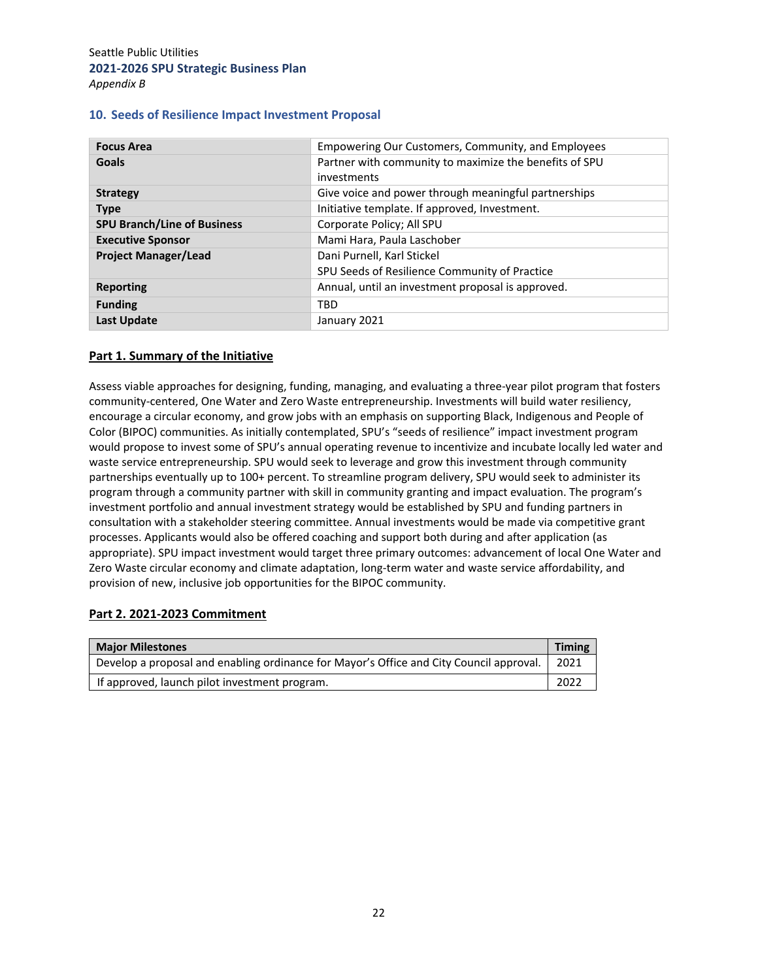|  |  |  |  |  | 10. Seeds of Resilience Impact Investment Proposal |  |
|--|--|--|--|--|----------------------------------------------------|--|
|--|--|--|--|--|----------------------------------------------------|--|

| <b>Focus Area</b>                  | Empowering Our Customers, Community, and Employees     |  |  |  |
|------------------------------------|--------------------------------------------------------|--|--|--|
| Goals                              | Partner with community to maximize the benefits of SPU |  |  |  |
|                                    | investments                                            |  |  |  |
| <b>Strategy</b>                    | Give voice and power through meaningful partnerships   |  |  |  |
| <b>Type</b>                        | Initiative template. If approved, Investment.          |  |  |  |
| <b>SPU Branch/Line of Business</b> | Corporate Policy; All SPU                              |  |  |  |
| <b>Executive Sponsor</b>           | Mami Hara, Paula Laschober                             |  |  |  |
| <b>Project Manager/Lead</b>        | Dani Purnell, Karl Stickel                             |  |  |  |
|                                    | SPU Seeds of Resilience Community of Practice          |  |  |  |
| <b>Reporting</b>                   | Annual, until an investment proposal is approved.      |  |  |  |
| <b>Funding</b>                     | <b>TBD</b>                                             |  |  |  |
| <b>Last Update</b>                 | January 2021                                           |  |  |  |

## **Part 1. Summary of the Initiative**

Assess viable approaches for designing, funding, managing, and evaluating a three‐year pilot program that fosters community‐centered, One Water and Zero Waste entrepreneurship. Investments will build water resiliency, encourage a circular economy, and grow jobs with an emphasis on supporting Black, Indigenous and People of Color (BIPOC) communities. As initially contemplated, SPU's "seeds of resilience" impact investment program would propose to invest some of SPU's annual operating revenue to incentivize and incubate locally led water and waste service entrepreneurship. SPU would seek to leverage and grow this investment through community partnerships eventually up to 100+ percent. To streamline program delivery, SPU would seek to administer its program through a community partner with skill in community granting and impact evaluation. The program's investment portfolio and annual investment strategy would be established by SPU and funding partners in consultation with a stakeholder steering committee. Annual investments would be made via competitive grant processes. Applicants would also be offered coaching and support both during and after application (as appropriate). SPU impact investment would target three primary outcomes: advancement of local One Water and Zero Waste circular economy and climate adaptation, long-term water and waste service affordability, and provision of new, inclusive job opportunities for the BIPOC community.

#### **Part 2. 2021‐2023 Commitment**

| <b>Major Milestones</b>                                                                 |      |  |  |  |
|-----------------------------------------------------------------------------------------|------|--|--|--|
| Develop a proposal and enabling ordinance for Mayor's Office and City Council approval. | 2021 |  |  |  |
| If approved, launch pilot investment program.                                           | 2022 |  |  |  |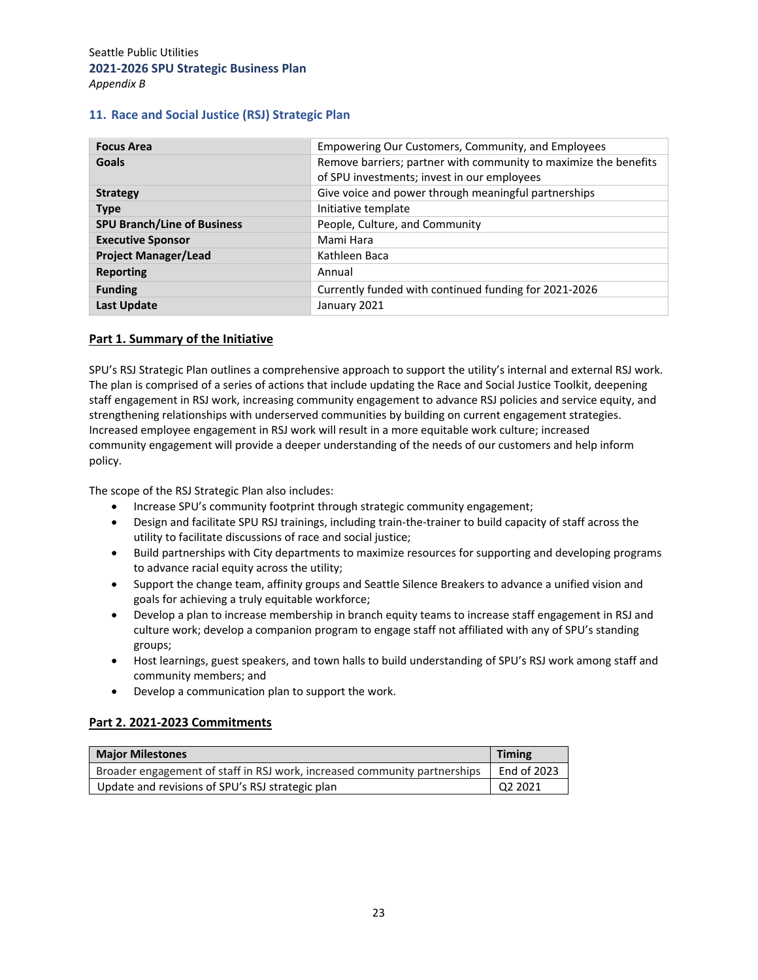#### **11. Race and Social Justice (RSJ) Strategic Plan**

| <b>Focus Area</b>                  | Empowering Our Customers, Community, and Employees               |
|------------------------------------|------------------------------------------------------------------|
| Goals                              | Remove barriers; partner with community to maximize the benefits |
|                                    | of SPU investments; invest in our employees                      |
| <b>Strategy</b>                    | Give voice and power through meaningful partnerships             |
| <b>Type</b>                        | Initiative template                                              |
| <b>SPU Branch/Line of Business</b> | People, Culture, and Community                                   |
| <b>Executive Sponsor</b>           | Mami Hara                                                        |
| <b>Project Manager/Lead</b>        | Kathleen Baca                                                    |
| <b>Reporting</b>                   | Annual                                                           |
| <b>Funding</b>                     | Currently funded with continued funding for 2021-2026            |
| <b>Last Update</b>                 | January 2021                                                     |

#### **Part 1. Summary of the Initiative**

SPU's RSJ Strategic Plan outlines a comprehensive approach to support the utility's internal and external RSJ work. The plan is comprised of a series of actions that include updating the Race and Social Justice Toolkit, deepening staff engagement in RSJ work, increasing community engagement to advance RSJ policies and service equity, and strengthening relationships with underserved communities by building on current engagement strategies. Increased employee engagement in RSJ work will result in a more equitable work culture; increased community engagement will provide a deeper understanding of the needs of our customers and help inform policy.

The scope of the RSJ Strategic Plan also includes:

- Increase SPU's community footprint through strategic community engagement;
- Design and facilitate SPU RSJ trainings, including train-the-trainer to build capacity of staff across the utility to facilitate discussions of race and social justice;
- Build partnerships with City departments to maximize resources for supporting and developing programs to advance racial equity across the utility;
- Support the change team, affinity groups and Seattle Silence Breakers to advance a unified vision and goals for achieving a truly equitable workforce;
- Develop a plan to increase membership in branch equity teams to increase staff engagement in RSJ and culture work; develop a companion program to engage staff not affiliated with any of SPU's standing groups;
- Host learnings, guest speakers, and town halls to build understanding of SPU's RSJ work among staff and community members; and
- Develop a communication plan to support the work.

#### **Part 2. 2021‐2023 Commitments**

| <b>Major Milestones</b>                                                   | <b>Timing</b> |
|---------------------------------------------------------------------------|---------------|
| Broader engagement of staff in RSJ work, increased community partnerships | End of 2023   |
| Update and revisions of SPU's RSJ strategic plan                          | Q2 2021       |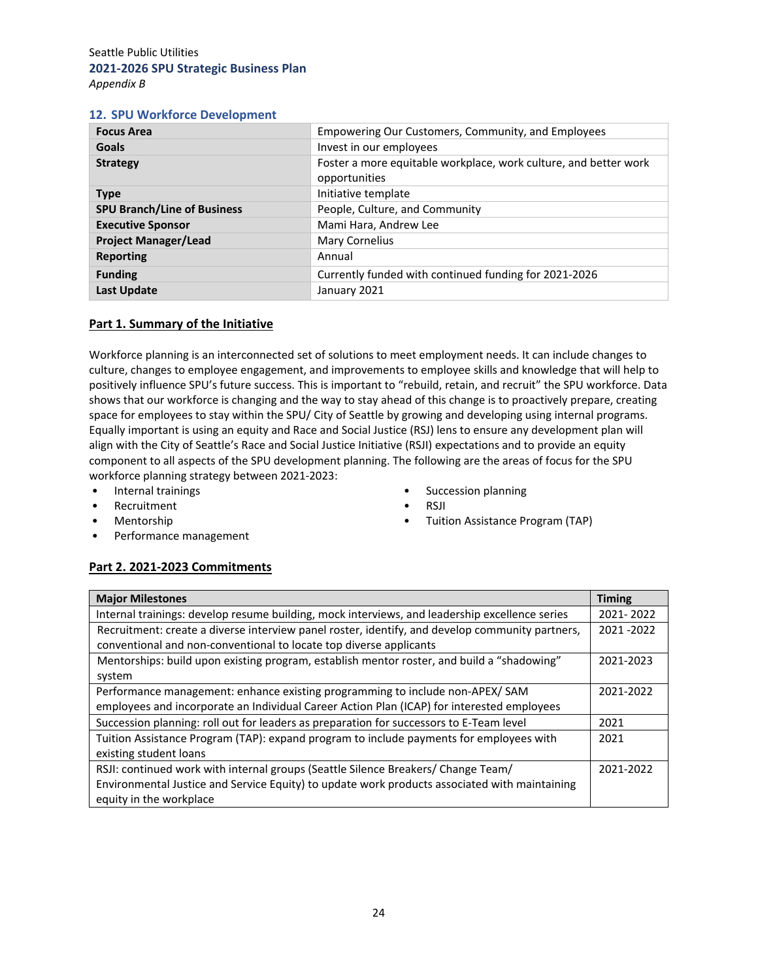*Appendix B*

### **12. SPU Workforce Development**

| <b>Focus Area</b>                  | Empowering Our Customers, Community, and Employees                                |
|------------------------------------|-----------------------------------------------------------------------------------|
| Goals                              | Invest in our employees                                                           |
| <b>Strategy</b>                    | Foster a more equitable workplace, work culture, and better work<br>opportunities |
| <b>Type</b>                        | Initiative template                                                               |
| <b>SPU Branch/Line of Business</b> | People, Culture, and Community                                                    |
| <b>Executive Sponsor</b>           | Mami Hara, Andrew Lee                                                             |
| <b>Project Manager/Lead</b>        | Mary Cornelius                                                                    |
| <b>Reporting</b>                   | Annual                                                                            |
| <b>Funding</b>                     | Currently funded with continued funding for 2021-2026                             |
| <b>Last Update</b>                 | January 2021                                                                      |

#### **Part 1. Summary of the Initiative**

Workforce planning is an interconnected set of solutions to meet employment needs. It can include changes to culture, changes to employee engagement, and improvements to employee skills and knowledge that will help to positively influence SPU's future success. This is important to "rebuild, retain, and recruit" the SPU workforce. Data shows that our workforce is changing and the way to stay ahead of this change is to proactively prepare, creating space for employees to stay within the SPU/ City of Seattle by growing and developing using internal programs. Equally important is using an equity and Race and Social Justice (RSJ) lens to ensure any development plan will align with the City of Seattle's Race and Social Justice Initiative (RSJI) expectations and to provide an equity component to all aspects of the SPU development planning. The following are the areas of focus for the SPU workforce planning strategy between 2021‐2023:

- Internal trainings
- Recruitment
- Mentorship
- Performance management
- Succession planning • RSJI
- Tuition Assistance Program (TAP)

# **Part 2. 2021‐2023 Commitments**

| <b>Major Milestones</b>                                                                         | <b>Timing</b> |  |  |  |
|-------------------------------------------------------------------------------------------------|---------------|--|--|--|
| Internal trainings: develop resume building, mock interviews, and leadership excellence series  | 2021-2022     |  |  |  |
| Recruitment: create a diverse interview panel roster, identify, and develop community partners, |               |  |  |  |
| conventional and non-conventional to locate top diverse applicants                              |               |  |  |  |
| Mentorships: build upon existing program, establish mentor roster, and build a "shadowing"      | 2021-2023     |  |  |  |
| system                                                                                          |               |  |  |  |
| Performance management: enhance existing programming to include non-APEX/ SAM                   | 2021-2022     |  |  |  |
| employees and incorporate an Individual Career Action Plan (ICAP) for interested employees      |               |  |  |  |
| Succession planning: roll out for leaders as preparation for successors to E-Team level         |               |  |  |  |
| Tuition Assistance Program (TAP): expand program to include payments for employees with         | 2021          |  |  |  |
| existing student loans                                                                          |               |  |  |  |
| RSJI: continued work with internal groups (Seattle Silence Breakers/ Change Team/               |               |  |  |  |
| Environmental Justice and Service Equity) to update work products associated with maintaining   |               |  |  |  |
| equity in the workplace                                                                         |               |  |  |  |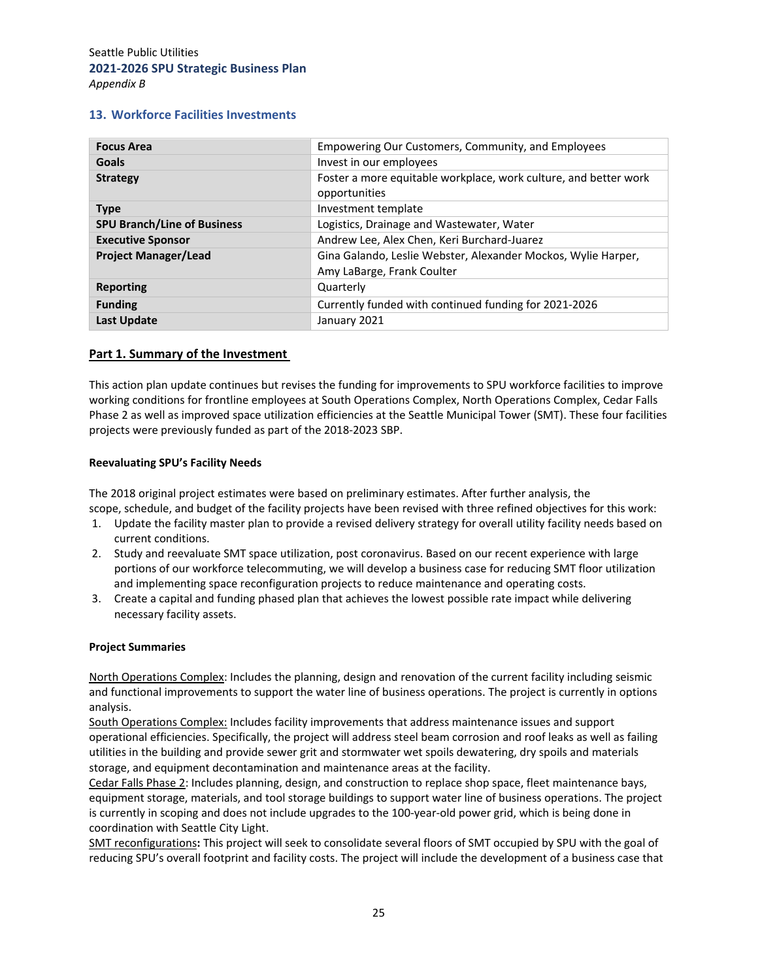#### **13. Workforce Facilities Investments**

| <b>Focus Area</b>                  | Empowering Our Customers, Community, and Employees                                          |
|------------------------------------|---------------------------------------------------------------------------------------------|
| Goals                              | Invest in our employees                                                                     |
| <b>Strategy</b>                    | Foster a more equitable workplace, work culture, and better work<br>opportunities           |
| <b>Type</b>                        | Investment template                                                                         |
| <b>SPU Branch/Line of Business</b> | Logistics, Drainage and Wastewater, Water                                                   |
| <b>Executive Sponsor</b>           | Andrew Lee, Alex Chen, Keri Burchard-Juarez                                                 |
| <b>Project Manager/Lead</b>        | Gina Galando, Leslie Webster, Alexander Mockos, Wylie Harper,<br>Amy LaBarge, Frank Coulter |
| Reporting                          | Quarterly                                                                                   |
| <b>Funding</b>                     | Currently funded with continued funding for 2021-2026                                       |
| <b>Last Update</b>                 | January 2021                                                                                |

#### **Part 1. Summary of the Investment**

This action plan update continues but revises the funding for improvements to SPU workforce facilities to improve working conditions for frontline employees at South Operations Complex, North Operations Complex, Cedar Falls Phase 2 as well as improved space utilization efficiencies at the Seattle Municipal Tower (SMT). These four facilities projects were previously funded as part of the 2018‐2023 SBP.

#### **Reevaluating SPU's Facility Needs**

The 2018 original project estimates were based on preliminary estimates. After further analysis, the scope, schedule, and budget of the facility projects have been revised with three refined objectives for this work:

- 1. Update the facility master plan to provide a revised delivery strategy for overall utility facility needs based on current conditions.
- 2. Study and reevaluate SMT space utilization, post coronavirus. Based on our recent experience with large portions of our workforce telecommuting, we will develop a business case for reducing SMT floor utilization and implementing space reconfiguration projects to reduce maintenance and operating costs.
- 3. Create a capital and funding phased plan that achieves the lowest possible rate impact while delivering necessary facility assets.

#### **Project Summaries**

North Operations Complex: Includes the planning, design and renovation of the current facility including seismic and functional improvements to support the water line of business operations. The project is currently in options analysis.

South Operations Complex: Includes facility improvements that address maintenance issues and support operational efficiencies. Specifically, the project will address steel beam corrosion and roof leaks as well as failing utilities in the building and provide sewer grit and stormwater wet spoils dewatering, dry spoils and materials storage, and equipment decontamination and maintenance areas at the facility.

Cedar Falls Phase 2: Includes planning, design, and construction to replace shop space, fleet maintenance bays, equipment storage, materials, and tool storage buildings to support water line of business operations. The project is currently in scoping and does not include upgrades to the 100‐year‐old power grid, which is being done in coordination with Seattle City Light.

SMT reconfigurations**:** This project will seek to consolidate several floors of SMT occupied by SPU with the goal of reducing SPU's overall footprint and facility costs. The project will include the development of a business case that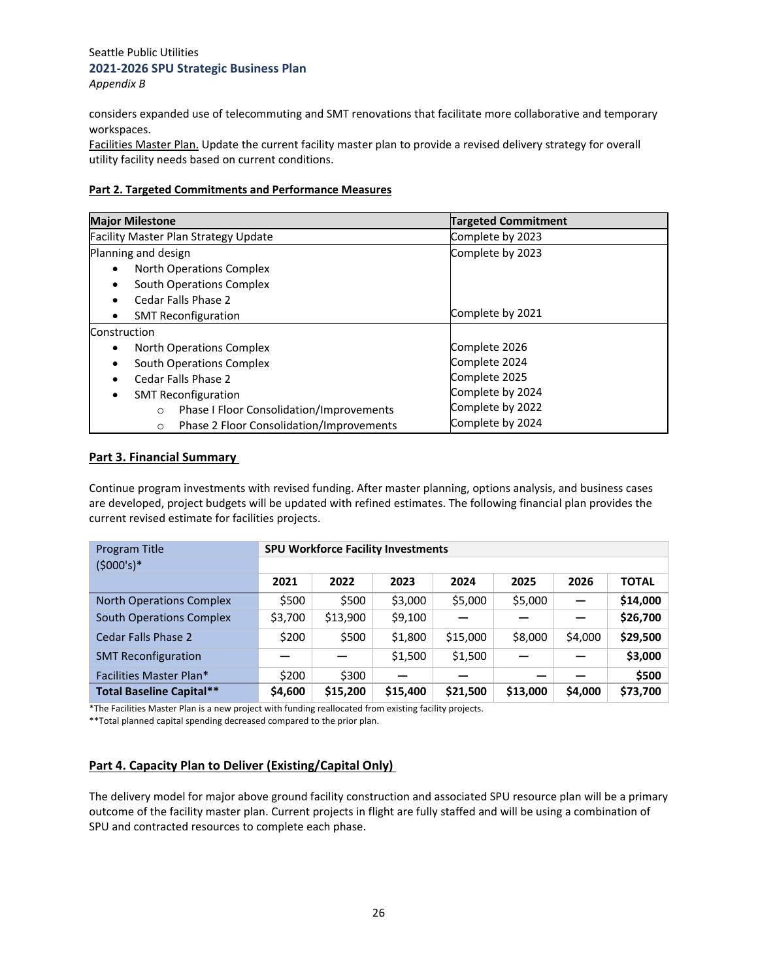considers expanded use of telecommuting and SMT renovations that facilitate more collaborative and temporary workspaces.

Facilities Master Plan. Update the current facility master plan to provide a revised delivery strategy for overall utility facility needs based on current conditions.

#### **Part 2. Targeted Commitments and Performance Measures**

| <b>Major Milestone</b>                              | <b>Targeted Commitment</b> |  |  |
|-----------------------------------------------------|----------------------------|--|--|
| <b>Facility Master Plan Strategy Update</b>         | Complete by 2023           |  |  |
| Planning and design                                 | Complete by 2023           |  |  |
| North Operations Complex<br>$\bullet$               |                            |  |  |
| South Operations Complex<br>$\bullet$               |                            |  |  |
| Cedar Falls Phase 2<br>$\bullet$                    |                            |  |  |
| <b>SMT Reconfiguration</b><br>$\bullet$             | Complete by 2021           |  |  |
| Construction                                        |                            |  |  |
| North Operations Complex<br>٠                       | Complete 2026              |  |  |
| South Operations Complex                            | Complete 2024              |  |  |
| Cedar Falls Phase 2                                 | Complete 2025              |  |  |
| <b>SMT Reconfiguration</b><br>٠                     | Complete by 2024           |  |  |
| Phase I Floor Consolidation/Improvements<br>$\circ$ | Complete by 2022           |  |  |
| Phase 2 Floor Consolidation/Improvements<br>$\circ$ | Complete by 2024           |  |  |

## **Part 3. Financial Summary**

Continue program investments with revised funding. After master planning, options analysis, and business cases are developed, project budgets will be updated with refined estimates. The following financial plan provides the current revised estimate for facilities projects.

| Program Title                   |         | <b>SPU Workforce Facility Investments</b> |          |          |          |         |              |
|---------------------------------|---------|-------------------------------------------|----------|----------|----------|---------|--------------|
| $(5000's)*$                     |         |                                           |          |          |          |         |              |
|                                 | 2021    | 2022                                      | 2023     | 2024     | 2025     | 2026    | <b>TOTAL</b> |
| <b>North Operations Complex</b> | \$500   | \$500                                     | \$3,000  | \$5,000  | \$5,000  |         | \$14,000     |
| <b>South Operations Complex</b> | \$3,700 | \$13,900                                  | \$9,100  |          |          |         | \$26,700     |
| Cedar Falls Phase 2             | \$200   | \$500                                     | \$1,800  | \$15,000 | \$8,000  | \$4,000 | \$29,500     |
| <b>SMT Reconfiguration</b>      |         |                                           | \$1,500  | \$1,500  |          |         | \$3,000      |
| Facilities Master Plan*         | \$200   | \$300                                     | _        |          |          |         | \$500        |
| <b>Total Baseline Capital**</b> | \$4,600 | \$15,200                                  | \$15,400 | \$21,500 | \$13,000 | \$4,000 | \$73,700     |

\*The Facilities Master Plan is a new project with funding reallocated from existing facility projects.

\*\*Total planned capital spending decreased compared to the prior plan.

#### **Part 4. Capacity Plan to Deliver (Existing/Capital Only)**

The delivery model for major above ground facility construction and associated SPU resource plan will be a primary outcome of the facility master plan. Current projects in flight are fully staffed and will be using a combination of SPU and contracted resources to complete each phase.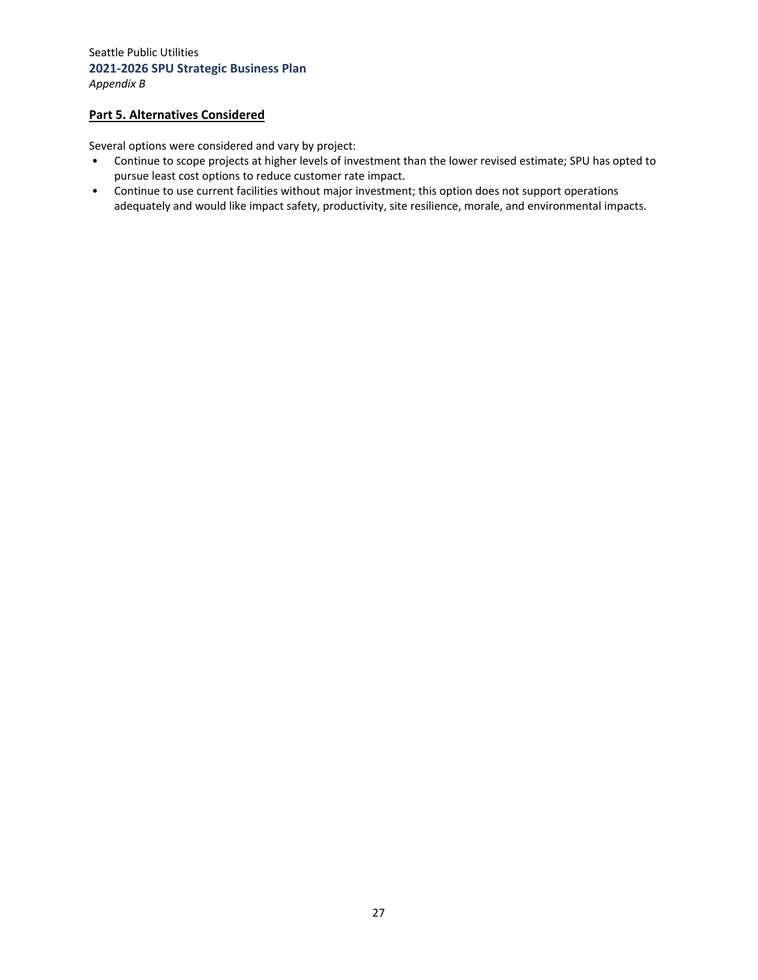## **Part 5. Alternatives Considered**

Several options were considered and vary by project:

- Continue to scope projects at higher levels of investment than the lower revised estimate; SPU has opted to pursue least cost options to reduce customer rate impact.
- Continue to use current facilities without major investment; this option does not support operations adequately and would like impact safety, productivity, site resilience, morale, and environmental impacts.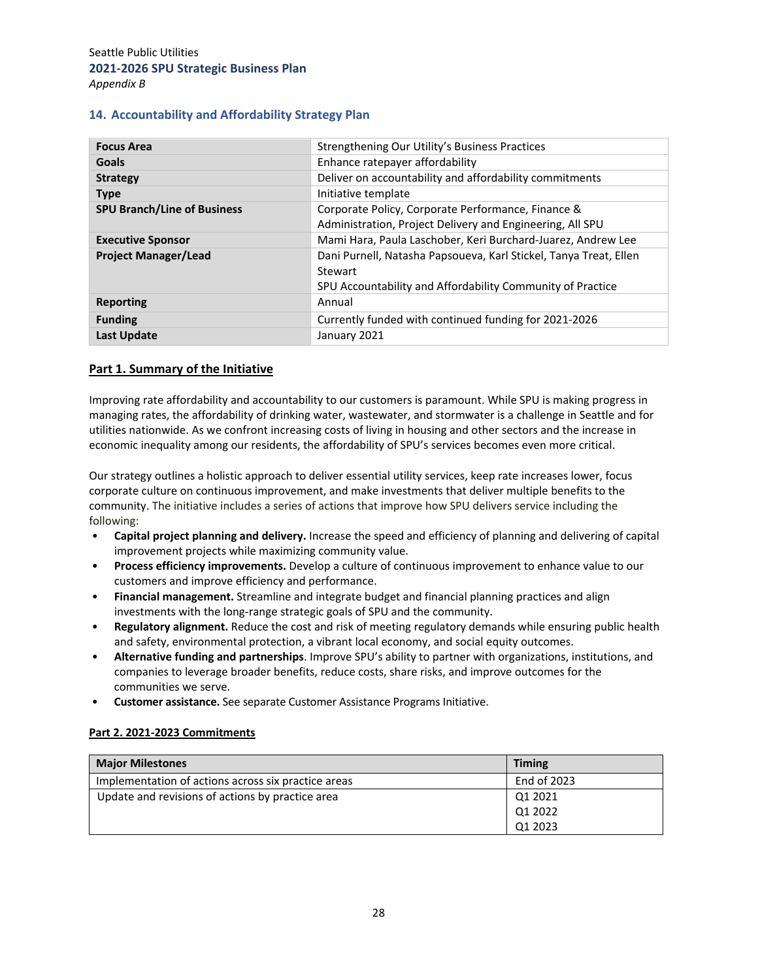#### **14. Accountability and Affordability Strategy Plan**

| <b>Focus Area</b>                  | Strengthening Our Utility's Business Practices                    |  |  |  |
|------------------------------------|-------------------------------------------------------------------|--|--|--|
| <b>Goals</b>                       | Enhance ratepayer affordability                                   |  |  |  |
| <b>Strategy</b>                    | Deliver on accountability and affordability commitments           |  |  |  |
| <b>Type</b>                        | Initiative template                                               |  |  |  |
| <b>SPU Branch/Line of Business</b> | Corporate Policy, Corporate Performance, Finance &                |  |  |  |
|                                    | Administration, Project Delivery and Engineering, All SPU         |  |  |  |
| <b>Executive Sponsor</b>           | Mami Hara, Paula Laschober, Keri Burchard-Juarez, Andrew Lee      |  |  |  |
| <b>Project Manager/Lead</b>        | Dani Purnell, Natasha Papsoueva, Karl Stickel, Tanya Treat, Ellen |  |  |  |
|                                    | Stewart                                                           |  |  |  |
|                                    | SPU Accountability and Affordability Community of Practice        |  |  |  |
| <b>Reporting</b>                   | Annual                                                            |  |  |  |
| <b>Funding</b>                     | Currently funded with continued funding for 2021-2026             |  |  |  |
| <b>Last Update</b>                 | January 2021                                                      |  |  |  |

#### **Part 1. Summary of the Initiative**

Improving rate affordability and accountability to our customers is paramount. While SPU is making progress in managing rates, the affordability of drinking water, wastewater, and stormwater is a challenge in Seattle and for utilities nationwide. As we confront increasing costs of living in housing and other sectors and the increase in economic inequality among our residents, the affordability of SPU's services becomes even more critical.

Our strategy outlines a holistic approach to deliver essential utility services, keep rate increases lower, focus corporate culture on continuous improvement, and make investments that deliver multiple benefits to the community. The initiative includes a series of actions that improve how SPU delivers service including the following:

- **Capital project planning and delivery.** Increase the speed and efficiency of planning and delivering of capital improvement projects while maximizing community value.
- **Process efficiency improvements.** Develop a culture of continuous improvement to enhance value to our customers and improve efficiency and performance.
- **Financial management.** Streamline and integrate budget and financial planning practices and align investments with the long‐range strategic goals of SPU and the community.
- **Regulatory alignment.** Reduce the cost and risk of meeting regulatory demands while ensuring public health and safety, environmental protection, a vibrant local economy, and social equity outcomes.
- **Alternative funding and partnerships**. Improve SPU's ability to partner with organizations, institutions, and companies to leverage broader benefits, reduce costs, share risks, and improve outcomes for the communities we serve.
- **Customer assistance.** See separate Customer Assistance Programs Initiative.

#### **Part 2. 2021‐2023 Commitments**

| <b>Major Milestones</b>                             | <b>Timing</b> |
|-----------------------------------------------------|---------------|
| Implementation of actions across six practice areas | End of 2023   |
| Update and revisions of actions by practice area    | Q1 2021       |
|                                                     | Q1 2022       |
|                                                     | Q1 2023       |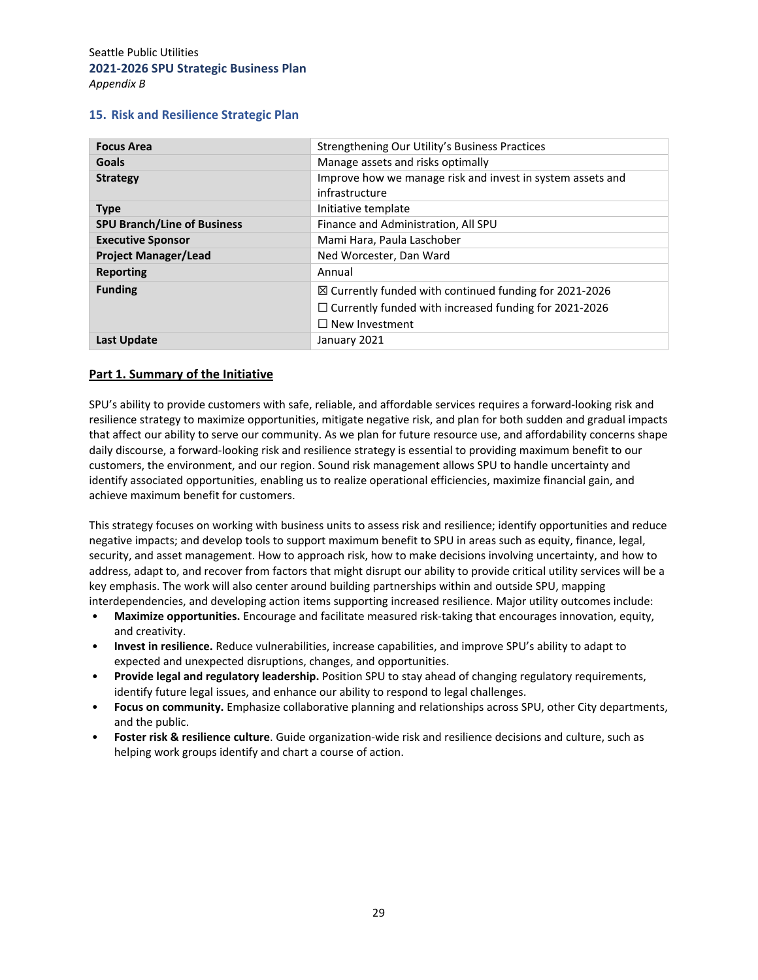#### **15. Risk and Resilience Strategic Plan**

| <b>Focus Area</b>                  | Strengthening Our Utility's Business Practices                    |  |  |  |
|------------------------------------|-------------------------------------------------------------------|--|--|--|
| <b>Goals</b>                       | Manage assets and risks optimally                                 |  |  |  |
| <b>Strategy</b>                    | Improve how we manage risk and invest in system assets and        |  |  |  |
|                                    | infrastructure                                                    |  |  |  |
| <b>Type</b>                        | Initiative template                                               |  |  |  |
| <b>SPU Branch/Line of Business</b> | Finance and Administration, All SPU                               |  |  |  |
| <b>Executive Sponsor</b>           | Mami Hara, Paula Laschober                                        |  |  |  |
| <b>Project Manager/Lead</b>        | Ned Worcester, Dan Ward                                           |  |  |  |
| <b>Reporting</b>                   | Annual                                                            |  |  |  |
| <b>Funding</b>                     | $\boxtimes$ Currently funded with continued funding for 2021-2026 |  |  |  |
|                                    | $\Box$ Currently funded with increased funding for 2021-2026      |  |  |  |
|                                    | $\Box$ New Investment                                             |  |  |  |
| Last Update                        | January 2021                                                      |  |  |  |

#### **Part 1. Summary of the Initiative**

SPU's ability to provide customers with safe, reliable, and affordable services requires a forward‐looking risk and resilience strategy to maximize opportunities, mitigate negative risk, and plan for both sudden and gradual impacts that affect our ability to serve our community. As we plan for future resource use, and affordability concerns shape daily discourse, a forward‐looking risk and resilience strategy is essential to providing maximum benefit to our customers, the environment, and our region. Sound risk management allows SPU to handle uncertainty and identify associated opportunities, enabling us to realize operational efficiencies, maximize financial gain, and achieve maximum benefit for customers.

This strategy focuses on working with business units to assess risk and resilience; identify opportunities and reduce negative impacts; and develop tools to support maximum benefit to SPU in areas such as equity, finance, legal, security, and asset management. How to approach risk, how to make decisions involving uncertainty, and how to address, adapt to, and recover from factors that might disrupt our ability to provide critical utility services will be a key emphasis. The work will also center around building partnerships within and outside SPU, mapping interdependencies, and developing action items supporting increased resilience. Major utility outcomes include:

- **Maximize opportunities.** Encourage and facilitate measured risk‐taking that encourages innovation, equity, and creativity.
- **Invest in resilience.** Reduce vulnerabilities, increase capabilities, and improve SPU's ability to adapt to expected and unexpected disruptions, changes, and opportunities.
- **Provide legal and regulatory leadership.** Position SPU to stay ahead of changing regulatory requirements, identify future legal issues, and enhance our ability to respond to legal challenges.
- **Focus on community.** Emphasize collaborative planning and relationships across SPU, other City departments, and the public.
- **Foster risk & resilience culture**. Guide organization‐wide risk and resilience decisions and culture, such as helping work groups identify and chart a course of action.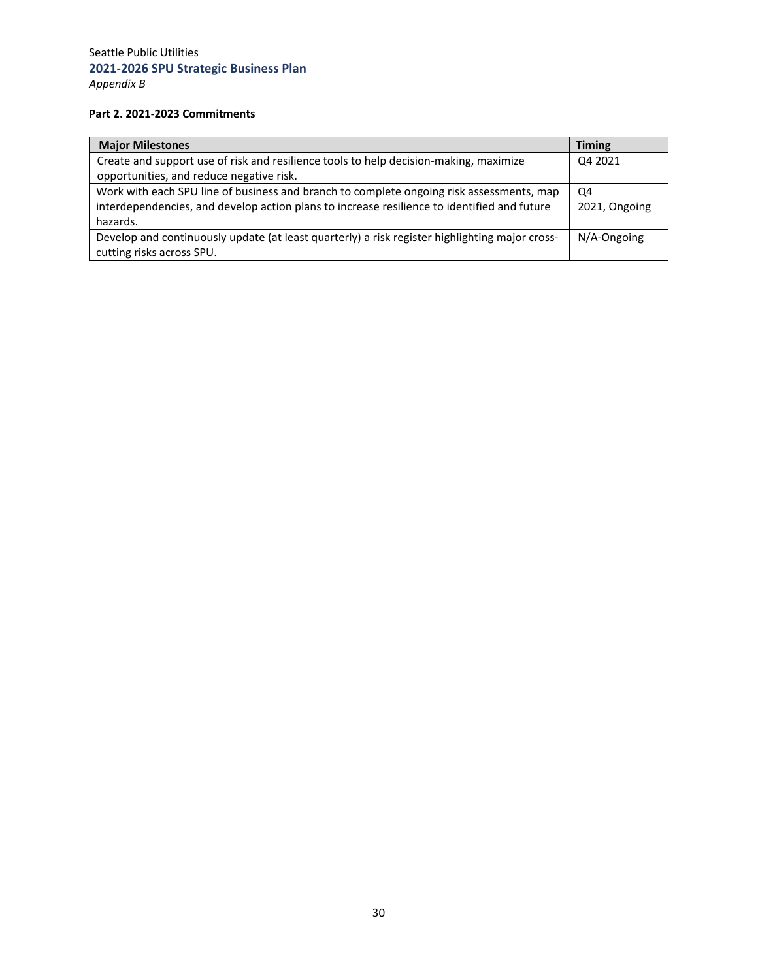# **Part 2. 2021‐2023 Commitments**

| <b>Major Milestones</b>                                                                        | <b>Timing</b>  |
|------------------------------------------------------------------------------------------------|----------------|
| Create and support use of risk and resilience tools to help decision-making, maximize          | Q4 2021        |
| opportunities, and reduce negative risk.                                                       |                |
| Work with each SPU line of business and branch to complete ongoing risk assessments, map       | Q4             |
| interdependencies, and develop action plans to increase resilience to identified and future    | 2021, Ongoing  |
| hazards.                                                                                       |                |
| Develop and continuously update (at least quarterly) a risk register highlighting major cross- | $N/A$ -Ongoing |
| cutting risks across SPU.                                                                      |                |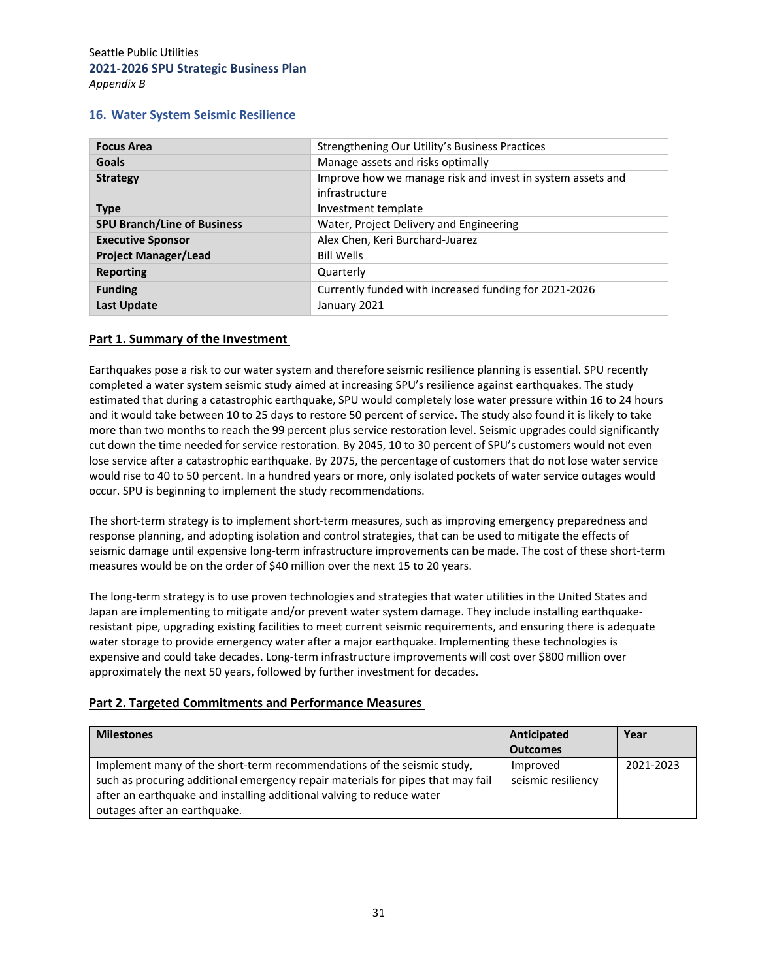#### **16. Water System Seismic Resilience**

| <b>Focus Area</b>                  | Strengthening Our Utility's Business Practices                               |  |  |  |
|------------------------------------|------------------------------------------------------------------------------|--|--|--|
| <b>Goals</b>                       | Manage assets and risks optimally                                            |  |  |  |
| <b>Strategy</b>                    | Improve how we manage risk and invest in system assets and<br>infrastructure |  |  |  |
| <b>Type</b>                        | Investment template                                                          |  |  |  |
| <b>SPU Branch/Line of Business</b> | Water, Project Delivery and Engineering                                      |  |  |  |
| <b>Executive Sponsor</b>           | Alex Chen, Keri Burchard-Juarez                                              |  |  |  |
| <b>Project Manager/Lead</b>        | <b>Bill Wells</b>                                                            |  |  |  |
| <b>Reporting</b>                   | Quarterly                                                                    |  |  |  |
| <b>Funding</b>                     | Currently funded with increased funding for 2021-2026                        |  |  |  |
| <b>Last Update</b>                 | January 2021                                                                 |  |  |  |

#### **Part 1. Summary of the Investment**

Earthquakes pose a risk to our water system and therefore seismic resilience planning is essential. SPU recently completed a water system seismic study aimed at increasing SPU's resilience against earthquakes. The study estimated that during a catastrophic earthquake, SPU would completely lose water pressure within 16 to 24 hours and it would take between 10 to 25 days to restore 50 percent of service. The study also found it is likely to take more than two months to reach the 99 percent plus service restoration level. Seismic upgrades could significantly cut down the time needed for service restoration. By 2045, 10 to 30 percent of SPU's customers would not even lose service after a catastrophic earthquake. By 2075, the percentage of customers that do not lose water service would rise to 40 to 50 percent. In a hundred years or more, only isolated pockets of water service outages would occur. SPU is beginning to implement the study recommendations.

The short-term strategy is to implement short-term measures, such as improving emergency preparedness and response planning, and adopting isolation and control strategies, that can be used to mitigate the effects of seismic damage until expensive long-term infrastructure improvements can be made. The cost of these short-term measures would be on the order of \$40 million over the next 15 to 20 years.

The long‐term strategy is to use proven technologies and strategies that water utilities in the United States and Japan are implementing to mitigate and/or prevent water system damage. They include installing earthquake‐ resistant pipe, upgrading existing facilities to meet current seismic requirements, and ensuring there is adequate water storage to provide emergency water after a major earthquake. Implementing these technologies is expensive and could take decades. Long‐term infrastructure improvements will cost over \$800 million over approximately the next 50 years, followed by further investment for decades.

## **Part 2. Targeted Commitments and Performance Measures**

| <b>Milestones</b>                                                               | Anticipated        | Year      |
|---------------------------------------------------------------------------------|--------------------|-----------|
|                                                                                 | <b>Outcomes</b>    |           |
| Implement many of the short-term recommendations of the seismic study,          | Improved           | 2021-2023 |
| such as procuring additional emergency repair materials for pipes that may fail | seismic resiliency |           |
| after an earthquake and installing additional valving to reduce water           |                    |           |
| outages after an earthquake.                                                    |                    |           |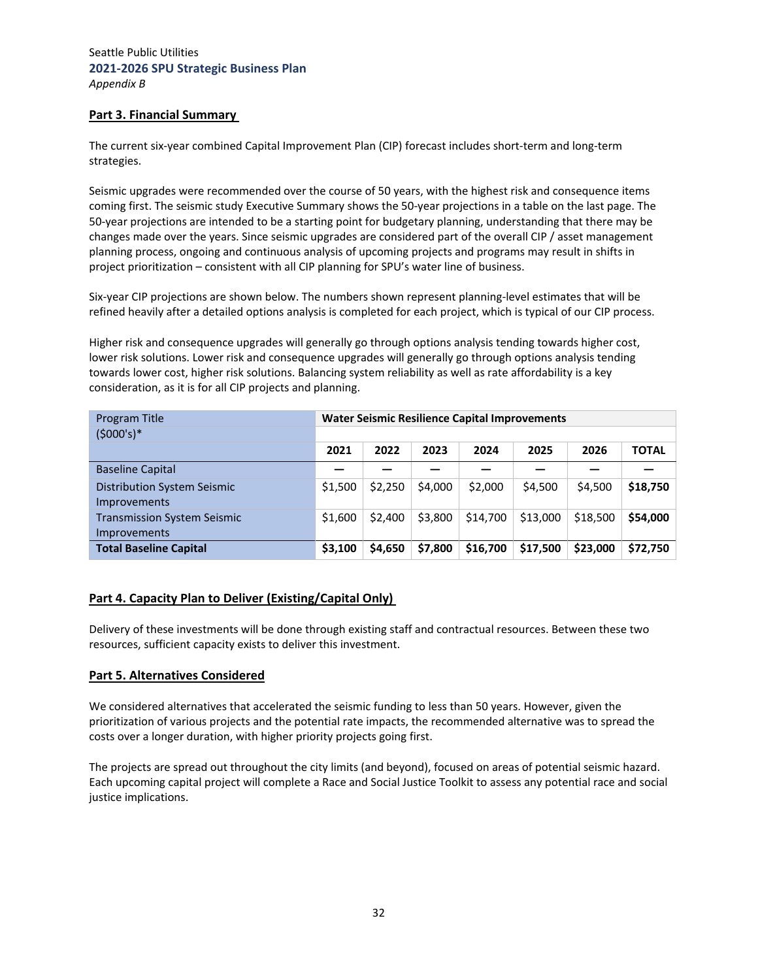## **Part 3. Financial Summary**

The current six-year combined Capital Improvement Plan (CIP) forecast includes short-term and long-term strategies.

Seismic upgrades were recommended over the course of 50 years, with the highest risk and consequence items coming first. The seismic study Executive Summary shows the 50‐year projections in a table on the last page. The 50‐year projections are intended to be a starting point for budgetary planning, understanding that there may be changes made over the years. Since seismic upgrades are considered part of the overall CIP / asset management planning process, ongoing and continuous analysis of upcoming projects and programs may result in shifts in project prioritization – consistent with all CIP planning for SPU's water line of business.

Six-year CIP projections are shown below. The numbers shown represent planning-level estimates that will be refined heavily after a detailed options analysis is completed for each project, which is typical of our CIP process.

Higher risk and consequence upgrades will generally go through options analysis tending towards higher cost, lower risk solutions. Lower risk and consequence upgrades will generally go through options analysis tending towards lower cost, higher risk solutions. Balancing system reliability as well as rate affordability is a key consideration, as it is for all CIP projects and planning.

| Program Title                                             | <b>Water Seismic Resilience Capital Improvements</b> |         |         |          |          |          |              |
|-----------------------------------------------------------|------------------------------------------------------|---------|---------|----------|----------|----------|--------------|
| $(5000's)*$                                               |                                                      |         |         |          |          |          |              |
|                                                           | 2021                                                 | 2022    | 2023    | 2024     | 2025     | 2026     | <b>TOTAL</b> |
| <b>Baseline Capital</b>                                   |                                                      |         |         |          |          |          |              |
| Distribution System Seismic<br>Improvements               | \$1,500                                              | \$2,250 | \$4,000 | \$2,000  | \$4,500  | \$4,500  | \$18,750     |
| <b>Transmission System Seismic</b><br><i>Improvements</i> | \$1,600                                              | \$2,400 | \$3,800 | \$14,700 | \$13,000 | \$18,500 | \$54,000     |
| <b>Total Baseline Capital</b>                             | \$3,100                                              | \$4,650 | \$7,800 | \$16,700 | \$17,500 | \$23,000 | \$72,750     |

#### **Part 4. Capacity Plan to Deliver (Existing/Capital Only)**

Delivery of these investments will be done through existing staff and contractual resources. Between these two resources, sufficient capacity exists to deliver this investment.

#### **Part 5. Alternatives Considered**

We considered alternatives that accelerated the seismic funding to less than 50 years. However, given the prioritization of various projects and the potential rate impacts, the recommended alternative was to spread the costs over a longer duration, with higher priority projects going first.

The projects are spread out throughout the city limits (and beyond), focused on areas of potential seismic hazard. Each upcoming capital project will complete a Race and Social Justice Toolkit to assess any potential race and social justice implications.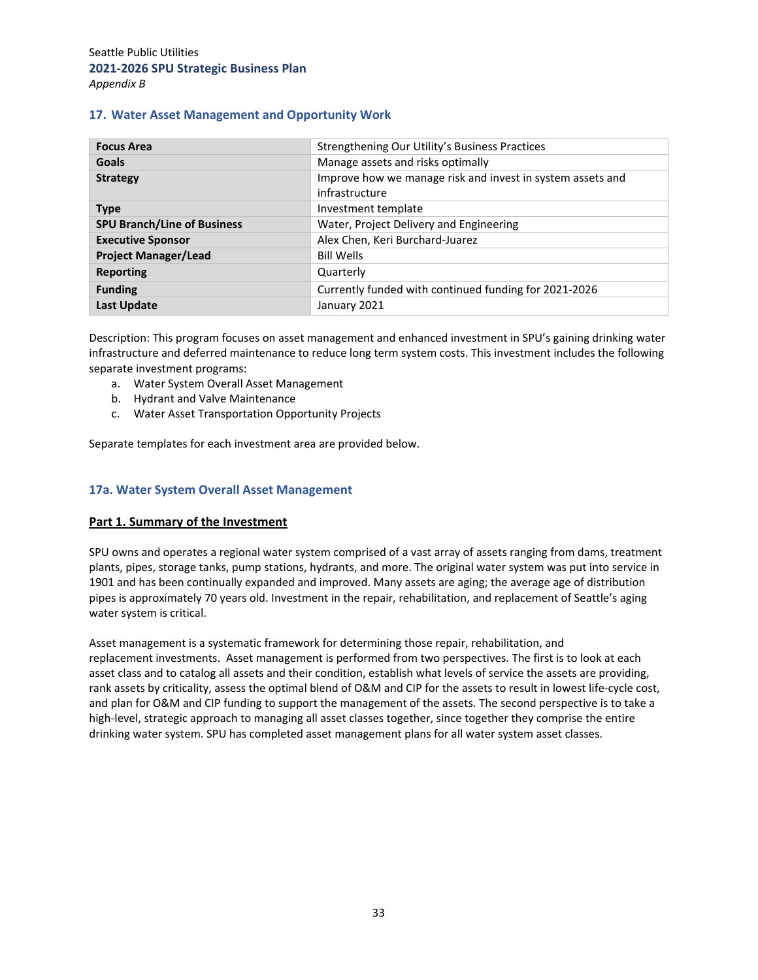#### **17. Water Asset Management and Opportunity Work**

| <b>Focus Area</b>                  | Strengthening Our Utility's Business Practices             |  |  |  |
|------------------------------------|------------------------------------------------------------|--|--|--|
| Goals                              | Manage assets and risks optimally                          |  |  |  |
| <b>Strategy</b>                    | Improve how we manage risk and invest in system assets and |  |  |  |
|                                    | infrastructure                                             |  |  |  |
| <b>Type</b>                        | Investment template                                        |  |  |  |
| <b>SPU Branch/Line of Business</b> | Water, Project Delivery and Engineering                    |  |  |  |
| <b>Executive Sponsor</b>           | Alex Chen, Keri Burchard-Juarez                            |  |  |  |
| <b>Project Manager/Lead</b>        | <b>Bill Wells</b>                                          |  |  |  |
| Reporting                          | Quarterly                                                  |  |  |  |
| <b>Funding</b>                     | Currently funded with continued funding for 2021-2026      |  |  |  |
| <b>Last Update</b>                 | January 2021                                               |  |  |  |

Description: This program focuses on asset management and enhanced investment in SPU's gaining drinking water infrastructure and deferred maintenance to reduce long term system costs. This investment includes the following separate investment programs:

- a. Water System Overall Asset Management
- b. Hydrant and Valve Maintenance
- c. Water Asset Transportation Opportunity Projects

Separate templates for each investment area are provided below.

#### **17a. Water System Overall Asset Management**

#### **Part 1. Summary of the Investment**

SPU owns and operates a regional water system comprised of a vast array of assets ranging from dams, treatment plants, pipes, storage tanks, pump stations, hydrants, and more. The original water system was put into service in 1901 and has been continually expanded and improved. Many assets are aging; the average age of distribution pipes is approximately 70 years old. Investment in the repair, rehabilitation, and replacement of Seattle's aging water system is critical. 

Asset management is a systematic framework for determining those repair, rehabilitation, and replacement investments.  Asset management is performed from two perspectives. The first is to look at each asset class and to catalog all assets and their condition, establish what levels of service the assets are providing, rank assets by criticality, assess the optimal blend of O&M and CIP for the assets to result in lowest life‐cycle cost, and plan for O&M and CIP funding to support the management of the assets. The second perspective is to take a high-level, strategic approach to managing all asset classes together, since together they comprise the entire drinking water system. SPU has completed asset management plans for all water system asset classes.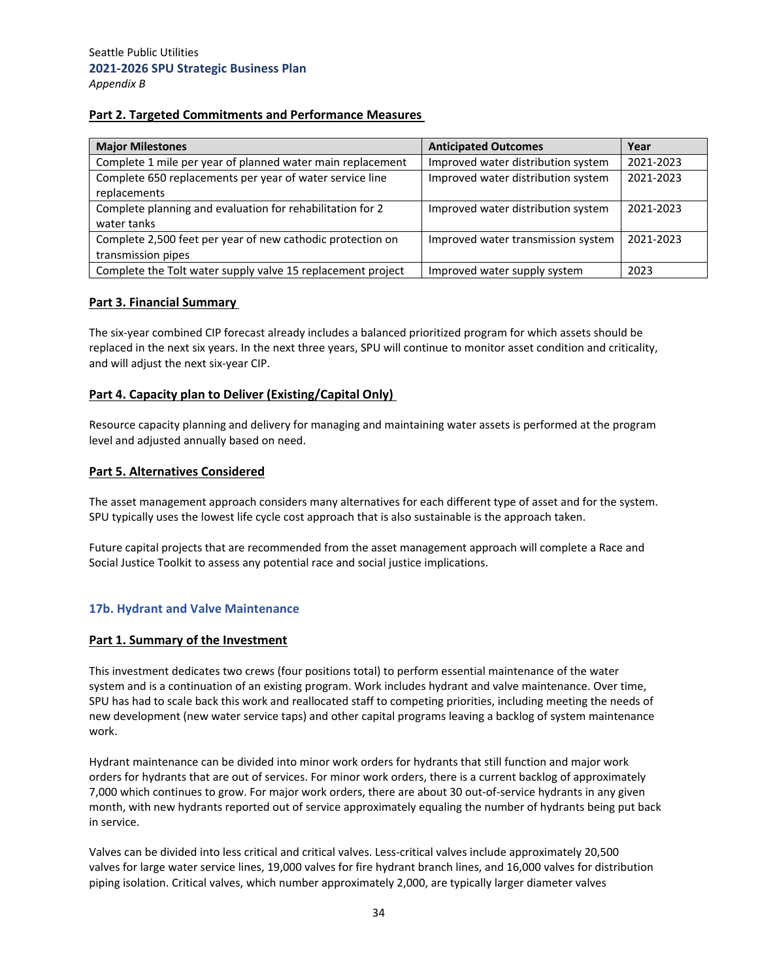## **Part 2. Targeted Commitments and Performance Measures**

| <b>Major Milestones</b>                                                          | <b>Anticipated Outcomes</b>        | Year      |
|----------------------------------------------------------------------------------|------------------------------------|-----------|
| Complete 1 mile per year of planned water main replacement                       | Improved water distribution system | 2021-2023 |
| Complete 650 replacements per year of water service line<br>replacements         | Improved water distribution system | 2021-2023 |
| Complete planning and evaluation for rehabilitation for 2<br>water tanks         | Improved water distribution system | 2021-2023 |
| Complete 2,500 feet per year of new cathodic protection on<br>transmission pipes | Improved water transmission system | 2021-2023 |
| Complete the Tolt water supply valve 15 replacement project                      | Improved water supply system       | 2023      |

#### **Part 3. Financial Summary**

The six‐year combined CIP forecast already includes a balanced prioritized program for which assets should be replaced in the next six years. In the next three years, SPU will continue to monitor asset condition and criticality, and will adjust the next six‐year CIP.

## **Part 4. Capacity plan to Deliver (Existing/Capital Only)**

Resource capacity planning and delivery for managing and maintaining water assets is performed at the program level and adjusted annually based on need.

#### **Part 5. Alternatives Considered**

The asset management approach considers many alternatives for each different type of asset and for the system. SPU typically uses the lowest life cycle cost approach that is also sustainable is the approach taken.

Future capital projects that are recommended from the asset management approach will complete a Race and Social Justice Toolkit to assess any potential race and social justice implications.

# **17b. Hydrant and Valve Maintenance**

#### **Part 1. Summary of the Investment**

This investment dedicates two crews (four positions total) to perform essential maintenance of the water system and is a continuation of an existing program. Work includes hydrant and valve maintenance. Over time, SPU has had to scale back this work and reallocated staff to competing priorities, including meeting the needs of new development (new water service taps) and other capital programs leaving a backlog of system maintenance work.

Hydrant maintenance can be divided into minor work orders for hydrants that still function and major work orders for hydrants that are out of services. For minor work orders, there is a current backlog of approximately 7,000 which continues to grow. For major work orders, there are about 30 out‐of‐service hydrants in any given month, with new hydrants reported out of service approximately equaling the number of hydrants being put back in service.

Valves can be divided into less critical and critical valves. Less‐critical valves include approximately 20,500 valves for large water service lines, 19,000 valves for fire hydrant branch lines, and 16,000 valves for distribution piping isolation. Critical valves, which number approximately 2,000, are typically larger diameter valves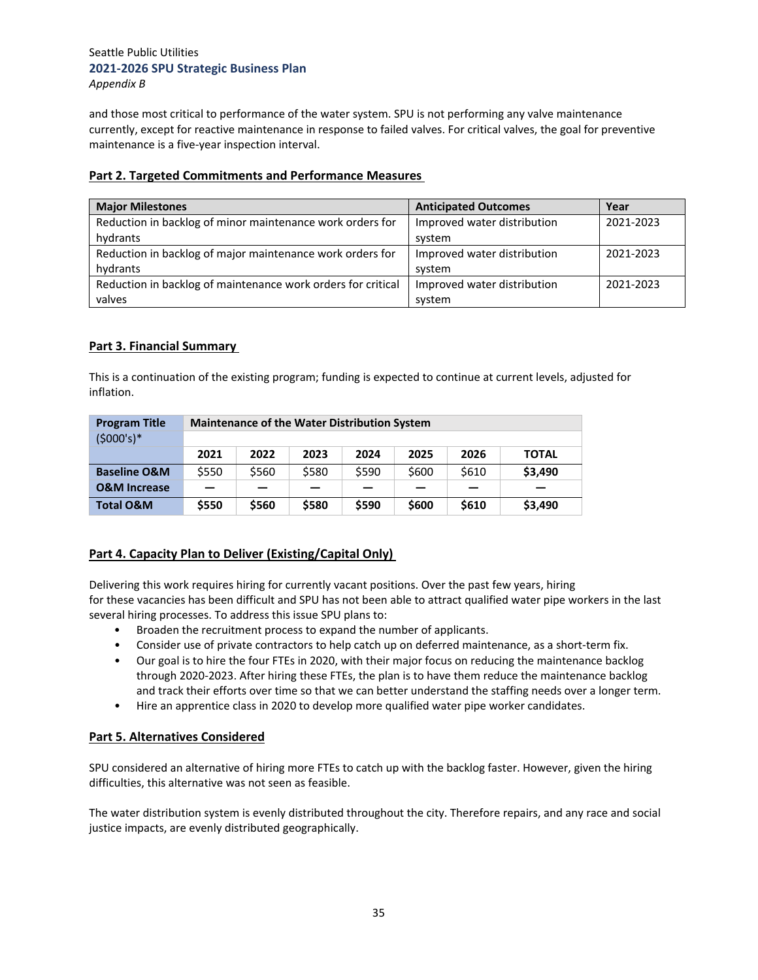and those most critical to performance of the water system. SPU is not performing any valve maintenance currently, except for reactive maintenance in response to failed valves. For critical valves, the goal for preventive maintenance is a five‐year inspection interval.

## **Part 2. Targeted Commitments and Performance Measures**

| <b>Major Milestones</b>                                      | <b>Anticipated Outcomes</b> | Year      |
|--------------------------------------------------------------|-----------------------------|-----------|
| Reduction in backlog of minor maintenance work orders for    | Improved water distribution | 2021-2023 |
| hydrants                                                     | system                      |           |
| Reduction in backlog of major maintenance work orders for    | Improved water distribution | 2021-2023 |
| hydrants                                                     | system                      |           |
| Reduction in backlog of maintenance work orders for critical | Improved water distribution | 2021-2023 |
| valves                                                       | system                      |           |

# **Part 3. Financial Summary**

This is a continuation of the existing program; funding is expected to continue at current levels, adjusted for inflation.

| <b>Program Title</b>    | <b>Maintenance of the Water Distribution System</b> |       |       |       |       |       |              |
|-------------------------|-----------------------------------------------------|-------|-------|-------|-------|-------|--------------|
| $(5000's)*$             |                                                     |       |       |       |       |       |              |
|                         | 2021                                                | 2022  | 2023  | 2024  | 2025  | 2026  | <b>TOTAL</b> |
| <b>Baseline O&amp;M</b> | \$550                                               | \$560 | \$580 | \$590 | \$600 | \$610 | \$3,490      |
| <b>O&amp;M Increase</b> |                                                     |       |       |       |       |       |              |
| <b>Total O&amp;M</b>    | \$550                                               | \$560 | \$580 | \$590 | \$600 | \$610 | \$3,490      |

# **Part 4. Capacity Plan to Deliver (Existing/Capital Only)**

Delivering this work requires hiring for currently vacant positions. Over the past few years, hiring for these vacancies has been difficult and SPU has not been able to attract qualified water pipe workers in the last several hiring processes. To address this issue SPU plans to:

- Broaden the recruitment process to expand the number of applicants.
- Consider use of private contractors to help catch up on deferred maintenance, as a short-term fix.
- Our goal is to hire the four FTEs in 2020, with their major focus on reducing the maintenance backlog through 2020‐2023. After hiring these FTEs, the plan is to have them reduce the maintenance backlog and track their efforts over time so that we can better understand the staffing needs over a longer term.
- Hire an apprentice class in 2020 to develop more qualified water pipe worker candidates.

## **Part 5. Alternatives Considered**

SPU considered an alternative of hiring more FTEs to catch up with the backlog faster. However, given the hiring difficulties, this alternative was not seen as feasible.

The water distribution system is evenly distributed throughout the city. Therefore repairs, and any race and social justice impacts, are evenly distributed geographically.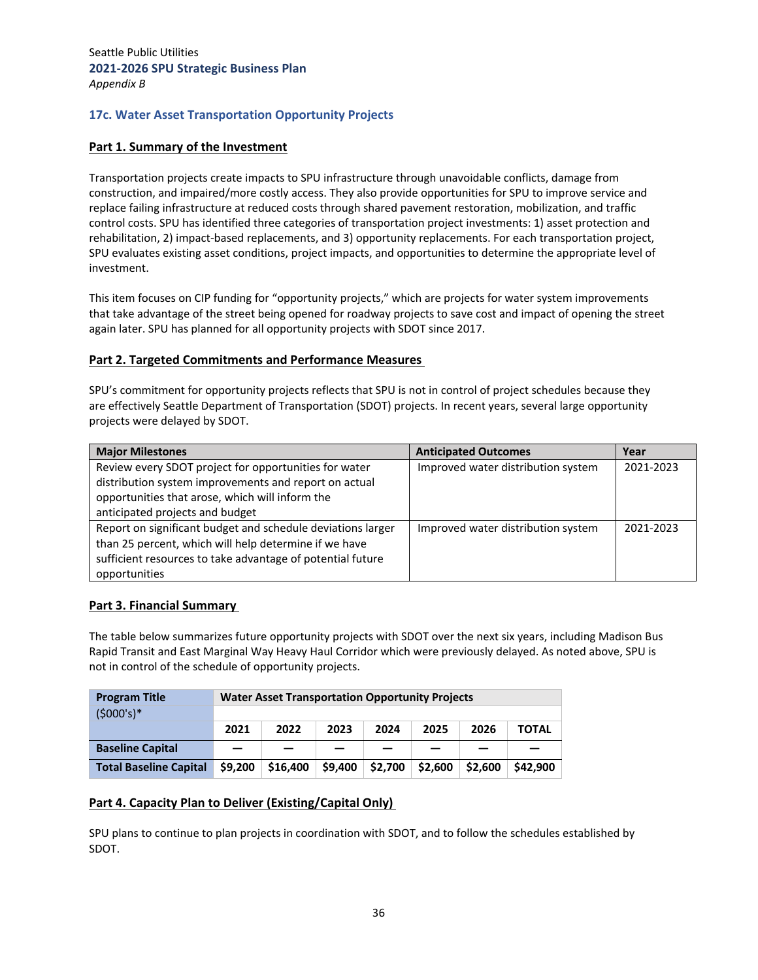# **17c. Water Asset Transportation Opportunity Projects**

#### **Part 1. Summary of the Investment**

Transportation projects create impacts to SPU infrastructure through unavoidable conflicts, damage from construction, and impaired/more costly access. They also provide opportunities for SPU to improve service and replace failing infrastructure at reduced costs through shared pavement restoration, mobilization, and traffic control costs. SPU has identified three categories of transportation project investments: 1) asset protection and rehabilitation, 2) impact‐based replacements, and 3) opportunity replacements. For each transportation project, SPU evaluates existing asset conditions, project impacts, and opportunities to determine the appropriate level of investment.

This item focuses on CIP funding for "opportunity projects," which are projects for water system improvements that take advantage of the street being opened for roadway projects to save cost and impact of opening the street again later. SPU has planned for all opportunity projects with SDOT since 2017.

#### **Part 2. Targeted Commitments and Performance Measures**

SPU's commitment for opportunity projects reflects that SPU is not in control of project schedules because they are effectively Seattle Department of Transportation (SDOT) projects. In recent years, several large opportunity projects were delayed by SDOT.

| <b>Major Milestones</b>                                     | <b>Anticipated Outcomes</b>        | Year      |
|-------------------------------------------------------------|------------------------------------|-----------|
| Review every SDOT project for opportunities for water       | Improved water distribution system | 2021-2023 |
| distribution system improvements and report on actual       |                                    |           |
| opportunities that arose, which will inform the             |                                    |           |
| anticipated projects and budget                             |                                    |           |
| Report on significant budget and schedule deviations larger | Improved water distribution system | 2021-2023 |
| than 25 percent, which will help determine if we have       |                                    |           |
| sufficient resources to take advantage of potential future  |                                    |           |
| opportunities                                               |                                    |           |

#### **Part 3. Financial Summary**

The table below summarizes future opportunity projects with SDOT over the next six years, including Madison Bus Rapid Transit and East Marginal Way Heavy Haul Corridor which were previously delayed. As noted above, SPU is not in control of the schedule of opportunity projects.

| <b>Program Title</b>          | <b>Water Asset Transportation Opportunity Projects</b> |          |         |         |         |         |              |
|-------------------------------|--------------------------------------------------------|----------|---------|---------|---------|---------|--------------|
| $(5000's)*$                   |                                                        |          |         |         |         |         |              |
|                               | 2021                                                   | 2022     | 2023    | 2024    | 2025    | 2026    | <b>TOTAL</b> |
| <b>Baseline Capital</b>       |                                                        |          |         |         |         |         |              |
| <b>Total Baseline Capital</b> | \$9.200                                                | \$16,400 | \$9,400 | \$2,700 | \$2,600 | \$2,600 | \$42,900     |

# **Part 4. Capacity Plan to Deliver (Existing/Capital Only)**

SPU plans to continue to plan projects in coordination with SDOT, and to follow the schedules established by SDOT.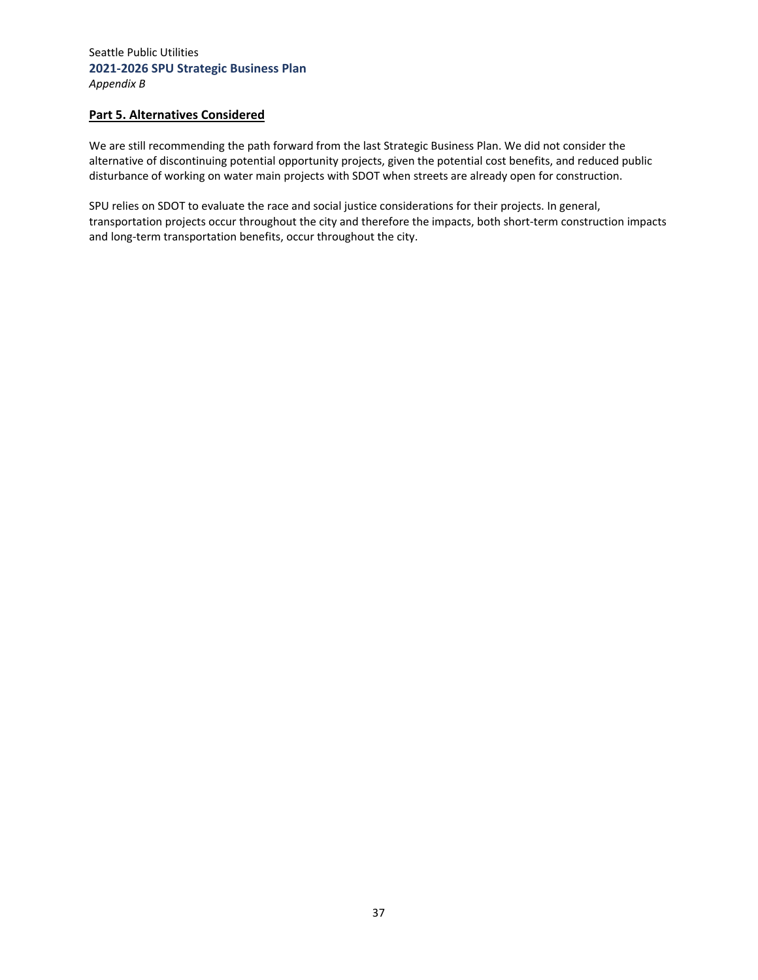## **Part 5. Alternatives Considered**

We are still recommending the path forward from the last Strategic Business Plan. We did not consider the alternative of discontinuing potential opportunity projects, given the potential cost benefits, and reduced public disturbance of working on water main projects with SDOT when streets are already open for construction.

SPU relies on SDOT to evaluate the race and social justice considerations for their projects. In general, transportation projects occur throughout the city and therefore the impacts, both short-term construction impacts and long-term transportation benefits, occur throughout the city.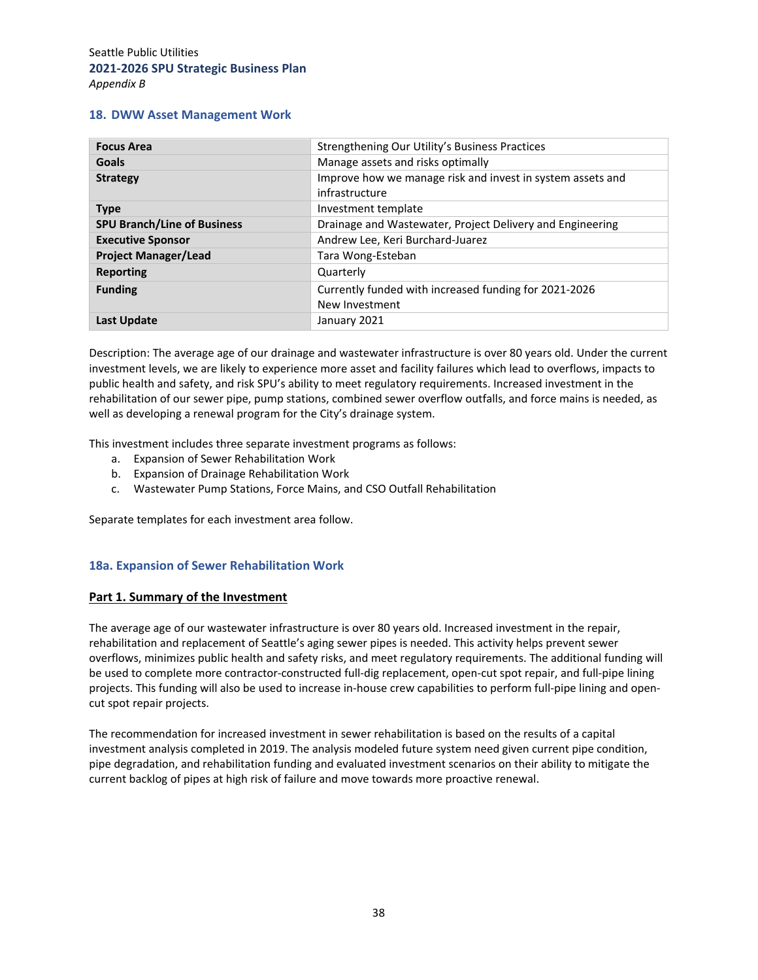#### **18. DWW Asset Management Work**

| <b>Focus Area</b>                  | Strengthening Our Utility's Business Practices                               |
|------------------------------------|------------------------------------------------------------------------------|
| <b>Goals</b>                       | Manage assets and risks optimally                                            |
| <b>Strategy</b>                    | Improve how we manage risk and invest in system assets and<br>infrastructure |
| <b>Type</b>                        | Investment template                                                          |
| <b>SPU Branch/Line of Business</b> | Drainage and Wastewater, Project Delivery and Engineering                    |
| <b>Executive Sponsor</b>           | Andrew Lee, Keri Burchard-Juarez                                             |
| <b>Project Manager/Lead</b>        | Tara Wong-Esteban                                                            |
| <b>Reporting</b>                   | Quarterly                                                                    |
| <b>Funding</b>                     | Currently funded with increased funding for 2021-2026<br>New Investment      |
| Last Update                        | January 2021                                                                 |

Description: The average age of our drainage and wastewater infrastructure is over 80 years old. Under the current investment levels, we are likely to experience more asset and facility failures which lead to overflows, impacts to public health and safety, and risk SPU's ability to meet regulatory requirements. Increased investment in the rehabilitation of our sewer pipe, pump stations, combined sewer overflow outfalls, and force mains is needed, as well as developing a renewal program for the City's drainage system.

This investment includes three separate investment programs as follows:

- a. Expansion of Sewer Rehabilitation Work
- b. Expansion of Drainage Rehabilitation Work
- c. Wastewater Pump Stations, Force Mains, and CSO Outfall Rehabilitation

Separate templates for each investment area follow.

#### **18a. Expansion of Sewer Rehabilitation Work**

#### **Part 1. Summary of the Investment**

The average age of our wastewater infrastructure is over 80 years old. Increased investment in the repair, rehabilitation and replacement of Seattle's aging sewer pipes is needed. This activity helps prevent sewer overflows, minimizes public health and safety risks, and meet regulatory requirements. The additional funding will be used to complete more contractor‐constructed full‐dig replacement, open‐cut spot repair, and full‐pipe lining projects. This funding will also be used to increase in‐house crew capabilities to perform full‐pipe lining and open‐ cut spot repair projects.

The recommendation for increased investment in sewer rehabilitation is based on the results of a capital investment analysis completed in 2019. The analysis modeled future system need given current pipe condition, pipe degradation, and rehabilitation funding and evaluated investment scenarios on their ability to mitigate the current backlog of pipes at high risk of failure and move towards more proactive renewal.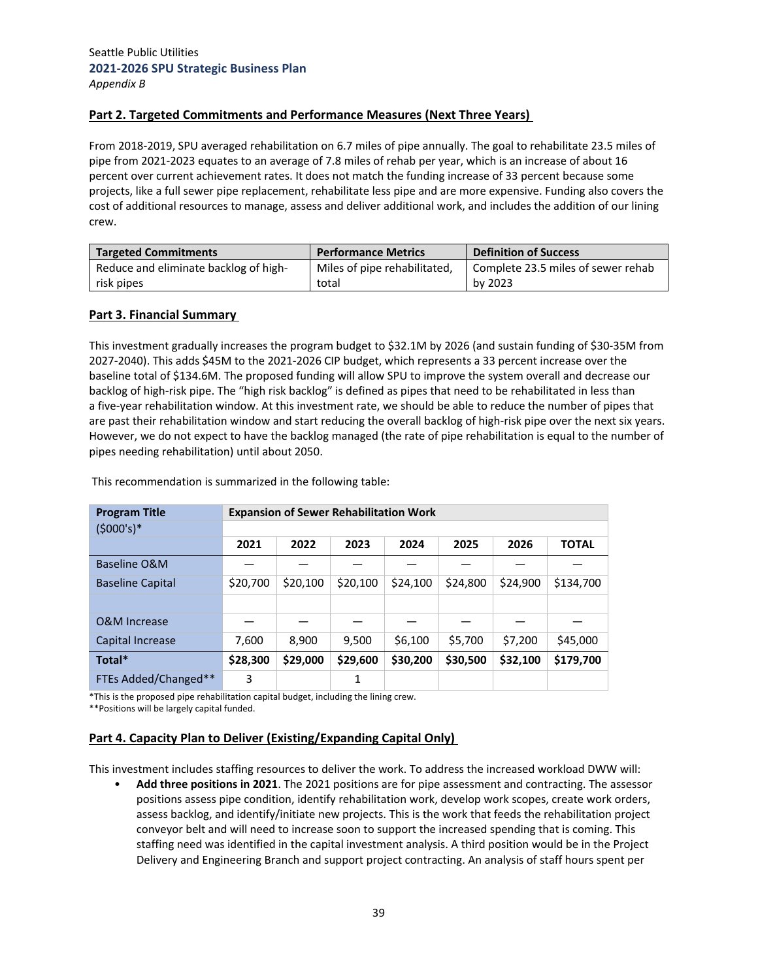## **Part 2. Targeted Commitments and Performance Measures (Next Three Years)**

From 2018‐2019, SPU averaged rehabilitation on 6.7 miles of pipe annually. The goal to rehabilitate 23.5 miles of pipe from 2021‐2023 equates to an average of 7.8 miles of rehab per year, which is an increase of about 16 percent over current achievement rates. It does not match the funding increase of 33 percent because some projects, like a full sewer pipe replacement, rehabilitate less pipe and are more expensive. Funding also covers the cost of additional resources to manage, assess and deliver additional work, and includes the addition of our lining crew.

| <b>Targeted Commitments</b>           | <b>Performance Metrics</b>   | <b>Definition of Success</b>       |
|---------------------------------------|------------------------------|------------------------------------|
| Reduce and eliminate backlog of high- | Miles of pipe rehabilitated, | Complete 23.5 miles of sewer rehab |
| risk pipes                            | total                        | by 2023                            |

#### **Part 3. Financial Summary**

This investment gradually increases the program budget to \$32.1M by 2026 (and sustain funding of \$30‐35M from 2027‐2040). This adds \$45M to the 2021‐2026 CIP budget, which represents a 33 percent increase over the baseline total of \$134.6M. The proposed funding will allow SPU to improve the system overall and decrease our backlog of high‐risk pipe. The "high risk backlog" is defined as pipes that need to be rehabilitated in less than a five-year rehabilitation window. At this investment rate, we should be able to reduce the number of pipes that are past their rehabilitation window and start reducing the overall backlog of high-risk pipe over the next six years. However, we do not expect to have the backlog managed (the rate of pipe rehabilitation is equal to the number of pipes needing rehabilitation) until about 2050.

| <b>Program Title</b>    |          | <b>Expansion of Sewer Rehabilitation Work</b> |          |          |          |          |              |
|-------------------------|----------|-----------------------------------------------|----------|----------|----------|----------|--------------|
| $(5000's)*$             |          |                                               |          |          |          |          |              |
|                         | 2021     | 2022                                          | 2023     | 2024     | 2025     | 2026     | <b>TOTAL</b> |
| Baseline O&M            |          |                                               |          |          |          |          |              |
| <b>Baseline Capital</b> | \$20,700 | \$20,100                                      | \$20,100 | \$24,100 | \$24,800 | \$24,900 | \$134,700    |
|                         |          |                                               |          |          |          |          |              |
| O&M Increase            |          |                                               |          |          |          |          |              |
| Capital Increase        | 7,600    | 8,900                                         | 9,500    | \$6,100  | \$5,700  | \$7,200  | \$45,000     |
| Total*                  | \$28,300 | \$29,000                                      | \$29,600 | \$30,200 | \$30,500 | \$32,100 | \$179,700    |
| FTEs Added/Changed**    | 3        |                                               | 1        |          |          |          |              |

This recommendation is summarized in the following table:

\*This is the proposed pipe rehabilitation capital budget, including the lining crew.

\*\*Positions will be largely capital funded.

#### **Part 4. Capacity Plan to Deliver (Existing/Expanding Capital Only)**

This investment includes staffing resources to deliver the work. To address the increased workload DWW will:

• **Add three positions in 2021**. The 2021 positions are for pipe assessment and contracting. The assessor positions assess pipe condition, identify rehabilitation work, develop work scopes, create work orders, assess backlog, and identify/initiate new projects. This is the work that feeds the rehabilitation project conveyor belt and will need to increase soon to support the increased spending that is coming. This staffing need was identified in the capital investment analysis. A third position would be in the Project Delivery and Engineering Branch and support project contracting. An analysis of staff hours spent per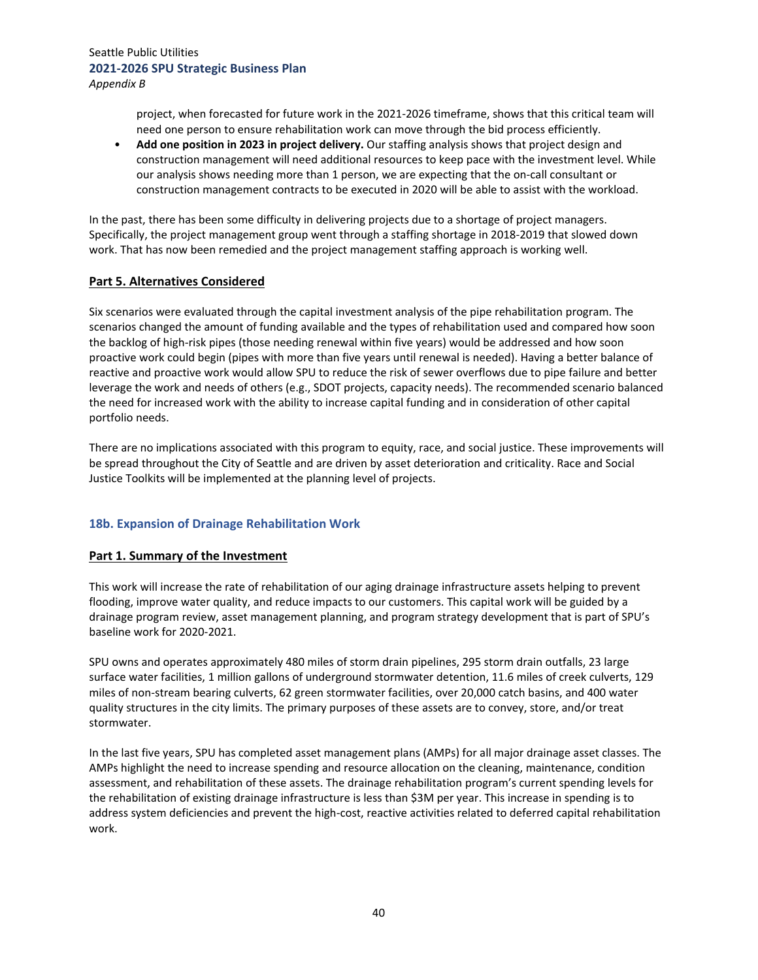project, when forecasted for future work in the 2021-2026 timeframe, shows that this critical team will need one person to ensure rehabilitation work can move through the bid process efficiently.

• **Add one position in 2023 in project delivery.** Our staffing analysis shows that project design and construction management will need additional resources to keep pace with the investment level. While our analysis shows needing more than 1 person, we are expecting that the on‐call consultant or construction management contracts to be executed in 2020 will be able to assist with the workload.

In the past, there has been some difficulty in delivering projects due to a shortage of project managers. Specifically, the project management group went through a staffing shortage in 2018‐2019 that slowed down work. That has now been remedied and the project management staffing approach is working well.

## **Part 5. Alternatives Considered**

Six scenarios were evaluated through the capital investment analysis of the pipe rehabilitation program. The scenarios changed the amount of funding available and the types of rehabilitation used and compared how soon the backlog of high‐risk pipes (those needing renewal within five years) would be addressed and how soon proactive work could begin (pipes with more than five years until renewal is needed). Having a better balance of reactive and proactive work would allow SPU to reduce the risk of sewer overflows due to pipe failure and better leverage the work and needs of others (e.g., SDOT projects, capacity needs). The recommended scenario balanced the need for increased work with the ability to increase capital funding and in consideration of other capital portfolio needs.

There are no implications associated with this program to equity, race, and social justice. These improvements will be spread throughout the City of Seattle and are driven by asset deterioration and criticality. Race and Social Justice Toolkits will be implemented at the planning level of projects.

# **18b. Expansion of Drainage Rehabilitation Work**

#### **Part 1. Summary of the Investment**

This work will increase the rate of rehabilitation of our aging drainage infrastructure assets helping to prevent flooding, improve water quality, and reduce impacts to our customers. This capital work will be guided by a drainage program review, asset management planning, and program strategy development that is part of SPU's baseline work for 2020‐2021.

SPU owns and operates approximately 480 miles of storm drain pipelines, 295 storm drain outfalls, 23 large surface water facilities, 1 million gallons of underground stormwater detention, 11.6 miles of creek culverts, 129 miles of non‐stream bearing culverts, 62 green stormwater facilities, over 20,000 catch basins, and 400 water quality structures in the city limits. The primary purposes of these assets are to convey, store, and/or treat stormwater.

In the last five years, SPU has completed asset management plans (AMPs) for all major drainage asset classes. The AMPs highlight the need to increase spending and resource allocation on the cleaning, maintenance, condition assessment, and rehabilitation of these assets. The drainage rehabilitation program's current spending levels for the rehabilitation of existing drainage infrastructure is less than \$3M per year. This increase in spending is to address system deficiencies and prevent the high‐cost, reactive activities related to deferred capital rehabilitation work.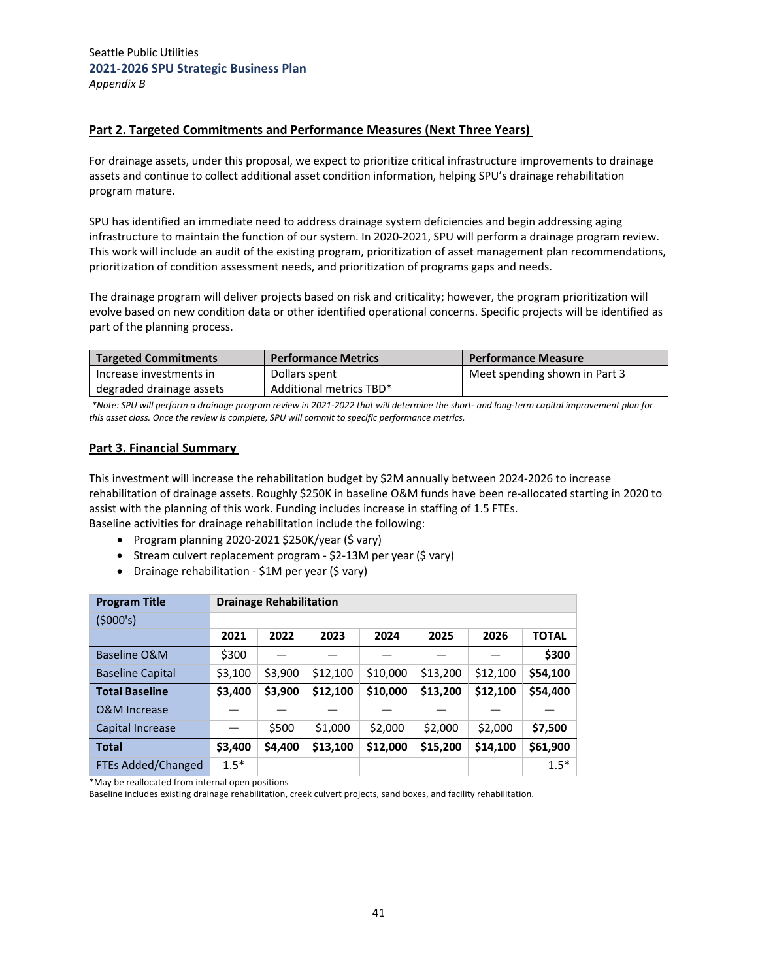## **Part 2. Targeted Commitments and Performance Measures (Next Three Years)**

For drainage assets, under this proposal, we expect to prioritize critical infrastructure improvements to drainage assets and continue to collect additional asset condition information, helping SPU's drainage rehabilitation program mature.

SPU has identified an immediate need to address drainage system deficiencies and begin addressing aging infrastructure to maintain the function of our system. In 2020‐2021, SPU will perform a drainage program review. This work will include an audit of the existing program, prioritization of asset management plan recommendations, prioritization of condition assessment needs, and prioritization of programs gaps and needs.

The drainage program will deliver projects based on risk and criticality; however, the program prioritization will evolve based on new condition data or other identified operational concerns. Specific projects will be identified as part of the planning process.

| <b>Targeted Commitments</b> | <b>Performance Metrics</b> | <b>Performance Measure</b>    |
|-----------------------------|----------------------------|-------------------------------|
| Increase investments in     | Dollars spent              | Meet spending shown in Part 3 |
| degraded drainage assets    | Additional metrics TBD*    |                               |

\*Note: SPU will perform a drainage program review in 2021-2022 that will determine the short- and long-term capital improvement plan for *this asset class. Once the review is complete, SPU will commit to specific performance metrics.*

#### **Part 3. Financial Summary**

This investment will increase the rehabilitation budget by \$2M annually between 2024‐2026 to increase rehabilitation of drainage assets. Roughly \$250K in baseline O&M funds have been re‐allocated starting in 2020 to assist with the planning of this work. Funding includes increase in staffing of 1.5 FTEs. Baseline activities for drainage rehabilitation include the following:

- Program planning 2020-2021 \$250K/year (\$ vary)
- Stream culvert replacement program \$2-13M per year (\$ vary)
- Drainage rehabilitation \$1M per year (\$ vary)

| <b>Program Title</b>    | <b>Drainage Rehabilitation</b> |         |          |          |          |          |              |  |  |
|-------------------------|--------------------------------|---------|----------|----------|----------|----------|--------------|--|--|
| (5000's)                |                                |         |          |          |          |          |              |  |  |
|                         | 2021                           | 2022    | 2023     | 2024     | 2025     | 2026     | <b>TOTAL</b> |  |  |
| Baseline O&M            | \$300                          |         |          |          |          |          | \$300        |  |  |
| <b>Baseline Capital</b> | \$3,100                        | \$3,900 | \$12,100 | \$10,000 | \$13,200 | \$12,100 | \$54,100     |  |  |
| <b>Total Baseline</b>   | \$3,400                        | \$3,900 | \$12,100 | \$10,000 | \$13,200 | \$12,100 | \$54,400     |  |  |
| O&M Increase            |                                |         |          |          |          |          |              |  |  |
| Capital Increase        |                                | \$500   | \$1,000  | \$2,000  | \$2,000  | \$2,000  | \$7,500      |  |  |
| <b>Total</b>            | \$3,400                        | \$4,400 | \$13,100 | \$12,000 | \$15,200 | \$14,100 | \$61,900     |  |  |
| FTEs Added/Changed      | $1.5*$                         |         |          |          |          |          | $1.5*$       |  |  |

\*May be reallocated from internal open positions

Baseline includes existing drainage rehabilitation, creek culvert projects, sand boxes, and facility rehabilitation.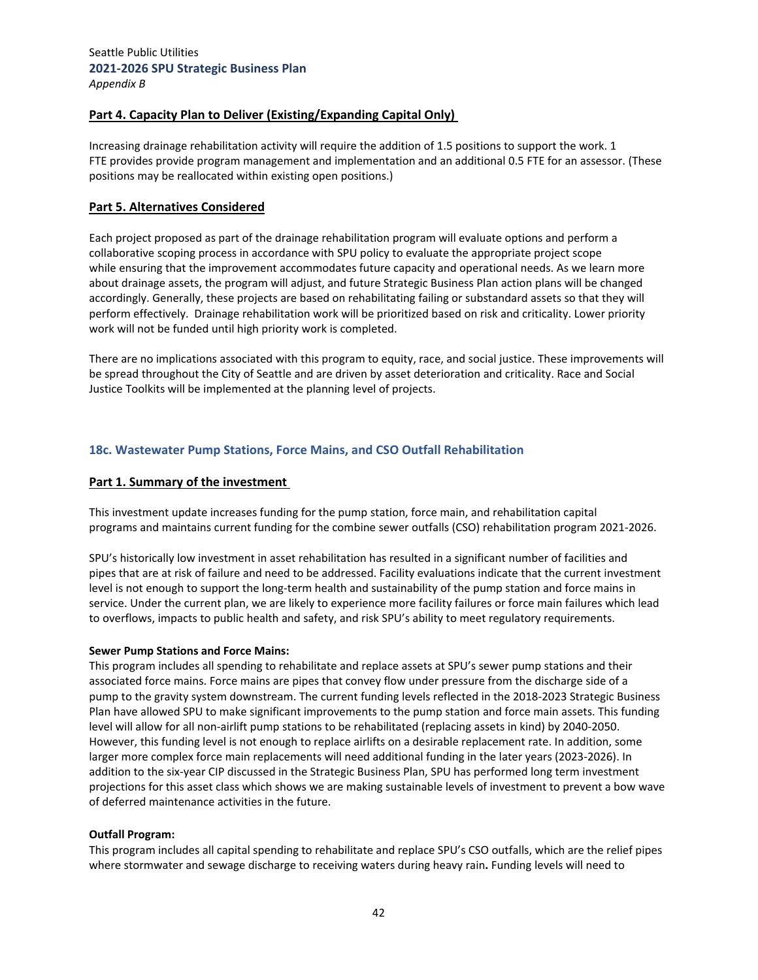# **Part 4. Capacity Plan to Deliver (Existing/Expanding Capital Only)**

Increasing drainage rehabilitation activity will require the addition of 1.5 positions to support the work. 1 FTE provides provide program management and implementation and an additional 0.5 FTE for an assessor. (These positions may be reallocated within existing open positions.)

#### **Part 5. Alternatives Considered**

Each project proposed as part of the drainage rehabilitation program will evaluate options and perform a collaborative scoping process in accordance with SPU policy to evaluate the appropriate project scope while ensuring that the improvement accommodates future capacity and operational needs. As we learn more about drainage assets, the program will adjust, and future Strategic Business Plan action plans will be changed accordingly. Generally, these projects are based on rehabilitating failing or substandard assets so that they will perform effectively. Drainage rehabilitation work will be prioritized based on risk and criticality. Lower priority work will not be funded until high priority work is completed.

There are no implications associated with this program to equity, race, and social justice. These improvements will be spread throughout the City of Seattle and are driven by asset deterioration and criticality. Race and Social Justice Toolkits will be implemented at the planning level of projects.

#### **18c. Wastewater Pump Stations, Force Mains, and CSO Outfall Rehabilitation**

#### **Part 1. Summary of the investment**

This investment update increases funding for the pump station, force main, and rehabilitation capital programs and maintains current funding for the combine sewer outfalls (CSO) rehabilitation program 2021‐2026.

SPU's historically low investment in asset rehabilitation has resulted in a significant number of facilities and pipes that are at risk of failure and need to be addressed. Facility evaluations indicate that the current investment level is not enough to support the long-term health and sustainability of the pump station and force mains in service. Under the current plan, we are likely to experience more facility failures or force main failures which lead to overflows, impacts to public health and safety, and risk SPU's ability to meet regulatory requirements.

#### **Sewer Pump Stations and Force Mains:**

This program includes all spending to rehabilitate and replace assets at SPU's sewer pump stations and their associated force mains. Force mains are pipes that convey flow under pressure from the discharge side of a pump to the gravity system downstream. The current funding levels reflected in the 2018‐2023 Strategic Business Plan have allowed SPU to make significant improvements to the pump station and force main assets. This funding level will allow for all non‐airlift pump stations to be rehabilitated (replacing assets in kind) by 2040‐2050. However, this funding level is not enough to replace airlifts on a desirable replacement rate. In addition, some larger more complex force main replacements will need additional funding in the later years (2023-2026). In addition to the six-year CIP discussed in the Strategic Business Plan, SPU has performed long term investment projections for this asset class which shows we are making sustainable levels of investment to prevent a bow wave of deferred maintenance activities in the future.

#### **Outfall Program:**

This program includes all capital spending to rehabilitate and replace SPU's CSO outfalls, which are the relief pipes where stormwater and sewage discharge to receiving waters during heavy rain**.** Funding levels will need to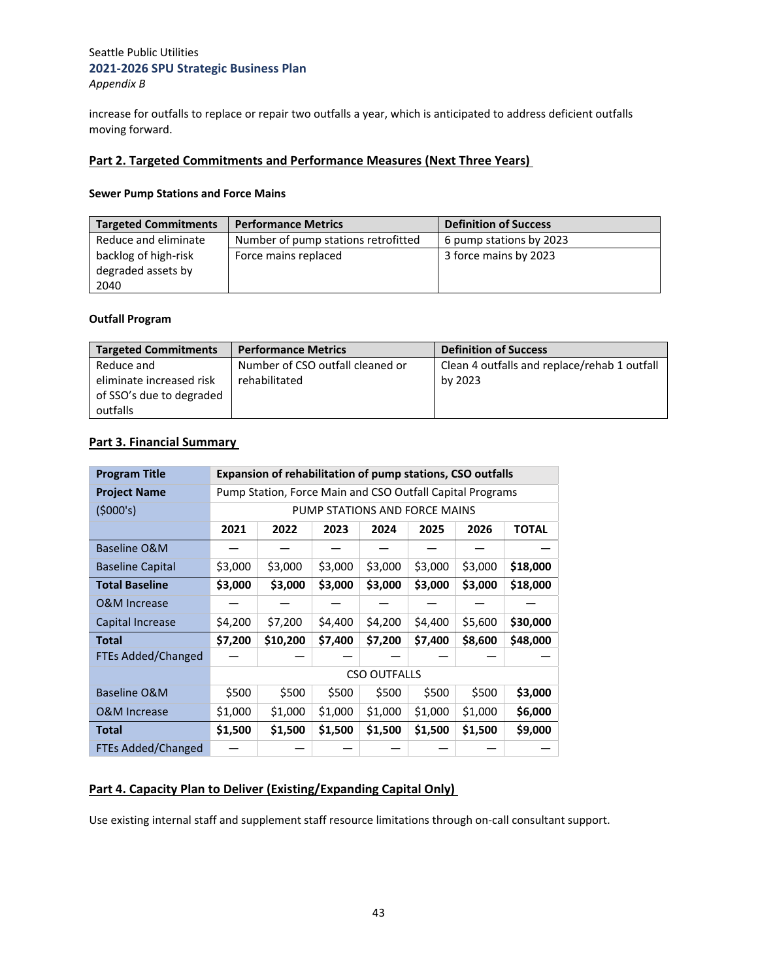increase for outfalls to replace or repair two outfalls a year, which is anticipated to address deficient outfalls moving forward.

## **Part 2. Targeted Commitments and Performance Measures (Next Three Years)**

#### **Sewer Pump Stations and Force Mains**

| <b>Targeted Commitments</b> | <b>Performance Metrics</b>          | <b>Definition of Success</b> |
|-----------------------------|-------------------------------------|------------------------------|
| Reduce and eliminate        | Number of pump stations retrofitted | 6 pump stations by 2023      |
| backlog of high-risk        | Force mains replaced                | 3 force mains by 2023        |
| degraded assets by          |                                     |                              |
| 2040                        |                                     |                              |

#### **Outfall Program**

| <b>Targeted Commitments</b> | <b>Performance Metrics</b>       | <b>Definition of Success</b>                 |
|-----------------------------|----------------------------------|----------------------------------------------|
| Reduce and                  | Number of CSO outfall cleaned or | Clean 4 outfalls and replace/rehab 1 outfall |
| eliminate increased risk    | rehabilitated                    | by 2023                                      |
| of SSO's due to degraded    |                                  |                                              |
| outfalls                    |                                  |                                              |

# **Part 3. Financial Summary**

| <b>Program Title</b>      | <b>Expansion of rehabilitation of pump stations, CSO outfalls</b> |                                                                |         |                     |         |         |          |  |  |
|---------------------------|-------------------------------------------------------------------|----------------------------------------------------------------|---------|---------------------|---------|---------|----------|--|--|
| <b>Project Name</b>       | Pump Station, Force Main and CSO Outfall Capital Programs         |                                                                |         |                     |         |         |          |  |  |
| (5000's)                  |                                                                   | PUMP STATIONS AND FORCE MAINS                                  |         |                     |         |         |          |  |  |
|                           | 2021                                                              | 2023<br>2024<br>2025<br>2026<br><b>TOTAL</b><br>2022           |         |                     |         |         |          |  |  |
| Baseline O&M              |                                                                   |                                                                |         |                     |         |         |          |  |  |
| <b>Baseline Capital</b>   | \$3,000                                                           | \$3,000                                                        | \$3,000 | \$3,000             | \$3,000 | \$3,000 | \$18,000 |  |  |
| <b>Total Baseline</b>     | \$3,000                                                           | \$3,000                                                        | \$3,000 | \$3,000             | \$3,000 | \$3,000 | \$18,000 |  |  |
| O&M Increase              |                                                                   |                                                                |         |                     |         |         |          |  |  |
| Capital Increase          | \$4,200                                                           | \$7,200                                                        | \$4,400 | \$4,200             | \$4,400 | \$5,600 | \$30,000 |  |  |
| <b>Total</b>              | \$7,200                                                           | \$10,200                                                       | \$7,400 | \$7,200             | \$7,400 | \$8,600 | \$48,000 |  |  |
| <b>FTEs Added/Changed</b> |                                                                   |                                                                |         |                     |         |         |          |  |  |
|                           |                                                                   |                                                                |         | <b>CSO OUTFALLS</b> |         |         |          |  |  |
| Baseline O&M              | \$500                                                             | \$500                                                          | \$500   | \$500               | \$500   | \$500   | \$3,000  |  |  |
| <b>O&amp;M Increase</b>   | \$1,000                                                           | \$1,000                                                        | \$1,000 | \$1,000             | \$1,000 | \$1,000 | \$6,000  |  |  |
| <b>Total</b>              | \$1,500                                                           | \$1,500<br>\$1,500<br>\$1,500<br>\$1,500<br>\$1,500<br>\$9,000 |         |                     |         |         |          |  |  |
| <b>FTEs Added/Changed</b> |                                                                   |                                                                |         |                     |         |         |          |  |  |

# **Part 4. Capacity Plan to Deliver (Existing/Expanding Capital Only)**

Use existing internal staff and supplement staff resource limitations through on‐call consultant support.